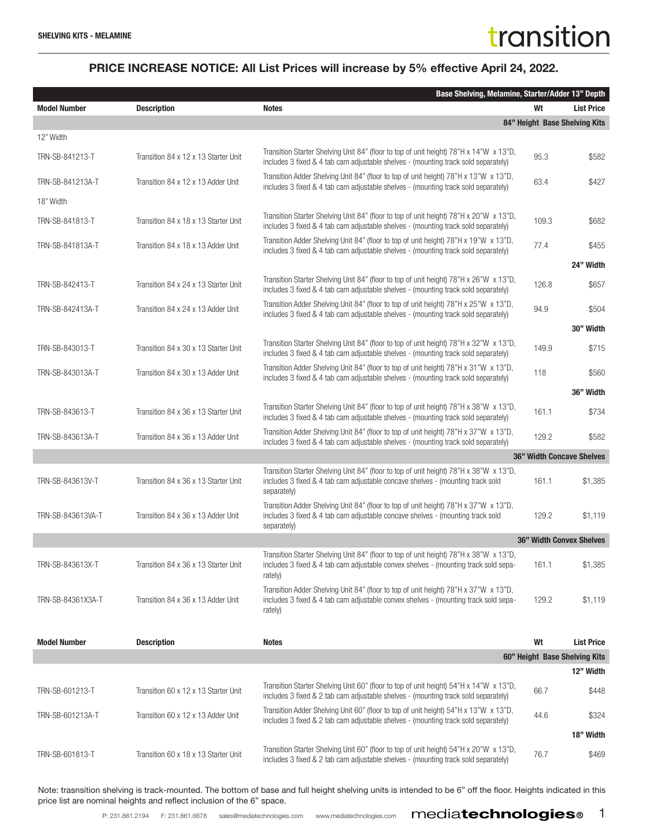#### PRICE INCREASE NOTICE: All List Prices will increase by 5% effective April 24, 2022.

|                     | Base Shelving, Melamine, Starter/Adder 13" Depth |                                                                                                                                                                                          |       |                                 |
|---------------------|--------------------------------------------------|------------------------------------------------------------------------------------------------------------------------------------------------------------------------------------------|-------|---------------------------------|
| <b>Model Number</b> | <b>Description</b>                               | <b>Notes</b>                                                                                                                                                                             | Wt    | <b>List Price</b>               |
|                     |                                                  |                                                                                                                                                                                          |       | 84" Height Base Shelving Kits   |
| 12" Width           |                                                  |                                                                                                                                                                                          |       |                                 |
| TRN-SB-841213-T     | Transition 84 x 12 x 13 Starter Unit             | Transition Starter Shelving Unit 84" (floor to top of unit height) 78"H x 14"W x 13"D,<br>includes 3 fixed & 4 tab cam adjustable shelves - (mounting track sold separately)             | 95.3  | \$582                           |
| TRN-SB-841213A-T    | Transition 84 x 12 x 13 Adder Unit               | Transition Adder Shelving Unit 84" (floor to top of unit height) 78"H x 13"W x 13"D,<br>includes 3 fixed & 4 tab cam adjustable shelves - (mounting track sold separately)               | 63.4  | \$427                           |
| 18" Width           |                                                  |                                                                                                                                                                                          |       |                                 |
| TRN-SB-841813-T     | Transition 84 x 18 x 13 Starter Unit             | Transition Starter Shelving Unit 84" (floor to top of unit height) 78"H x 20"W x 13"D,<br>includes 3 fixed & 4 tab cam adjustable shelves - (mounting track sold separately)             | 109.3 | \$682                           |
| TRN-SB-841813A-T    | Transition 84 x 18 x 13 Adder Unit               | Transition Adder Shelving Unit 84" (floor to top of unit height) 78"H x 19"W x 13"D,<br>includes 3 fixed & 4 tab cam adjustable shelves - (mounting track sold separately)               | 77.4  | \$455                           |
|                     |                                                  |                                                                                                                                                                                          |       | 24" Width                       |
| TRN-SB-842413-T     | Transition 84 x 24 x 13 Starter Unit             | Transition Starter Shelving Unit 84" (floor to top of unit height) 78"H x 26"W x 13"D,<br>includes 3 fixed & 4 tab cam adjustable shelves - (mounting track sold separately)             | 126.8 | \$657                           |
| TRN-SB-842413A-T    | Transition 84 x 24 x 13 Adder Unit               | Transition Adder Shelving Unit 84" (floor to top of unit height) 78"H x 25"W x 13"D,<br>includes 3 fixed & 4 tab cam adjustable shelves - (mounting track sold separately)               | 94.9  | \$504                           |
|                     |                                                  |                                                                                                                                                                                          |       | 30" Width                       |
| TRN-SB-843013-T     | Transition 84 x 30 x 13 Starter Unit             | Transition Starter Shelving Unit 84" (floor to top of unit height) 78"H x 32"W x 13"D,<br>includes 3 fixed & 4 tab cam adjustable shelves - (mounting track sold separately)             | 149.9 | \$715                           |
| TRN-SB-843013A-T    | Transition 84 x 30 x 13 Adder Unit               | Transition Adder Shelving Unit 84" (floor to top of unit height) 78"H x 31"W x 13"D,<br>includes 3 fixed & 4 tab cam adjustable shelves - (mounting track sold separately)               | 118   | \$560                           |
|                     |                                                  |                                                                                                                                                                                          |       | 36" Width                       |
| TRN-SB-843613-T     | Transition 84 x 36 x 13 Starter Unit             | Transition Starter Shelving Unit 84" (floor to top of unit height) 78"H x 38"W x 13"D,<br>includes 3 fixed & 4 tab cam adjustable shelves - (mounting track sold separately)             | 161.1 | \$734                           |
| TRN-SB-843613A-T    | Transition 84 x 36 x 13 Adder Unit               | Transition Adder Shelving Unit 84" (floor to top of unit height) 78"H x 37"W x 13"D,<br>includes 3 fixed & 4 tab cam adjustable shelves - (mounting track sold separately)               | 129.2 | \$582                           |
|                     |                                                  |                                                                                                                                                                                          |       | 36" Width Concave Shelves       |
| TRN-SB-843613V-T    | Transition 84 x 36 x 13 Starter Unit             | Transition Starter Shelving Unit 84" (floor to top of unit height) 78"H x 38"W x 13"D,<br>includes 3 fixed & 4 tab cam adjustable concave shelves - (mounting track sold<br>separately)  | 161.1 | \$1,385                         |
| TRN-SB-843613VA-T   | Transition 84 x 36 x 13 Adder Unit               | Transition Adder Shelving Unit 84" (floor to top of unit height) 78"H x 37"W x 13"D,<br>includes 3 fixed & 4 tab cam adjustable concave shelves - (mounting track sold<br>separately)    | 129.2 | \$1,119                         |
|                     |                                                  |                                                                                                                                                                                          |       | <b>36" Width Convex Shelves</b> |
| TRN-SB-843613X-T    | Transition 84 x 36 x 13 Starter Unit             | Transition Starter Shelving Unit 84" (floor to top of unit height) 78"H x 38"W x 13"D,<br>includes 3 fixed & 4 tab cam adjustable convex shelves - (mounting track sold sepa-<br>rately) | 161.1 | \$1,385                         |
| TRN-SB-84361X3A-T   | Transition 84 x 36 x 13 Adder Unit               | Transition Adder Shelving Unit 84" (floor to top of unit height) 78"H x 37"W x 13"D,<br>includes 3 fixed & 4 tab cam adjustable convex shelves - (mounting track sold sepa-<br>rately)   | 129.2 | \$1,119                         |
| <b>Model Number</b> | <b>Description</b>                               | <b>Notes</b>                                                                                                                                                                             | Wt    | <b>List Price</b>               |
|                     |                                                  |                                                                                                                                                                                          |       | 60" Height Base Shelving Kits   |
|                     |                                                  |                                                                                                                                                                                          |       | 12" Width                       |
| TRN-SB-601213-T     | Transition 60 x 12 x 13 Starter Unit             | Transition Starter Shelving Unit 60" (floor to top of unit height) 54"H x 14"W x 13"D,<br>includes 3 fixed & 2 tab cam adjustable shelves - (mounting track sold separately)             | 66.7  | \$448                           |
| TRN-SB-601213A-T    | Transition 60 x 12 x 13 Adder Unit               | Transition Adder Shelving Unit 60" (floor to top of unit height) 54"H x 13"W x 13"D,<br>includes 3 fixed & 2 tab cam adjustable shelves - (mounting track sold separately)               | 44.6  | \$324                           |
|                     |                                                  |                                                                                                                                                                                          |       | 18" Width                       |
| TRN-SB-601813-T     | Transition 60 x 18 x 13 Starter Unit             | Transition Starter Shelving Unit 60" (floor to top of unit height) 54"H x 20"W x 13"D,<br>includes 3 fixed & 2 tab cam adjustable shelves - (mounting track sold separately)             | 76.7  | \$469                           |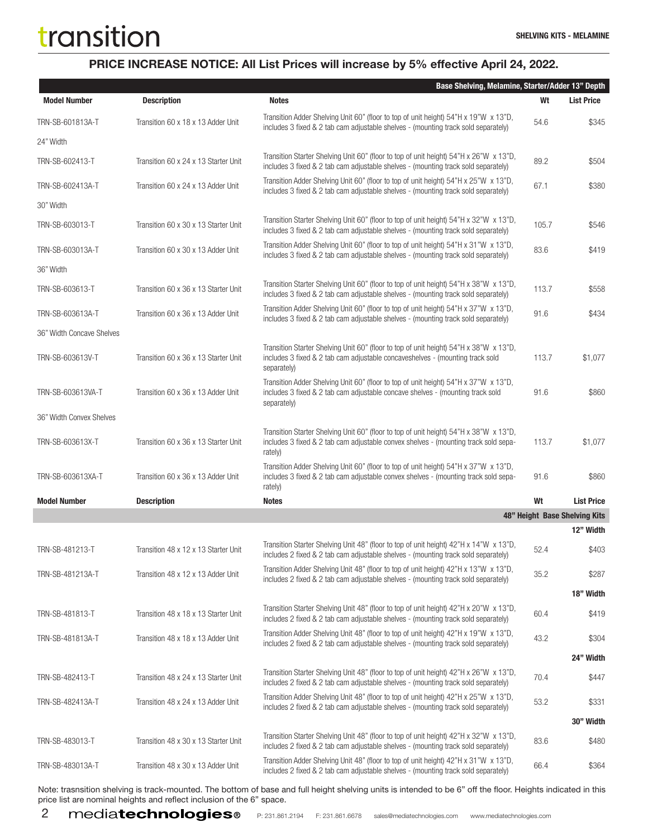### PRICE INCREASE NOTICE: All List Prices will increase by 5% effective April 24, 2022.

|                           |                                      | Base Shelving, Melamine, Starter/Adder 13" Depth                                                                                                                                         |       |                               |
|---------------------------|--------------------------------------|------------------------------------------------------------------------------------------------------------------------------------------------------------------------------------------|-------|-------------------------------|
| <b>Model Number</b>       | <b>Description</b>                   | <b>Notes</b>                                                                                                                                                                             | Wt    | <b>List Price</b>             |
| TRN-SB-601813A-T          | Transition 60 x 18 x 13 Adder Unit   | Transition Adder Shelving Unit 60" (floor to top of unit height) 54"H x 19"W x 13"D,<br>includes 3 fixed & 2 tab cam adjustable shelves - (mounting track sold separately)               | 54.6  | \$345                         |
| 24" Width                 |                                      |                                                                                                                                                                                          |       |                               |
| TRN-SB-602413-T           | Transition 60 x 24 x 13 Starter Unit | Transition Starter Shelving Unit 60" (floor to top of unit height) 54"H x 26"W x 13"D,<br>includes 3 fixed & 2 tab cam adjustable shelves - (mounting track sold separately)             | 89.2  | \$504                         |
| TRN-SB-602413A-T          | Transition 60 x 24 x 13 Adder Unit   | Transition Adder Shelving Unit 60" (floor to top of unit height) 54"H x 25"W x 13"D,<br>includes 3 fixed & 2 tab cam adjustable shelves - (mounting track sold separately)               | 67.1  | \$380                         |
| 30" Width                 |                                      |                                                                                                                                                                                          |       |                               |
| TRN-SB-603013-T           | Transition 60 x 30 x 13 Starter Unit | Transition Starter Shelving Unit 60" (floor to top of unit height) 54"H x 32"W x 13"D,<br>includes 3 fixed & 2 tab cam adjustable shelves - (mounting track sold separately)             | 105.7 | \$546                         |
| TRN-SB-603013A-T          | Transition 60 x 30 x 13 Adder Unit   | Transition Adder Shelving Unit 60" (floor to top of unit height) 54"H x 31"W x 13"D,<br>includes 3 fixed & 2 tab cam adjustable shelves - (mounting track sold separately)               | 83.6  | \$419                         |
| 36" Width                 |                                      |                                                                                                                                                                                          |       |                               |
| TRN-SB-603613-T           | Transition 60 x 36 x 13 Starter Unit | Transition Starter Shelving Unit 60" (floor to top of unit height) 54"H x 38"W x 13"D,<br>includes 3 fixed & 2 tab cam adjustable shelves - (mounting track sold separately)             | 113.7 | \$558                         |
| TRN-SB-603613A-T          | Transition 60 x 36 x 13 Adder Unit   | Transition Adder Shelving Unit 60" (floor to top of unit height) 54"H x 37"W x 13"D,<br>includes 3 fixed & 2 tab cam adjustable shelves - (mounting track sold separately)               | 91.6  | \$434                         |
| 36" Width Concave Shelves |                                      |                                                                                                                                                                                          |       |                               |
| TRN-SB-603613V-T          | Transition 60 x 36 x 13 Starter Unit | Transition Starter Shelving Unit 60" (floor to top of unit height) 54"H x 38"W x 13"D,<br>includes 3 fixed & 2 tab cam adjustable concaveshelves - (mounting track sold<br>separately)   | 113.7 | \$1,077                       |
| TRN-SB-603613VA-T         | Transition 60 x 36 x 13 Adder Unit   | Transition Adder Shelving Unit 60" (floor to top of unit height) 54"H x 37"W x 13"D,<br>includes 3 fixed & 2 tab cam adjustable concave shelves - (mounting track sold<br>separately)    | 91.6  | \$860                         |
| 36" Width Convex Shelves  |                                      |                                                                                                                                                                                          |       |                               |
| TRN-SB-603613X-T          | Transition 60 x 36 x 13 Starter Unit | Transition Starter Shelving Unit 60" (floor to top of unit height) 54"H x 38"W x 13"D,<br>includes 3 fixed & 2 tab cam adjustable convex shelves - (mounting track sold sepa-<br>rately) | 113.7 | \$1,077                       |
| TRN-SB-603613XA-T         | Transition 60 x 36 x 13 Adder Unit   | Transition Adder Shelving Unit 60" (floor to top of unit height) 54"H x 37"W x 13"D,<br>includes 3 fixed & 2 tab cam adjustable convex shelves - (mounting track sold sepa-<br>rately)   | 91.6  | \$860                         |
| <b>Model Number</b>       | <b>Description</b>                   | <b>Notes</b>                                                                                                                                                                             | Wt    | <b>List Price</b>             |
|                           |                                      |                                                                                                                                                                                          |       | 48" Height Base Shelving Kits |
|                           |                                      |                                                                                                                                                                                          |       | 12" Width                     |
| TRN-SB-481213-T           | Transition 48 x 12 x 13 Starter Unit | Transition Starter Shelving Unit 48" (floor to top of unit height) 42"H x 14"W x 13"D,<br>includes 2 fixed & 2 tab cam adjustable shelves - (mounting track sold separately)             | 52.4  | \$403                         |
| TRN-SB-481213A-T          | Transition 48 x 12 x 13 Adder Unit   | Transition Adder Shelving Unit 48" (floor to top of unit height) 42"H x 13"W x 13"D,<br>includes 2 fixed & 2 tab cam adjustable shelves - (mounting track sold separately)               | 35.2  | \$287                         |
|                           |                                      |                                                                                                                                                                                          |       | 18" Width                     |
| TRN-SB-481813-T           | Transition 48 x 18 x 13 Starter Unit | Transition Starter Shelving Unit 48" (floor to top of unit height) 42"H x 20"W x 13"D,<br>includes 2 fixed & 2 tab cam adjustable shelves - (mounting track sold separately)             | 60.4  | \$419                         |
| TRN-SB-481813A-T          | Transition 48 x 18 x 13 Adder Unit   | Transition Adder Shelving Unit 48" (floor to top of unit height) 42"H x 19"W x 13"D,<br>includes 2 fixed & 2 tab cam adjustable shelves - (mounting track sold separately)               | 43.2  | \$304                         |
|                           |                                      |                                                                                                                                                                                          |       | 24" Width                     |
| TRN-SB-482413-T           | Transition 48 x 24 x 13 Starter Unit | Transition Starter Shelving Unit 48" (floor to top of unit height) 42"H x 26"W x 13"D,<br>includes 2 fixed & 2 tab cam adjustable shelves - (mounting track sold separately)             | 70.4  | \$447                         |
| TRN-SB-482413A-T          | Transition 48 x 24 x 13 Adder Unit   | Transition Adder Shelving Unit 48" (floor to top of unit height) 42"H x 25"W x 13"D,<br>includes 2 fixed & 2 tab cam adjustable shelves - (mounting track sold separately)               | 53.2  | \$331                         |
|                           |                                      |                                                                                                                                                                                          |       | 30" Width                     |
| TRN-SB-483013-T           | Transition 48 x 30 x 13 Starter Unit | Transition Starter Shelving Unit 48" (floor to top of unit height) 42"H x 32"W x 13"D,<br>includes 2 fixed & 2 tab cam adjustable shelves - (mounting track sold separately)             | 83.6  | \$480                         |
| TRN-SB-483013A-T          | Transition 48 x 30 x 13 Adder Unit   | Transition Adder Shelving Unit 48" (floor to top of unit height) 42"H x 31"W x 13"D,<br>includes 2 fixed & 2 tab cam adjustable shelves - (mounting track sold separately)               | 66.4  | \$364                         |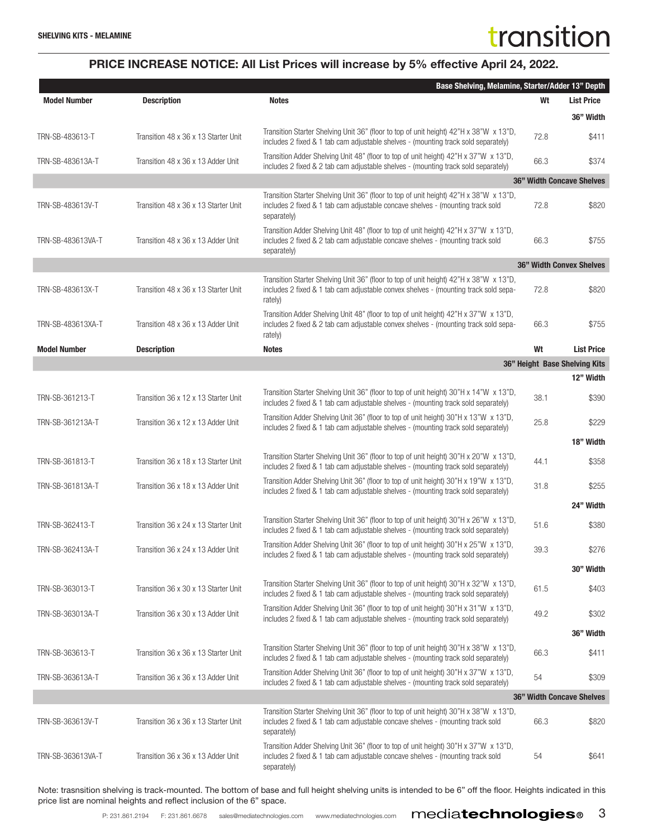|                     |                                      | Base Shelving, Melamine, Starter/Adder 13" Depth                                                                                                                                         |      |                                  |
|---------------------|--------------------------------------|------------------------------------------------------------------------------------------------------------------------------------------------------------------------------------------|------|----------------------------------|
| <b>Model Number</b> | <b>Description</b>                   | <b>Notes</b>                                                                                                                                                                             | Wt   | <b>List Price</b>                |
|                     |                                      |                                                                                                                                                                                          |      | 36" Width                        |
| TRN-SB-483613-T     | Transition 48 x 36 x 13 Starter Unit | Transition Starter Shelving Unit 36" (floor to top of unit height) 42"H x 38"W x 13"D,<br>includes 2 fixed & 1 tab cam adjustable shelves - (mounting track sold separately)             | 72.8 | \$411                            |
| TRN-SB-483613A-T    | Transition 48 x 36 x 13 Adder Unit   | Transition Adder Shelving Unit 48" (floor to top of unit height) 42"H x 37"W x 13"D,<br>includes 2 fixed & 2 tab cam adjustable shelves - (mounting track sold separately)               | 66.3 | \$374                            |
|                     |                                      |                                                                                                                                                                                          |      | <b>36" Width Concave Shelves</b> |
| TRN-SB-483613V-T    | Transition 48 x 36 x 13 Starter Unit | Transition Starter Shelving Unit 36" (floor to top of unit height) 42"H x 38"W x 13"D,<br>includes 2 fixed & 1 tab cam adjustable concave shelves - (mounting track sold<br>separately)  | 72.8 | \$820                            |
| TRN-SB-483613VA-T   | Transition 48 x 36 x 13 Adder Unit   | Transition Adder Shelving Unit 48" (floor to top of unit height) 42"H x 37"W x 13"D,<br>includes 2 fixed & 2 tab cam adjustable concave shelves - (mounting track sold<br>separately)    | 66.3 | \$755                            |
|                     |                                      |                                                                                                                                                                                          |      | <b>36" Width Convex Shelves</b>  |
| TRN-SB-483613X-T    | Transition 48 x 36 x 13 Starter Unit | Transition Starter Shelving Unit 36" (floor to top of unit height) 42"H x 38"W x 13"D,<br>includes 2 fixed & 1 tab cam adjustable convex shelves - (mounting track sold sepa-<br>rately) | 72.8 | \$820                            |
| TRN-SB-483613XA-T   | Transition 48 x 36 x 13 Adder Unit   | Transition Adder Shelving Unit 48" (floor to top of unit height) 42"H x 37"W x 13"D,<br>includes 2 fixed & 2 tab cam adjustable convex shelves - (mounting track sold sepa-<br>rately)   | 66.3 | \$755                            |
| <b>Model Number</b> | <b>Description</b>                   | <b>Notes</b>                                                                                                                                                                             | Wt   | <b>List Price</b>                |
|                     |                                      |                                                                                                                                                                                          |      | 36" Height Base Shelving Kits    |
|                     |                                      |                                                                                                                                                                                          |      | 12" Width                        |
| TRN-SB-361213-T     | Transition 36 x 12 x 13 Starter Unit | Transition Starter Shelving Unit 36" (floor to top of unit height) 30"H x 14"W x 13"D,<br>includes 2 fixed & 1 tab cam adjustable shelves - (mounting track sold separately)             | 38.1 | \$390                            |
| TRN-SB-361213A-T    | Transition 36 x 12 x 13 Adder Unit   | Transition Adder Shelving Unit 36" (floor to top of unit height) 30"H x 13"W x 13"D,<br>includes 2 fixed & 1 tab cam adjustable shelves - (mounting track sold separately)               | 25.8 | \$229                            |
|                     |                                      |                                                                                                                                                                                          |      | 18" Width                        |
| TRN-SB-361813-T     | Transition 36 x 18 x 13 Starter Unit | Transition Starter Shelving Unit 36" (floor to top of unit height) 30"H x 20"W x 13"D,<br>includes 2 fixed & 1 tab cam adjustable shelves - (mounting track sold separately)             | 44.1 | \$358                            |
| TRN-SB-361813A-T    | Transition 36 x 18 x 13 Adder Unit   | Transition Adder Shelving Unit 36" (floor to top of unit height) 30"H x 19"W x 13"D,<br>includes 2 fixed & 1 tab cam adjustable shelves - (mounting track sold separately)               | 31.8 | \$255                            |
|                     |                                      |                                                                                                                                                                                          |      | 24" Width                        |
| TRN-SB-362413-T     | Transition 36 x 24 x 13 Starter Unit | Transition Starter Shelving Unit 36" (floor to top of unit height) 30"H x 26"W x 13"D,<br>includes 2 fixed & 1 tab cam adjustable shelves - (mounting track sold separately)             | 51.6 | \$380                            |
| TRN-SB-362413A-T    | Transition 36 x 24 x 13 Adder Unit   | Transition Adder Shelving Unit 36" (floor to top of unit height) 30"H x 25"W x 13"D,<br>includes 2 fixed & 1 tab cam adjustable shelves - (mounting track sold separately)               | 39.3 | \$276                            |
|                     |                                      |                                                                                                                                                                                          |      | 30" Width                        |
| TRN-SB-363013-T     | Transition 36 x 30 x 13 Starter Unit | Transition Starter Shelving Unit 36" (floor to top of unit height) 30"H x 32"W x 13"D,<br>includes 2 fixed & 1 tab cam adjustable shelves - (mounting track sold separately)             | 61.5 | \$403                            |
| TRN-SB-363013A-T    | Transition 36 x 30 x 13 Adder Unit   | Transition Adder Shelving Unit 36" (floor to top of unit height) 30"H x 31"W x 13"D,<br>includes 2 fixed & 1 tab cam adjustable shelves - (mounting track sold separately)               | 49.2 | \$302                            |
|                     |                                      |                                                                                                                                                                                          |      | 36" Width                        |
| TRN-SB-363613-T     | Transition 36 x 36 x 13 Starter Unit | Transition Starter Shelving Unit 36" (floor to top of unit height) 30"H x 38"W x 13"D,<br>includes 2 fixed & 1 tab cam adjustable shelves - (mounting track sold separately)             | 66.3 | \$411                            |
| TRN-SB-363613A-T    | Transition 36 x 36 x 13 Adder Unit   | Transition Adder Shelving Unit 36" (floor to top of unit height) 30"H x 37"W x 13"D,<br>includes 2 fixed & 1 tab cam adjustable shelves - (mounting track sold separately)               | 54   | \$309                            |
|                     |                                      |                                                                                                                                                                                          |      | <b>36" Width Concave Shelves</b> |
| TRN-SB-363613V-T    | Transition 36 x 36 x 13 Starter Unit | Transition Starter Shelving Unit 36" (floor to top of unit height) 30"H x 38"W x 13"D,<br>includes 2 fixed & 1 tab cam adjustable concave shelves - (mounting track sold<br>separately)  | 66.3 | \$820                            |
| TRN-SB-363613VA-T   | Transition 36 x 36 x 13 Adder Unit   | Transition Adder Shelving Unit 36" (floor to top of unit height) 30"H x 37"W x 13"D,<br>includes 2 fixed & 1 tab cam adjustable concave shelves - (mounting track sold<br>separately)    | 54   | \$641                            |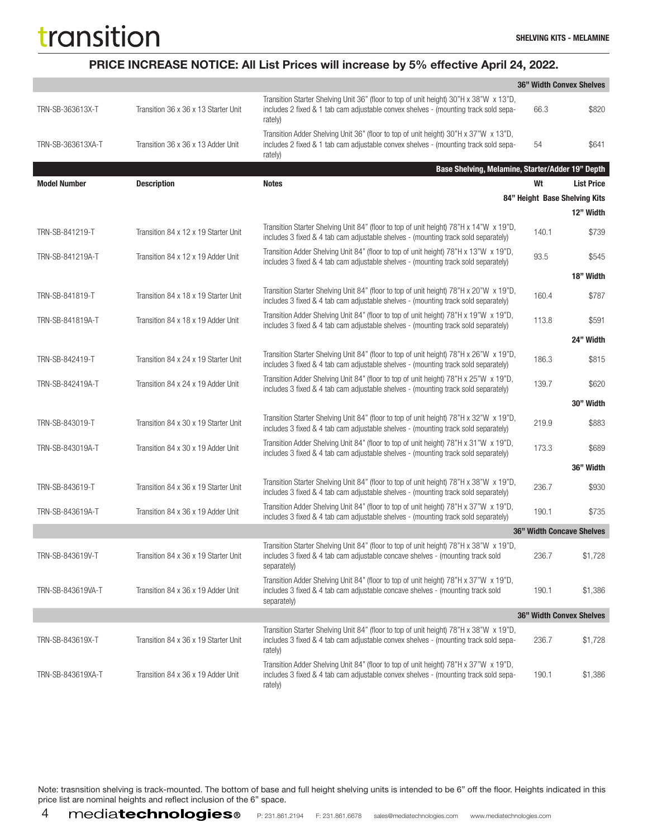### PRICE INCREASE NOTICE: All List Prices will increase by 5% effective April 24, 2022.

|                     |                                      |                                                                                                                                                                                          |       | 36" Width Convex Shelves         |
|---------------------|--------------------------------------|------------------------------------------------------------------------------------------------------------------------------------------------------------------------------------------|-------|----------------------------------|
| TRN-SB-363613X-T    | Transition 36 x 36 x 13 Starter Unit | Transition Starter Shelving Unit 36" (floor to top of unit height) 30"H x 38"W x 13"D,<br>includes 2 fixed & 1 tab cam adjustable convex shelves - (mounting track sold sepa-<br>rately) | 66.3  | \$820                            |
| TRN-SB-363613XA-T   | Transition 36 x 36 x 13 Adder Unit   | Transition Adder Shelving Unit 36" (floor to top of unit height) 30"H x 37"W x 13"D,<br>includes 2 fixed & 1 tab cam adjustable convex shelves - (mounting track sold sepa-<br>rately)   | 54    | \$641                            |
|                     |                                      | Base Shelving, Melamine, Starter/Adder 19" Depth                                                                                                                                         |       |                                  |
| <b>Model Number</b> | <b>Description</b>                   | <b>Notes</b>                                                                                                                                                                             | Wt    | <b>List Price</b>                |
|                     |                                      |                                                                                                                                                                                          |       | 84" Height Base Shelving Kits    |
|                     |                                      |                                                                                                                                                                                          |       | 12" Width                        |
| TRN-SB-841219-T     | Transition 84 x 12 x 19 Starter Unit | Transition Starter Shelving Unit 84" (floor to top of unit height) 78"H x 14"W x 19"D,<br>includes 3 fixed & 4 tab cam adjustable shelves - (mounting track sold separately)             | 140.1 | \$739                            |
| TRN-SB-841219A-T    | Transition 84 x 12 x 19 Adder Unit   | Transition Adder Shelving Unit 84" (floor to top of unit height) 78"H x 13"W x 19"D,<br>includes 3 fixed & 4 tab cam adjustable shelves - (mounting track sold separately)               | 93.5  | \$545                            |
|                     |                                      |                                                                                                                                                                                          |       | 18" Width                        |
| TRN-SB-841819-T     | Transition 84 x 18 x 19 Starter Unit | Transition Starter Shelving Unit 84" (floor to top of unit height) 78"H x 20"W x 19"D,<br>includes 3 fixed & 4 tab cam adjustable shelves - (mounting track sold separately)             | 160.4 | \$787                            |
| TRN-SB-841819A-T    | Transition 84 x 18 x 19 Adder Unit   | Transition Adder Shelving Unit 84" (floor to top of unit height) 78"H x 19"W x 19"D,<br>includes 3 fixed & 4 tab cam adjustable shelves - (mounting track sold separately)               | 113.8 | \$591                            |
|                     |                                      |                                                                                                                                                                                          |       | 24" Width                        |
| TRN-SB-842419-T     | Transition 84 x 24 x 19 Starter Unit | Transition Starter Shelving Unit 84" (floor to top of unit height) 78"H x 26"W x 19"D,<br>includes 3 fixed & 4 tab cam adjustable shelves - (mounting track sold separately)             | 186.3 | \$815                            |
| TRN-SB-842419A-T    | Transition 84 x 24 x 19 Adder Unit   | Transition Adder Shelving Unit 84" (floor to top of unit height) 78"H x 25"W x 19"D,<br>includes 3 fixed & 4 tab cam adjustable shelves - (mounting track sold separately)               | 139.7 | \$620                            |
|                     |                                      |                                                                                                                                                                                          |       | 30" Width                        |
| TRN-SB-843019-T     | Transition 84 x 30 x 19 Starter Unit | Transition Starter Shelving Unit 84" (floor to top of unit height) 78"H x 32"W x 19"D,<br>includes 3 fixed & 4 tab cam adjustable shelves - (mounting track sold separately)             | 219.9 | \$883                            |
| TRN-SB-843019A-T    | Transition 84 x 30 x 19 Adder Unit   | Transition Adder Shelving Unit 84" (floor to top of unit height) 78"H x 31"W x 19"D,<br>includes 3 fixed & 4 tab cam adjustable shelves - (mounting track sold separately)               | 173.3 | \$689                            |
|                     |                                      |                                                                                                                                                                                          |       | 36" Width                        |
| TRN-SB-843619-T     | Transition 84 x 36 x 19 Starter Unit | Transition Starter Shelving Unit 84" (floor to top of unit height) 78"H x 38"W x 19"D,<br>includes 3 fixed & 4 tab cam adjustable shelves - (mounting track sold separately)             | 236.7 | \$930                            |
| TRN-SB-843619A-T    | Transition 84 x 36 x 19 Adder Unit   | Transition Adder Shelving Unit 84" (floor to top of unit height) 78"H x 37"W x 19"D,<br>includes 3 fixed & 4 tab cam adjustable shelves - (mounting track sold separately)               | 190.1 | \$735                            |
|                     |                                      |                                                                                                                                                                                          |       | <b>36" Width Concave Shelves</b> |
| TRN-SB-843619V-T    | Transition 84 x 36 x 19 Starter Unit | Transition Starter Shelving Unit 84" (floor to top of unit height) 78"H x 38"W x 19"D,<br>includes 3 fixed & 4 tab cam adjustable concave shelves - (mounting track sold<br>separately)  | 236.7 | \$1,728                          |
| TRN-SB-843619VA-T   | Transition 84 x 36 x 19 Adder Unit   | Transition Adder Shelving Unit 84" (floor to top of unit height) 78"H x 37"W x 19"D,<br>includes 3 fixed & 4 tab cam adjustable concave shelves - (mounting track sold<br>separately)    | 190.1 | \$1,386                          |
|                     |                                      |                                                                                                                                                                                          |       | 36" Width Convex Shelves         |
| TRN-SB-843619X-T    | Transition 84 x 36 x 19 Starter Unit | Transition Starter Shelving Unit 84" (floor to top of unit height) 78"H x 38"W x 19"D,<br>includes 3 fixed & 4 tab cam adjustable convex shelves - (mounting track sold sepa-<br>rately) | 236.7 | \$1,728                          |
| TRN-SB-843619XA-T   | Transition 84 x 36 x 19 Adder Unit   | Transition Adder Shelving Unit 84" (floor to top of unit height) 78"H x 37"W x 19"D,<br>includes 3 fixed & 4 tab cam adjustable convex shelves - (mounting track sold sepa-<br>rately)   | 190.1 | \$1,386                          |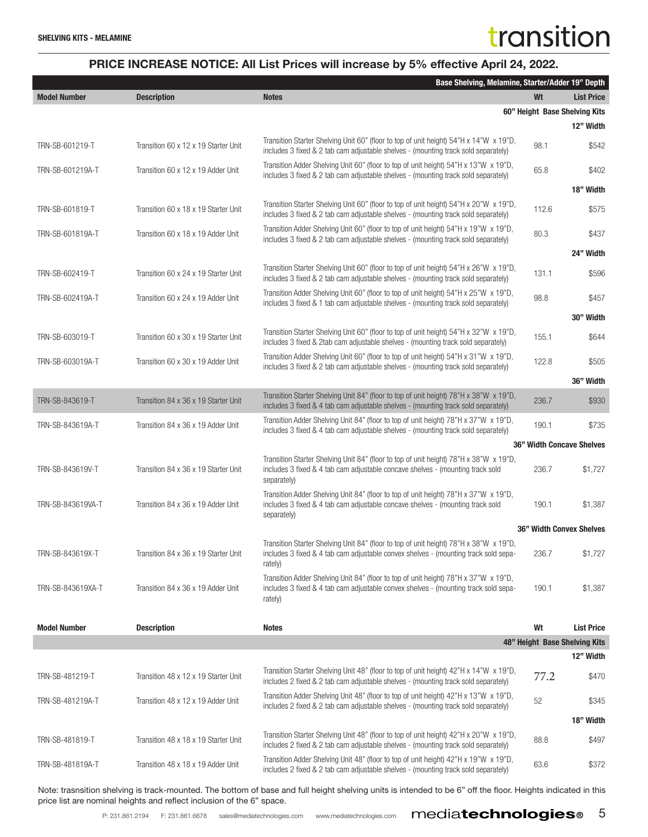|                     |                                      | Base Shelving, Melamine, Starter/Adder 19" Depth                                                                                                                                         |       |                                  |  |
|---------------------|--------------------------------------|------------------------------------------------------------------------------------------------------------------------------------------------------------------------------------------|-------|----------------------------------|--|
| <b>Model Number</b> | <b>Description</b>                   | <b>Notes</b>                                                                                                                                                                             | Wt    | <b>List Price</b>                |  |
|                     |                                      |                                                                                                                                                                                          |       | 60" Height Base Shelving Kits    |  |
|                     |                                      |                                                                                                                                                                                          |       | 12" Width                        |  |
| TRN-SB-601219-T     | Transition 60 x 12 x 19 Starter Unit | Transition Starter Shelving Unit 60" (floor to top of unit height) 54"H x 14"W x 19"D,<br>includes 3 fixed & 2 tab cam adjustable shelves - (mounting track sold separately)             | 98.1  | \$542                            |  |
| TRN-SB-601219A-T    | Transition 60 x 12 x 19 Adder Unit   | Transition Adder Shelving Unit 60" (floor to top of unit height) 54"H x 13"W x 19"D,<br>includes 3 fixed & 2 tab cam adjustable shelves - (mounting track sold separately)               | 65.8  | \$402                            |  |
|                     |                                      |                                                                                                                                                                                          |       | 18" Width                        |  |
| TRN-SB-601819-T     | Transition 60 x 18 x 19 Starter Unit | Transition Starter Shelving Unit 60" (floor to top of unit height) 54"H x 20"W x 19"D,<br>includes 3 fixed & 2 tab cam adjustable shelves - (mounting track sold separately)             | 112.6 | \$575                            |  |
| TRN-SB-601819A-T    | Transition 60 x 18 x 19 Adder Unit   | Transition Adder Shelving Unit 60" (floor to top of unit height) 54"H x 19"W x 19"D,<br>includes 3 fixed & 2 tab cam adjustable shelves - (mounting track sold separately)               | 80.3  | \$437                            |  |
|                     |                                      |                                                                                                                                                                                          |       | 24" Width                        |  |
| TRN-SB-602419-T     | Transition 60 x 24 x 19 Starter Unit | Transition Starter Shelving Unit 60" (floor to top of unit height) 54"H x 26"W x 19"D,<br>includes 3 fixed & 2 tab cam adjustable shelves - (mounting track sold separately)             | 131.1 | \$596                            |  |
| TRN-SB-602419A-T    | Transition 60 x 24 x 19 Adder Unit   | Transition Adder Shelving Unit 60" (floor to top of unit height) 54"H x 25"W x 19"D,<br>includes 3 fixed & 1 tab cam adjustable shelves - (mounting track sold separately)               | 98.8  | \$457                            |  |
|                     |                                      |                                                                                                                                                                                          |       | 30" Width                        |  |
| TRN-SB-603019-T     | Transition 60 x 30 x 19 Starter Unit | Transition Starter Shelving Unit 60" (floor to top of unit height) 54"H x 32"W x 19"D,<br>includes 3 fixed & 2tab cam adjustable shelves - (mounting track sold separately)              | 155.1 | \$644                            |  |
| TRN-SB-603019A-T    | Transition 60 x 30 x 19 Adder Unit   | Transition Adder Shelving Unit 60" (floor to top of unit height) 54"H x 31"W x 19"D,<br>includes 3 fixed & 2 tab cam adjustable shelves - (mounting track sold separately)               | 122.8 | \$505                            |  |
|                     |                                      |                                                                                                                                                                                          |       | 36" Width                        |  |
| TRN-SB-843619-T     | Transition 84 x 36 x 19 Starter Unit | Transition Starter Shelving Unit 84" (floor to top of unit height) 78"H x 38"W x 19"D,<br>includes 3 fixed & 4 tab cam adjustable shelves - (mounting track sold separately)             | 236.7 | \$930                            |  |
| TRN-SB-843619A-T    | Transition 84 x 36 x 19 Adder Unit   | Transition Adder Shelving Unit 84" (floor to top of unit height) 78"H x 37"W x 19"D,<br>includes 3 fixed & 4 tab cam adjustable shelves - (mounting track sold separately)               | 190.1 | \$735                            |  |
|                     |                                      |                                                                                                                                                                                          |       | <b>36" Width Concave Shelves</b> |  |
| TRN-SB-843619V-T    | Transition 84 x 36 x 19 Starter Unit | Transition Starter Shelving Unit 84" (floor to top of unit height) 78"H x 38"W x 19"D,<br>includes 3 fixed & 4 tab cam adjustable concave shelves - (mounting track sold<br>separately)  | 236.7 | \$1,727                          |  |
| TRN-SB-843619VA-T   | Transition 84 x 36 x 19 Adder Unit   | Transition Adder Shelving Unit 84" (floor to top of unit height) 78"H x 37"W x 19"D,<br>includes 3 fixed & 4 tab cam adjustable concave shelves - (mounting track sold<br>separately)    | 190.1 | \$1,387                          |  |
|                     |                                      |                                                                                                                                                                                          |       | <b>36" Width Convex Shelves</b>  |  |
| TRN-SB-843619X-T    | Transition 84 x 36 x 19 Starter Unit | Transition Starter Shelving Unit 84" (floor to top of unit height) 78"H x 38"W x 19"D,<br>includes 3 fixed & 4 tab cam adjustable convex shelves - (mounting track sold sepa-<br>rately) | 236.7 | \$1,727                          |  |
| TRN-SB-843619XA-T   | Transition 84 x 36 x 19 Adder Unit   | Transition Adder Shelving Unit 84" (floor to top of unit height) 78"H x 37"W x 19"D,<br>includes 3 fixed & 4 tab cam adjustable convex shelves - (mounting track sold sepa-<br>rately)   | 190.1 | \$1,387                          |  |
|                     |                                      |                                                                                                                                                                                          |       |                                  |  |
| <b>Model Number</b> | <b>Description</b>                   | <b>Notes</b>                                                                                                                                                                             | Wt    | <b>List Price</b>                |  |
|                     |                                      |                                                                                                                                                                                          |       | 48" Height Base Shelving Kits    |  |
|                     |                                      |                                                                                                                                                                                          |       | 12" Width                        |  |
| TRN-SB-481219-T     | Transition 48 x 12 x 19 Starter Unit | Transition Starter Shelving Unit 48" (floor to top of unit height) 42"H x 14"W x 19"D,<br>includes 2 fixed & 2 tab cam adjustable shelves - (mounting track sold separately)             | 77.2  | \$470                            |  |
| TRN-SB-481219A-T    | Transition 48 x 12 x 19 Adder Unit   | Transition Adder Shelving Unit 48" (floor to top of unit height) 42"H x 13"W x 19"D,<br>includes 2 fixed & 2 tab cam adjustable shelves - (mounting track sold separately)               | 52    | \$345                            |  |
|                     |                                      |                                                                                                                                                                                          |       | 18" Width                        |  |
| TRN-SB-481819-T     | Transition 48 x 18 x 19 Starter Unit | Transition Starter Shelving Unit 48" (floor to top of unit height) 42"H x 20"W x 19"D,<br>includes 2 fixed & 2 tab cam adjustable shelves - (mounting track sold separately)             | 88.8  | \$497                            |  |
| TRN-SB-481819A-T    | Transition 48 x 18 x 19 Adder Unit   | Transition Adder Shelving Unit 48" (floor to top of unit height) 42"H x 19"W x 19"D,<br>includes 2 fixed & 2 tab cam adjustable shelves - (mounting track sold separately)               | 63.6  | \$372                            |  |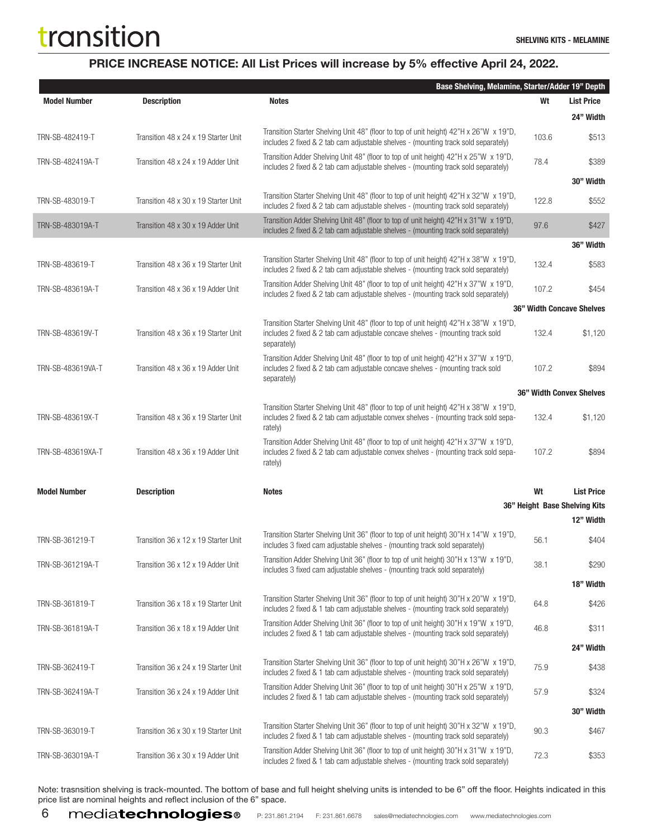### PRICE INCREASE NOTICE: All List Prices will increase by 5% effective April 24, 2022.

|                     |                                      | Base Shelving, Melamine, Starter/Adder 19" Depth                                                                                                                                         |       |                                 |
|---------------------|--------------------------------------|------------------------------------------------------------------------------------------------------------------------------------------------------------------------------------------|-------|---------------------------------|
| <b>Model Number</b> | <b>Description</b>                   | <b>Notes</b>                                                                                                                                                                             | Wt    | <b>List Price</b>               |
|                     |                                      |                                                                                                                                                                                          |       | 24" Width                       |
| TRN-SB-482419-T     | Transition 48 x 24 x 19 Starter Unit | Transition Starter Shelving Unit 48" (floor to top of unit height) 42"H x 26"W x 19"D,<br>includes 2 fixed & 2 tab cam adjustable shelves - (mounting track sold separately)             | 103.6 | \$513                           |
| TRN-SB-482419A-T    | Transition 48 x 24 x 19 Adder Unit   | Transition Adder Shelving Unit 48" (floor to top of unit height) 42"H x 25"W x 19"D,<br>includes 2 fixed & 2 tab cam adjustable shelves - (mounting track sold separately)               | 78.4  | \$389                           |
|                     |                                      |                                                                                                                                                                                          |       | 30" Width                       |
| TRN-SB-483019-T     | Transition 48 x 30 x 19 Starter Unit | Transition Starter Shelving Unit 48" (floor to top of unit height) 42"H x 32"W x 19"D,<br>includes 2 fixed & 2 tab cam adjustable shelves - (mounting track sold separately)             | 122.8 | \$552                           |
| TRN-SB-483019A-T    | Transition 48 x 30 x 19 Adder Unit   | Transition Adder Shelving Unit 48" (floor to top of unit height) 42"H x 31"W x 19"D,<br>includes 2 fixed & 2 tab cam adjustable shelves - (mounting track sold separately)               | 97.6  | \$427                           |
|                     |                                      |                                                                                                                                                                                          |       | 36" Width                       |
| TRN-SB-483619-T     | Transition 48 x 36 x 19 Starter Unit | Transition Starter Shelving Unit 48" (floor to top of unit height) 42"H x 38"W x 19"D,<br>includes 2 fixed & 2 tab cam adjustable shelves - (mounting track sold separately)             | 132.4 | \$583                           |
| TRN-SB-483619A-T    | Transition 48 x 36 x 19 Adder Unit   | Transition Adder Shelving Unit 48" (floor to top of unit height) 42"H x 37"W x 19"D,<br>includes 2 fixed & 2 tab cam adjustable shelves - (mounting track sold separately)               | 107.2 | \$454                           |
|                     |                                      |                                                                                                                                                                                          |       | 36" Width Concave Shelves       |
| TRN-SB-483619V-T    | Transition 48 x 36 x 19 Starter Unit | Transition Starter Shelving Unit 48" (floor to top of unit height) 42"H x 38"W x 19"D,<br>includes 2 fixed & 2 tab cam adjustable concave shelves - (mounting track sold<br>separately)  | 132.4 | \$1,120                         |
| TRN-SB-483619VA-T   | Transition 48 x 36 x 19 Adder Unit   | Transition Adder Shelving Unit 48" (floor to top of unit height) 42"H x 37"W x 19"D,<br>includes 2 fixed & 2 tab cam adjustable concave shelves - (mounting track sold<br>separately)    | 107.2 | \$894                           |
|                     |                                      |                                                                                                                                                                                          |       | <b>36" Width Convex Shelves</b> |
| TRN-SB-483619X-T    | Transition 48 x 36 x 19 Starter Unit | Transition Starter Shelving Unit 48" (floor to top of unit height) 42"H x 38"W x 19"D,<br>includes 2 fixed & 2 tab cam adjustable convex shelves - (mounting track sold sepa-<br>rately) | 132.4 | \$1,120                         |
| TRN-SB-483619XA-T   | Transition 48 x 36 x 19 Adder Unit   | Transition Adder Shelving Unit 48" (floor to top of unit height) 42"H x 37"W x 19"D,<br>includes 2 fixed & 2 tab cam adjustable convex shelves - (mounting track sold sepa-<br>rately)   | 107.2 | \$894                           |
| <b>Model Number</b> | <b>Description</b>                   | <b>Notes</b>                                                                                                                                                                             | Wt    | <b>List Price</b>               |
|                     |                                      |                                                                                                                                                                                          |       | 36" Height Base Shelving Kits   |
|                     |                                      |                                                                                                                                                                                          |       | 12" Width                       |
| TRN-SB-361219-T     | Transition 36 x 12 x 19 Starter Unit | Transition Starter Shelving Unit 36" (floor to top of unit height) 30"H x 14"W x 19"D,<br>includes 3 fixed cam adjustable shelves - (mounting track sold separately)                     | 56.1  | \$404                           |
| TRN-SB-361219A-T    | Transition 36 x 12 x 19 Adder Unit   | Transition Adder Shelving Unit 36" (floor to top of unit height) 30"H x 13"W x 19"D,<br>includes 3 fixed cam adjustable shelves - (mounting track sold separately)                       | 38.1  | \$290                           |
|                     |                                      |                                                                                                                                                                                          |       | 18" Width                       |
| TRN-SB-361819-T     | Transition 36 x 18 x 19 Starter Unit | Transition Starter Shelving Unit 36" (floor to top of unit height) 30"H x 20"W x 19"D,<br>includes 2 fixed & 1 tab cam adjustable shelves - (mounting track sold separately)             | 64.8  | \$426                           |
| TRN-SB-361819A-T    | Transition 36 x 18 x 19 Adder Unit   | Transition Adder Shelving Unit 36" (floor to top of unit height) 30"H x 19"W x 19"D,<br>includes 2 fixed & 1 tab cam adjustable shelves - (mounting track sold separately)               | 46.8  | \$311                           |
|                     |                                      |                                                                                                                                                                                          |       | 24" Width                       |
| TRN-SB-362419-T     | Transition 36 x 24 x 19 Starter Unit | Transition Starter Shelving Unit 36" (floor to top of unit height) 30"H x 26"W x 19"D,<br>includes 2 fixed & 1 tab cam adjustable shelves - (mounting track sold separately)             | 75.9  | \$438                           |
| TRN-SB-362419A-T    | Transition 36 x 24 x 19 Adder Unit   | Transition Adder Shelving Unit 36" (floor to top of unit height) 30"H x 25"W x 19"D,<br>includes 2 fixed & 1 tab cam adjustable shelves - (mounting track sold separately)               | 57.9  | \$324                           |
|                     |                                      |                                                                                                                                                                                          |       | 30" Width                       |
| TRN-SB-363019-T     | Transition 36 x 30 x 19 Starter Unit | Transition Starter Shelving Unit 36" (floor to top of unit height) 30"H x 32"W x 19"D,<br>includes 2 fixed & 1 tab cam adjustable shelves - (mounting track sold separately)             | 90.3  | \$467                           |
| TRN-SB-363019A-T    | Transition 36 x 30 x 19 Adder Unit   | Transition Adder Shelving Unit 36" (floor to top of unit height) 30"H x 31"W x 19"D,<br>includes 2 fixed & 1 tab cam adjustable shelves - (mounting track sold separately)               | 72.3  | \$353                           |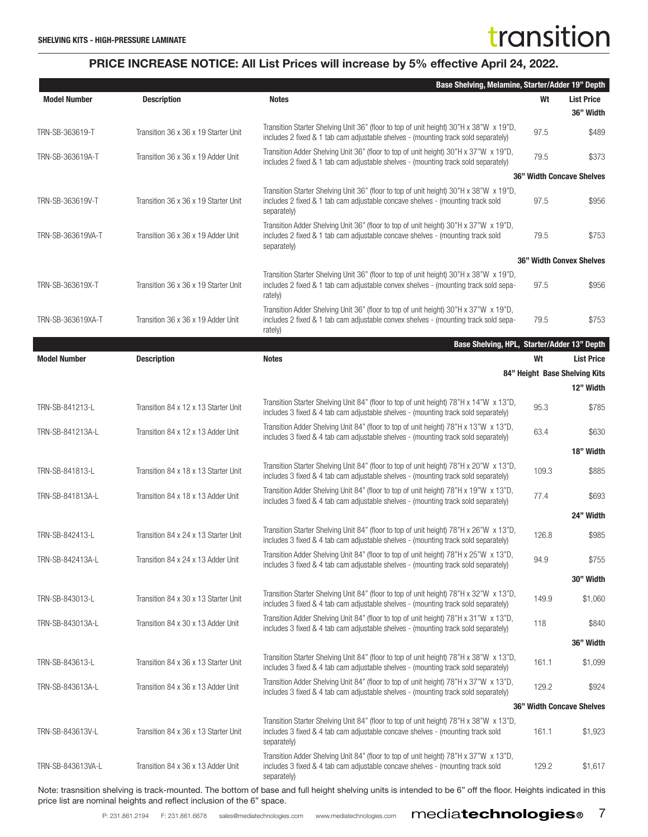|                     |                                      | Base Shelving, Melamine, Starter/Adder 19" Depth                                                                                                                                         |       |                                  |
|---------------------|--------------------------------------|------------------------------------------------------------------------------------------------------------------------------------------------------------------------------------------|-------|----------------------------------|
| <b>Model Number</b> | <b>Description</b>                   | <b>Notes</b>                                                                                                                                                                             | Wt    | <b>List Price</b><br>36" Width   |
| TRN-SB-363619-T     | Transition 36 x 36 x 19 Starter Unit | Transition Starter Shelving Unit 36" (floor to top of unit height) 30"H x 38"W x 19"D,<br>includes 2 fixed & 1 tab cam adjustable shelves - (mounting track sold separately)             | 97.5  | \$489                            |
| TRN-SB-363619A-T    | Transition 36 x 36 x 19 Adder Unit   | Transition Adder Shelving Unit 36" (floor to top of unit height) 30"H x 37"W x 19"D,<br>includes 2 fixed & 1 tab cam adjustable shelves - (mounting track sold separately)               | 79.5  | \$373                            |
|                     |                                      |                                                                                                                                                                                          |       | <b>36" Width Concave Shelves</b> |
| TRN-SB-363619V-T    | Transition 36 x 36 x 19 Starter Unit | Transition Starter Shelving Unit 36" (floor to top of unit height) 30"H x 38"W x 19"D,<br>includes 2 fixed & 1 tab cam adjustable concave shelves - (mounting track sold<br>separately)  | 97.5  | \$956                            |
| TRN-SB-363619VA-T   | Transition 36 x 36 x 19 Adder Unit   | Transition Adder Shelving Unit 36" (floor to top of unit height) 30"H x 37"W x 19"D,<br>includes 2 fixed & 1 tab cam adjustable concave shelves - (mounting track sold<br>separately)    | 79.5  | \$753                            |
|                     |                                      |                                                                                                                                                                                          |       | <b>36" Width Convex Shelves</b>  |
| TRN-SB-363619X-T    | Transition 36 x 36 x 19 Starter Unit | Transition Starter Shelving Unit 36" (floor to top of unit height) 30"H x 38"W x 19"D,<br>includes 2 fixed & 1 tab cam adjustable convex shelves - (mounting track sold sepa-<br>rately) | 97.5  | \$956                            |
| TRN-SB-363619XA-T   | Transition 36 x 36 x 19 Adder Unit   | Transition Adder Shelving Unit 36" (floor to top of unit height) 30"H x 37"W x 19"D,<br>includes 2 fixed & 1 tab cam adjustable convex shelves - (mounting track sold sepa-<br>rately)   | 79.5  | \$753                            |
|                     |                                      | Base Shelving, HPL, Starter/Adder 13" Depth                                                                                                                                              |       |                                  |
| <b>Model Number</b> | <b>Description</b>                   | <b>Notes</b>                                                                                                                                                                             | Wt    | <b>List Price</b>                |
|                     |                                      |                                                                                                                                                                                          |       | 84" Height Base Shelving Kits    |
|                     |                                      |                                                                                                                                                                                          |       | 12" Width                        |
| TRN-SB-841213-L     | Transition 84 x 12 x 13 Starter Unit | Transition Starter Shelving Unit 84" (floor to top of unit height) 78"H x 14"W x 13"D,<br>includes 3 fixed & 4 tab cam adjustable shelves - (mounting track sold separately)             | 95.3  | \$785                            |
| TRN-SB-841213A-L    | Transition 84 x 12 x 13 Adder Unit   | Transition Adder Shelving Unit 84" (floor to top of unit height) 78"H x 13"W x 13"D,<br>includes 3 fixed & 4 tab cam adjustable shelves - (mounting track sold separately)               | 63.4  | \$630                            |
|                     |                                      |                                                                                                                                                                                          |       | 18" Width                        |
| TRN-SB-841813-L     | Transition 84 x 18 x 13 Starter Unit | Transition Starter Shelving Unit 84" (floor to top of unit height) 78"H x 20"W x 13"D,<br>includes 3 fixed & 4 tab cam adjustable shelves - (mounting track sold separately)             | 109.3 | \$885                            |
| TRN-SB-841813A-L    | Transition 84 x 18 x 13 Adder Unit   | Transition Adder Shelving Unit 84" (floor to top of unit height) 78"H x 19"W x 13"D,<br>includes 3 fixed & 4 tab cam adjustable shelves - (mounting track sold separately)               | 77.4  | \$693                            |
|                     |                                      | Transition Starter Shelving Unit 84" (floor to top of unit height) 78"H x 26"W x 13"D,                                                                                                   |       | 24" Width                        |
| TRN-SB-842413-L     | Transition 84 x 24 x 13 Starter Unit | includes 3 fixed & 4 tab cam adjustable shelves - (mounting track sold separately)<br>Transition Adder Shelving Unit 84" (floor to top of unit height) 78"H x 25"W x 13"D,               | 126.8 | \$985                            |
| TRN-SB-842413A-L    | Transition 84 x 24 x 13 Adder Unit   | includes 3 fixed & 4 tab cam adjustable shelves - (mounting track sold separately)                                                                                                       | 94.9  | \$755                            |
|                     |                                      |                                                                                                                                                                                          |       | 30" Width                        |
| TRN-SB-843013-L     | Transition 84 x 30 x 13 Starter Unit | Transition Starter Shelving Unit 84" (floor to top of unit height) 78"H x 32"W x 13"D,<br>includes 3 fixed & 4 tab cam adjustable shelves - (mounting track sold separately)             | 149.9 | \$1,060                          |
| TRN-SB-843013A-L    | Transition 84 x 30 x 13 Adder Unit   | Transition Adder Shelving Unit 84" (floor to top of unit height) 78"H x 31"W x 13"D,<br>includes 3 fixed & 4 tab cam adjustable shelves - (mounting track sold separately)               | 118   | \$840                            |
|                     |                                      |                                                                                                                                                                                          |       | 36" Width                        |
| TRN-SB-843613-L     | Transition 84 x 36 x 13 Starter Unit | Transition Starter Shelving Unit 84" (floor to top of unit height) 78"H x 38"W x 13"D,<br>includes 3 fixed & 4 tab cam adjustable shelves - (mounting track sold separately)             | 161.1 | \$1,099                          |
| TRN-SB-843613A-L    | Transition 84 x 36 x 13 Adder Unit   | Transition Adder Shelving Unit 84" (floor to top of unit height) 78"H x 37"W x 13"D,<br>includes 3 fixed & 4 tab cam adjustable shelves - (mounting track sold separately)               | 129.2 | \$924                            |
|                     |                                      |                                                                                                                                                                                          |       | <b>36" Width Concave Shelves</b> |
| TRN-SB-843613V-L    | Transition 84 x 36 x 13 Starter Unit | Transition Starter Shelving Unit 84" (floor to top of unit height) 78"H x 38"W x 13"D,<br>includes 3 fixed & 4 tab cam adjustable concave shelves - (mounting track sold<br>separately)  | 161.1 | \$1,923                          |
| TRN-SB-843613VA-L   | Transition 84 x 36 x 13 Adder Unit   | Transition Adder Shelving Unit 84" (floor to top of unit height) 78"H x 37"W x 13"D,<br>includes 3 fixed & 4 tab cam adjustable concave shelves - (mounting track sold<br>separately)    | 129.2 | \$1,617                          |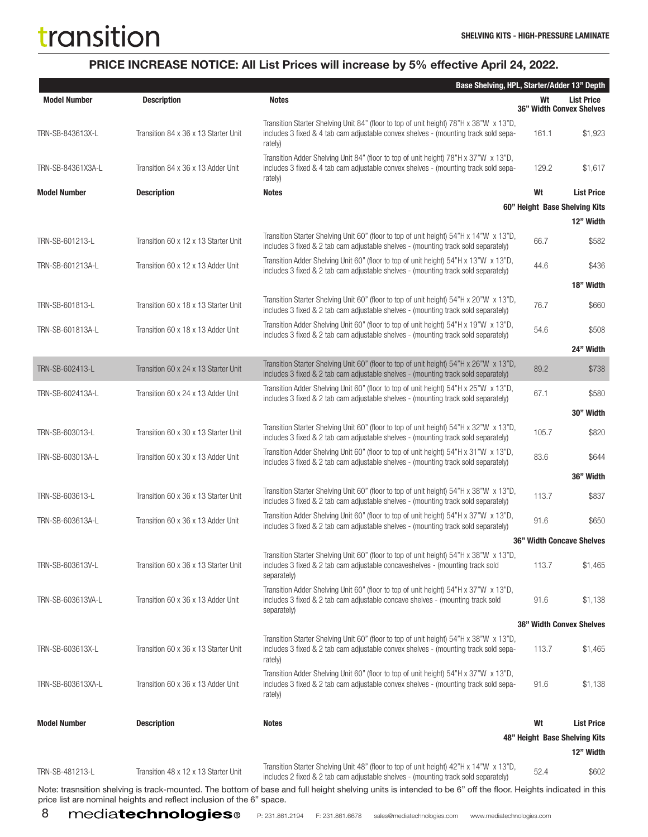### PRICE INCREASE NOTICE: All List Prices will increase by 5% effective April 24, 2022.

|                     |                                      | Base Shelving, HPL, Starter/Adder 13" Depth                                                                                                                                              |       |                                               |
|---------------------|--------------------------------------|------------------------------------------------------------------------------------------------------------------------------------------------------------------------------------------|-------|-----------------------------------------------|
| <b>Model Number</b> | <b>Description</b>                   | <b>Notes</b>                                                                                                                                                                             | Wt    | <b>List Price</b><br>36" Width Convex Shelves |
| TRN-SB-843613X-L    | Transition 84 x 36 x 13 Starter Unit | Transition Starter Shelving Unit 84" (floor to top of unit height) 78"H x 38"W x 13"D,<br>includes 3 fixed & 4 tab cam adjustable convex shelves - (mounting track sold sepa-<br>rately) | 161.1 | \$1,923                                       |
| TRN-SB-84361X3A-L   | Transition 84 x 36 x 13 Adder Unit   | Transition Adder Shelving Unit 84" (floor to top of unit height) 78"H x 37"W x 13"D,<br>includes 3 fixed & 4 tab cam adjustable convex shelves - (mounting track sold sepa-<br>rately)   | 129.2 | \$1,617                                       |
| <b>Model Number</b> | <b>Description</b>                   | <b>Notes</b>                                                                                                                                                                             | Wt    | <b>List Price</b>                             |
|                     |                                      |                                                                                                                                                                                          |       | 60" Height Base Shelving Kits                 |
|                     |                                      |                                                                                                                                                                                          |       | 12" Width                                     |
| TRN-SB-601213-L     | Transition 60 x 12 x 13 Starter Unit | Transition Starter Shelving Unit 60" (floor to top of unit height) 54"H x 14"W x 13"D,<br>includes 3 fixed & 2 tab cam adjustable shelves - (mounting track sold separately)             | 66.7  | \$582                                         |
| TRN-SB-601213A-L    | Transition 60 x 12 x 13 Adder Unit   | Transition Adder Shelving Unit 60" (floor to top of unit height) 54"H x 13"W x 13"D,<br>includes 3 fixed & 2 tab cam adjustable shelves - (mounting track sold separately)               | 44.6  | \$436                                         |
|                     |                                      |                                                                                                                                                                                          |       | 18" Width                                     |
| TRN-SB-601813-L     | Transition 60 x 18 x 13 Starter Unit | Transition Starter Shelving Unit 60" (floor to top of unit height) 54"H x 20"W x 13"D,<br>includes 3 fixed & 2 tab cam adjustable shelves - (mounting track sold separately)             | 76.7  | \$660                                         |
| TRN-SB-601813A-L    | Transition 60 x 18 x 13 Adder Unit   | Transition Adder Shelving Unit 60" (floor to top of unit height) 54"H x 19"W x 13"D,<br>includes 3 fixed & 2 tab cam adjustable shelves - (mounting track sold separately)               | 54.6  | \$508                                         |
|                     |                                      |                                                                                                                                                                                          |       | 24" Width                                     |
| TRN-SB-602413-L     | Transition 60 x 24 x 13 Starter Unit | Transition Starter Shelving Unit 60" (floor to top of unit height) 54"H x 26"W x 13"D,<br>includes 3 fixed & 2 tab cam adjustable shelves - (mounting track sold separately)             | 89.2  | \$738                                         |
| TRN-SB-602413A-L    | Transition 60 x 24 x 13 Adder Unit   | Transition Adder Shelving Unit 60" (floor to top of unit height) 54"H x 25"W x 13"D,<br>includes 3 fixed & 2 tab cam adjustable shelves - (mounting track sold separately)               | 67.1  | \$580                                         |
|                     |                                      |                                                                                                                                                                                          |       | 30" Width                                     |
| TRN-SB-603013-L     | Transition 60 x 30 x 13 Starter Unit | Transition Starter Shelving Unit 60" (floor to top of unit height) 54"H x 32"W x 13"D,<br>includes 3 fixed & 2 tab cam adjustable shelves - (mounting track sold separately)             | 105.7 | \$820                                         |
| TRN-SB-603013A-L    | Transition 60 x 30 x 13 Adder Unit   | Transition Adder Shelving Unit 60" (floor to top of unit height) 54"H x 31"W x 13"D,<br>includes 3 fixed & 2 tab cam adjustable shelves - (mounting track sold separately)               | 83.6  | \$644                                         |
|                     |                                      |                                                                                                                                                                                          |       | 36" Width                                     |
| TRN-SB-603613-L     | Transition 60 x 36 x 13 Starter Unit | Transition Starter Shelving Unit 60" (floor to top of unit height) 54"H x 38"W x 13"D,<br>includes 3 fixed & 2 tab cam adjustable shelves - (mounting track sold separately)             | 113.7 | \$837                                         |
| TRN-SB-603613A-L    | Transition 60 x 36 x 13 Adder Unit   | Transition Adder Shelving Unit 60" (floor to top of unit height) 54"H x 37"W x 13"D,<br>includes 3 fixed & 2 tab cam adjustable shelves - (mounting track sold separately)               | 91.6  | \$650                                         |
|                     |                                      |                                                                                                                                                                                          |       | 36" Width Concave Shelves                     |
| TRN-SB-603613V-L    | Transition 60 x 36 x 13 Starter Unit | Transition Starter Shelving Unit 60" (floor to top of unit height) 54"H x 38"W x 13"D,<br>includes 3 fixed & 2 tab cam adjustable concaveshelves - (mounting track sold<br>separately)   | 113.7 | \$1,465                                       |
| TRN-SB-603613VA-L   | Transition 60 x 36 x 13 Adder Unit   | Transition Adder Shelving Unit 60" (floor to top of unit height) 54"H x 37"W x 13"D,<br>includes 3 fixed & 2 tab cam adjustable concave shelves - (mounting track sold<br>separately)    | 91.6  | \$1,138                                       |
|                     |                                      |                                                                                                                                                                                          |       | <b>36" Width Convex Shelves</b>               |
| TRN-SB-603613X-L    | Transition 60 x 36 x 13 Starter Unit | Transition Starter Shelving Unit 60" (floor to top of unit height) 54"H x 38"W x 13"D,<br>includes 3 fixed & 2 tab cam adjustable convex shelves - (mounting track sold sepa-<br>rately) | 113.7 | \$1,465                                       |
| TRN-SB-603613XA-L   | Transition 60 x 36 x 13 Adder Unit   | Transition Adder Shelving Unit 60" (floor to top of unit height) 54"H x 37"W x 13"D,<br>includes 3 fixed & 2 tab cam adjustable convex shelves - (mounting track sold sepa-<br>rately)   | 91.6  | \$1,138                                       |
| <b>Model Number</b> | <b>Description</b>                   | <b>Notes</b>                                                                                                                                                                             | Wt    | <b>List Price</b>                             |
|                     |                                      |                                                                                                                                                                                          |       | 48" Height Base Shelving Kits                 |
|                     |                                      |                                                                                                                                                                                          |       | 12" Width                                     |
| TRN-SB-481213-L     | Transition 48 x 12 x 13 Starter Unit | Transition Starter Shelving Unit 48" (floor to top of unit height) 42"H x 14"W x 13"D,<br>includes 2 fixed & 2 tab cam adjustable shelves - (mounting track sold separately)             | 52.4  | \$602                                         |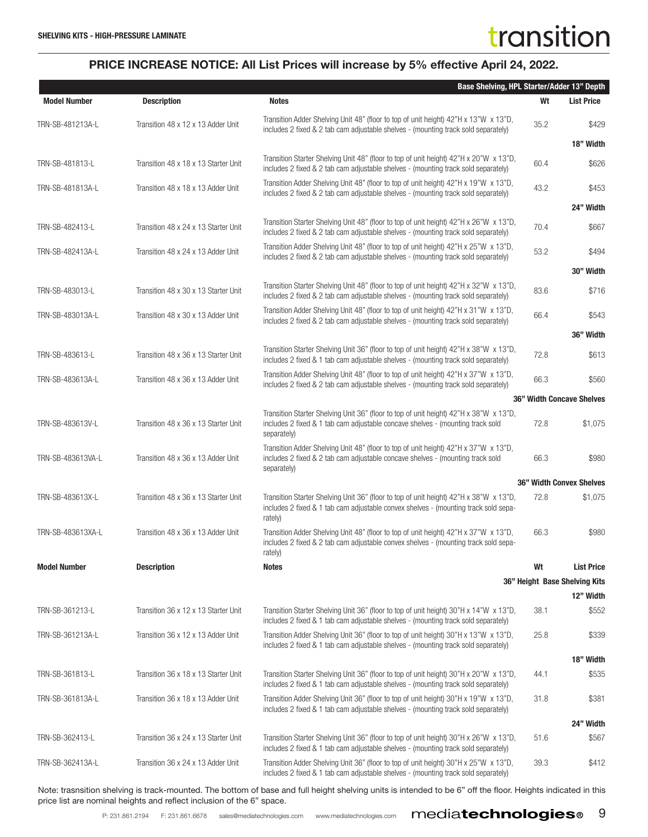|                     |                                      | <b>Base Shelving, HPL Starter/Adder 13" Depth</b>                                                                                                                                        |      |                                  |
|---------------------|--------------------------------------|------------------------------------------------------------------------------------------------------------------------------------------------------------------------------------------|------|----------------------------------|
| <b>Model Number</b> | <b>Description</b>                   | <b>Notes</b>                                                                                                                                                                             | Wt   | <b>List Price</b>                |
| TRN-SB-481213A-L    | Transition 48 x 12 x 13 Adder Unit   | Transition Adder Shelving Unit 48" (floor to top of unit height) 42"H x 13"W x 13"D,<br>includes 2 fixed & 2 tab cam adjustable shelves - (mounting track sold separately)               | 35.2 | \$429                            |
|                     |                                      |                                                                                                                                                                                          |      | 18" Width                        |
| TRN-SB-481813-L     | Transition 48 x 18 x 13 Starter Unit | Transition Starter Shelving Unit 48" (floor to top of unit height) 42"H x 20"W x 13"D,<br>includes 2 fixed & 2 tab cam adjustable shelves - (mounting track sold separately)             | 60.4 | \$626                            |
| TRN-SB-481813A-L    | Transition 48 x 18 x 13 Adder Unit   | Transition Adder Shelving Unit 48" (floor to top of unit height) 42"H x 19"W x 13"D,<br>includes 2 fixed & 2 tab cam adjustable shelves - (mounting track sold separately)               | 43.2 | \$453                            |
|                     |                                      |                                                                                                                                                                                          |      | 24" Width                        |
| TRN-SB-482413-L     | Transition 48 x 24 x 13 Starter Unit | Transition Starter Shelving Unit 48" (floor to top of unit height) 42"H x 26"W x 13"D,<br>includes 2 fixed & 2 tab cam adjustable shelves - (mounting track sold separately)             | 70.4 | \$667                            |
| TRN-SB-482413A-L    | Transition 48 x 24 x 13 Adder Unit   | Transition Adder Shelving Unit 48" (floor to top of unit height) 42"H x 25"W x 13"D,<br>includes 2 fixed & 2 tab cam adjustable shelves - (mounting track sold separately)               | 53.2 | \$494                            |
|                     |                                      |                                                                                                                                                                                          |      | 30" Width                        |
| TRN-SB-483013-L     | Transition 48 x 30 x 13 Starter Unit | Transition Starter Shelving Unit 48" (floor to top of unit height) 42"H x 32"W x 13"D,<br>includes 2 fixed & 2 tab cam adjustable shelves - (mounting track sold separately)             | 83.6 | \$716                            |
| TRN-SB-483013A-L    | Transition 48 x 30 x 13 Adder Unit   | Transition Adder Shelving Unit 48" (floor to top of unit height) 42"H x 31"W x 13"D,<br>includes 2 fixed & 2 tab cam adjustable shelves - (mounting track sold separately)               | 66.4 | \$543                            |
|                     |                                      |                                                                                                                                                                                          |      | 36" Width                        |
| TRN-SB-483613-L     | Transition 48 x 36 x 13 Starter Unit | Transition Starter Shelving Unit 36" (floor to top of unit height) 42"H x 38"W x 13"D,<br>includes 2 fixed & 1 tab cam adjustable shelves - (mounting track sold separately)             | 72.8 | \$613                            |
| TRN-SB-483613A-L    | Transition 48 x 36 x 13 Adder Unit   | Transition Adder Shelving Unit 48" (floor to top of unit height) 42"H x 37"W x 13"D,<br>includes 2 fixed & 2 tab cam adjustable shelves - (mounting track sold separately)               | 66.3 | \$560                            |
|                     |                                      |                                                                                                                                                                                          |      | <b>36" Width Concave Shelves</b> |
| TRN-SB-483613V-L    | Transition 48 x 36 x 13 Starter Unit | Transition Starter Shelving Unit 36" (floor to top of unit height) 42"H x 38"W x 13"D,<br>includes 2 fixed & 1 tab cam adjustable concave shelves - (mounting track sold<br>separately)  | 72.8 | \$1,075                          |
| TRN-SB-483613VA-L   | Transition 48 x 36 x 13 Adder Unit   | Transition Adder Shelving Unit 48" (floor to top of unit height) 42"H x 37"W x 13"D,<br>includes 2 fixed & 2 tab cam adjustable concave shelves - (mounting track sold<br>separately)    | 66.3 | \$980                            |
|                     |                                      |                                                                                                                                                                                          |      | 36" Width Convex Shelves         |
| TRN-SB-483613X-L    | Transition 48 x 36 x 13 Starter Unit | Transition Starter Shelving Unit 36" (floor to top of unit height) 42"H x 38"W x 13"D,<br>includes 2 fixed & 1 tab cam adjustable convex shelves - (mounting track sold sepa-<br>rately) | 72.8 | \$1,075                          |
| TRN-SB-483613XA-L   | Transition 48 x 36 x 13 Adder Unit   | Transition Adder Shelving Unit 48" (floor to top of unit height) 42"H x 37"W x 13"D,<br>includes 2 fixed & 2 tab cam adjustable convex shelves - (mounting track sold sepa-<br>rately)   | 66.3 | \$980                            |
| <b>Model Number</b> | <b>Description</b>                   | <b>Notes</b>                                                                                                                                                                             | Wt   | <b>List Price</b>                |
|                     |                                      |                                                                                                                                                                                          |      | 36" Height Base Shelving Kits    |
|                     |                                      |                                                                                                                                                                                          |      | 12" Width                        |
| TRN-SB-361213-L     | Transition 36 x 12 x 13 Starter Unit | Transition Starter Shelving Unit 36" (floor to top of unit height) 30"H x 14"W x 13"D,<br>includes 2 fixed & 1 tab cam adjustable shelves - (mounting track sold separately)             | 38.1 | \$552                            |
| TRN-SB-361213A-L    | Transition 36 x 12 x 13 Adder Unit   | Transition Adder Shelving Unit 36" (floor to top of unit height) 30"H x 13"W x 13"D,<br>includes 2 fixed & 1 tab cam adjustable shelves - (mounting track sold separately)               | 25.8 | \$339                            |
|                     |                                      |                                                                                                                                                                                          |      | 18" Width                        |
| TRN-SB-361813-L     | Transition 36 x 18 x 13 Starter Unit | Transition Starter Shelving Unit 36" (floor to top of unit height) 30"H x 20"W x 13"D,<br>includes 2 fixed & 1 tab cam adjustable shelves - (mounting track sold separately)             | 44.1 | \$535                            |
| TRN-SB-361813A-L    | Transition 36 x 18 x 13 Adder Unit   | Transition Adder Shelving Unit 36" (floor to top of unit height) 30"H x 19"W x 13"D,<br>includes 2 fixed & 1 tab cam adjustable shelves - (mounting track sold separately)               | 31.8 | \$381                            |
|                     |                                      |                                                                                                                                                                                          |      | 24" Width                        |
| TRN-SB-362413-L     | Transition 36 x 24 x 13 Starter Unit | Transition Starter Shelving Unit 36" (floor to top of unit height) 30"H x 26"W x 13"D,<br>includes 2 fixed & 1 tab cam adjustable shelves - (mounting track sold separately)             | 51.6 | \$567                            |
| TRN-SB-362413A-L    | Transition 36 x 24 x 13 Adder Unit   | Transition Adder Shelving Unit 36" (floor to top of unit height) 30"H x 25"W x 13"D,<br>includes 2 fixed & 1 tab cam adjustable shelves - (mounting track sold separately)               | 39.3 | \$412                            |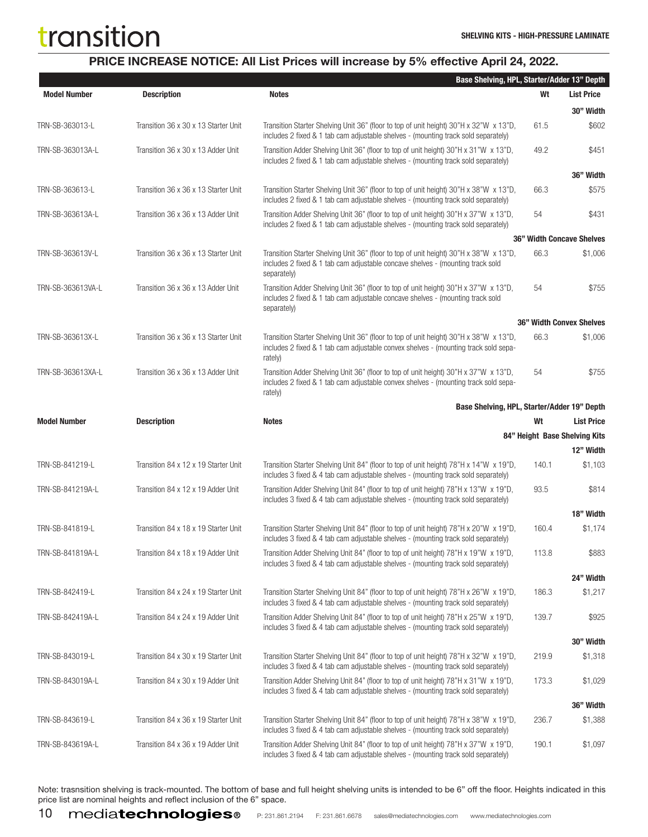### PRICE INCREASE NOTICE: All List Prices will increase by 5% effective April 24, 2022.

|                     |                                      | Base Shelving, HPL, Starter/Adder 13" Depth                                                                                                                                              |       |                                  |
|---------------------|--------------------------------------|------------------------------------------------------------------------------------------------------------------------------------------------------------------------------------------|-------|----------------------------------|
| <b>Model Number</b> | <b>Description</b>                   | <b>Notes</b>                                                                                                                                                                             | Wt    | <b>List Price</b>                |
|                     |                                      |                                                                                                                                                                                          |       | 30" Width                        |
| TRN-SB-363013-L     | Transition 36 x 30 x 13 Starter Unit | Transition Starter Shelving Unit 36" (floor to top of unit height) 30"H x 32"W x 13"D,<br>includes 2 fixed & 1 tab cam adjustable shelves - (mounting track sold separately)             | 61.5  | \$602                            |
| TRN-SB-363013A-L    | Transition 36 x 30 x 13 Adder Unit   | Transition Adder Shelving Unit 36" (floor to top of unit height) 30"H x 31"W x 13"D,<br>includes 2 fixed & 1 tab cam adjustable shelves - (mounting track sold separately)               | 49.2  | \$451                            |
|                     |                                      |                                                                                                                                                                                          |       | 36" Width                        |
| TRN-SB-363613-L     | Transition 36 x 36 x 13 Starter Unit | Transition Starter Shelving Unit 36" (floor to top of unit height) 30"H x 38"W x 13"D,<br>includes 2 fixed & 1 tab cam adjustable shelves - (mounting track sold separately)             | 66.3  | \$575                            |
| TRN-SB-363613A-L    | Transition 36 x 36 x 13 Adder Unit   | Transition Adder Shelving Unit 36" (floor to top of unit height) 30"H x 37"W x 13"D,<br>includes 2 fixed & 1 tab cam adjustable shelves - (mounting track sold separately)               | 54    | \$431                            |
|                     |                                      |                                                                                                                                                                                          |       | <b>36" Width Concave Shelves</b> |
| TRN-SB-363613V-L    | Transition 36 x 36 x 13 Starter Unit | Transition Starter Shelving Unit 36" (floor to top of unit height) 30"H x 38"W x 13"D,<br>includes 2 fixed & 1 tab cam adjustable concave shelves - (mounting track sold<br>separately)  | 66.3  | \$1,006                          |
| TRN-SB-363613VA-L   | Transition 36 x 36 x 13 Adder Unit   | Transition Adder Shelving Unit 36" (floor to top of unit height) 30"H x 37"W x 13"D,<br>includes 2 fixed & 1 tab cam adjustable concave shelves - (mounting track sold<br>separately)    | 54    | \$755                            |
|                     |                                      |                                                                                                                                                                                          |       | <b>36" Width Convex Shelves</b>  |
| TRN-SB-363613X-L    | Transition 36 x 36 x 13 Starter Unit | Transition Starter Shelving Unit 36" (floor to top of unit height) 30"H x 38"W x 13"D,<br>includes 2 fixed & 1 tab cam adjustable convex shelves - (mounting track sold sepa-<br>rately) | 66.3  | \$1,006                          |
| TRN-SB-363613XA-L   | Transition 36 x 36 x 13 Adder Unit   | Transition Adder Shelving Unit 36" (floor to top of unit height) 30"H x 37"W x 13"D,<br>includes 2 fixed & 1 tab cam adjustable convex shelves - (mounting track sold sepa-<br>rately)   | 54    | \$755                            |
|                     |                                      | Base Shelving, HPL, Starter/Adder 19" Depth                                                                                                                                              |       |                                  |
| <b>Model Number</b> | <b>Description</b>                   | <b>Notes</b>                                                                                                                                                                             | Wt    | <b>List Price</b>                |
|                     |                                      |                                                                                                                                                                                          |       | 84" Height Base Shelving Kits    |
|                     |                                      |                                                                                                                                                                                          |       | 12" Width                        |
| TRN-SB-841219-L     | Transition 84 x 12 x 19 Starter Unit | Transition Starter Shelving Unit 84" (floor to top of unit height) 78"H x 14"W x 19"D,<br>includes 3 fixed & 4 tab cam adjustable shelves - (mounting track sold separately)             | 140.1 | \$1,103                          |
| TRN-SB-841219A-L    | Transition 84 x 12 x 19 Adder Unit   | Transition Adder Shelving Unit 84" (floor to top of unit height) 78"H x 13"W x 19"D,<br>includes 3 fixed & 4 tab cam adjustable shelves - (mounting track sold separately)               | 93.5  | \$814                            |
|                     |                                      |                                                                                                                                                                                          |       | 18" Width                        |
| TRN-SB-841819-L     | Transition 84 x 18 x 19 Starter Unit | Transition Starter Shelving Unit 84" (floor to top of unit height) 78"H x 20"W x 19"D,<br>includes 3 fixed & 4 tab cam adjustable shelves - (mounting track sold separately)             | 160.4 | \$1,174                          |
| TRN-SB-841819A-L    | Transition 84 x 18 x 19 Adder Unit   | Transition Adder Shelving Unit 84" (floor to top of unit height) 78"H x 19"W x 19"D,<br>includes 3 fixed & 4 tab cam adjustable shelves - (mounting track sold separately)               | 113.8 | \$883                            |
|                     |                                      |                                                                                                                                                                                          |       | 24" Width                        |
| TRN-SB-842419-L     | Transition 84 x 24 x 19 Starter Unit | Transition Starter Shelving Unit 84" (floor to top of unit height) 78"H x 26"W x 19"D,<br>includes 3 fixed & 4 tab cam adjustable shelves - (mounting track sold separately)             | 186.3 | \$1,217                          |
| TRN-SB-842419A-L    | Transition 84 x 24 x 19 Adder Unit   | Transition Adder Shelving Unit 84" (floor to top of unit height) 78"H x 25"W x 19"D,<br>includes 3 fixed & 4 tab cam adjustable shelves - (mounting track sold separately)               | 139.7 | \$925                            |
|                     |                                      |                                                                                                                                                                                          |       | 30" Width                        |
| TRN-SB-843019-L     | Transition 84 x 30 x 19 Starter Unit | Transition Starter Shelving Unit 84" (floor to top of unit height) 78"H x 32"W x 19"D,<br>includes 3 fixed & 4 tab cam adjustable shelves - (mounting track sold separately)             | 219.9 | \$1,318                          |
| TRN-SB-843019A-L    | Transition 84 x 30 x 19 Adder Unit   | Transition Adder Shelving Unit 84" (floor to top of unit height) 78"H x 31"W x 19"D,<br>includes 3 fixed & 4 tab cam adjustable shelves - (mounting track sold separately)               | 173.3 | \$1,029                          |
|                     |                                      |                                                                                                                                                                                          |       | 36" Width                        |
| TRN-SB-843619-L     | Transition 84 x 36 x 19 Starter Unit | Transition Starter Shelving Unit 84" (floor to top of unit height) 78"H x 38"W x 19"D,<br>includes 3 fixed & 4 tab cam adjustable shelves - (mounting track sold separately)             | 236.7 | \$1,388                          |
| TRN-SB-843619A-L    | Transition 84 x 36 x 19 Adder Unit   | Transition Adder Shelving Unit 84" (floor to top of unit height) 78"H x 37"W x 19"D,<br>includes 3 fixed & 4 tab cam adjustable shelves - (mounting track sold separately)               | 190.1 | \$1,097                          |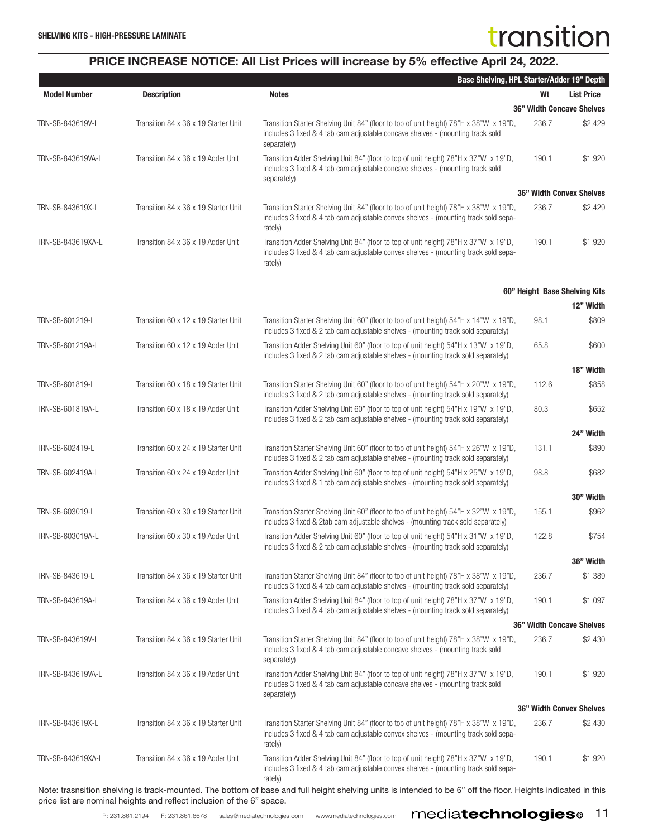### PRICE INCREASE NOTICE: All List Prices will increase by 5% effective April 24, 2022.

|                     |                                                                       | Base Shelving, HPL Starter/Adder 19" Depth                                                                                                                                               |       |                                  |
|---------------------|-----------------------------------------------------------------------|------------------------------------------------------------------------------------------------------------------------------------------------------------------------------------------|-------|----------------------------------|
| <b>Model Number</b> | <b>Description</b>                                                    | <b>Notes</b>                                                                                                                                                                             | Wt    | <b>List Price</b>                |
|                     |                                                                       |                                                                                                                                                                                          |       | <b>36" Width Concave Shelves</b> |
| TRN-SB-843619V-L    | Transition 84 x 36 x 19 Starter Unit                                  | Transition Starter Shelving Unit 84" (floor to top of unit height) 78"H x 38"W x 19"D,<br>includes 3 fixed & 4 tab cam adjustable concave shelves - (mounting track sold<br>separately)  | 236.7 | \$2,429                          |
| TRN-SB-843619VA-L   | Transition 84 x 36 x 19 Adder Unit                                    | Transition Adder Shelving Unit 84" (floor to top of unit height) 78"H x 37"W x 19"D,<br>includes 3 fixed & 4 tab cam adjustable concave shelves - (mounting track sold<br>separately)    | 190.1 | \$1,920                          |
|                     |                                                                       |                                                                                                                                                                                          |       | <b>36" Width Convex Shelves</b>  |
| TRN-SB-843619X-L    | Transition 84 x 36 x 19 Starter Unit                                  | Transition Starter Shelving Unit 84" (floor to top of unit height) 78"H x 38"W x 19"D,<br>includes 3 fixed & 4 tab cam adjustable convex shelves - (mounting track sold sepa-<br>rately) | 236.7 | \$2,429                          |
| TRN-SB-843619XA-L   | Transition 84 x 36 x 19 Adder Unit                                    | Transition Adder Shelving Unit 84" (floor to top of unit height) 78"H x 37"W x 19"D,<br>includes 3 fixed & 4 tab cam adjustable convex shelves - (mounting track sold sepa-<br>rately)   | 190.1 | \$1,920                          |
|                     |                                                                       |                                                                                                                                                                                          |       | 60" Height Base Shelving Kits    |
|                     |                                                                       |                                                                                                                                                                                          |       | 12" Width                        |
| TRN-SB-601219-L     | Transition 60 x 12 x 19 Starter Unit                                  | Transition Starter Shelving Unit 60" (floor to top of unit height) 54"H x 14"W x 19"D,<br>includes 3 fixed & 2 tab cam adjustable shelves - (mounting track sold separately)             | 98.1  | \$809                            |
| TRN-SB-601219A-L    | Transition 60 x 12 x 19 Adder Unit                                    | Transition Adder Shelving Unit 60" (floor to top of unit height) 54"H x 13"W x 19"D,<br>includes 3 fixed & 2 tab cam adjustable shelves - (mounting track sold separately)               | 65.8  | \$600                            |
|                     |                                                                       |                                                                                                                                                                                          |       | 18" Width                        |
| TRN-SB-601819-L     | Transition 60 x 18 x 19 Starter Unit                                  | Transition Starter Shelving Unit 60" (floor to top of unit height) 54"H x 20"W x 19"D,<br>includes 3 fixed & 2 tab cam adjustable shelves - (mounting track sold separately)             | 112.6 | \$858                            |
| TRN-SB-601819A-L    | Transition 60 x 18 x 19 Adder Unit                                    | Transition Adder Shelving Unit 60" (floor to top of unit height) 54"H x 19"W x 19"D,<br>includes 3 fixed & 2 tab cam adjustable shelves - (mounting track sold separately)               | 80.3  | \$652                            |
|                     |                                                                       |                                                                                                                                                                                          |       | 24" Width                        |
| TRN-SB-602419-L     | Transition 60 x 24 x 19 Starter Unit                                  | Transition Starter Shelving Unit 60" (floor to top of unit height) 54"H x 26"W x 19"D,<br>includes 3 fixed & 2 tab cam adjustable shelves - (mounting track sold separately)             | 131.1 | \$890                            |
| TRN-SB-602419A-L    | Transition 60 x 24 x 19 Adder Unit                                    | Transition Adder Shelving Unit 60" (floor to top of unit height) 54"H x 25"W x 19"D,<br>includes 3 fixed & 1 tab cam adjustable shelves - (mounting track sold separately)               | 98.8  | \$682                            |
|                     |                                                                       |                                                                                                                                                                                          |       | 30" Width                        |
| TRN-SB-603019-L     | Transition 60 x 30 x 19 Starter Unit                                  | Transition Starter Shelving Unit 60" (floor to top of unit height) 54"H x 32"W x 19"D,<br>includes 3 fixed & 2tab cam adjustable shelves - (mounting track sold separately)              | 155.1 | \$962                            |
| TRN-SB-603019A-L    | Transition 60 x 30 x 19 Adder Unit                                    | Transition Adder Shelving Unit 60" (floor to top of unit height) 54"H x 31"W x 19"D,<br>includes 3 fixed & 2 tab cam adjustable shelves - (mounting track sold separately)               | 122.8 | \$754                            |
|                     |                                                                       |                                                                                                                                                                                          |       | 36" Width                        |
| TRN-SB-843619-L     | Transition 84 x 36 x 19 Starter Unit                                  | Transition Starter Shelving Unit 84" (floor to top of unit height) 78"H x 38"W x 19"D,<br>includes 3 fixed & 4 tab cam adjustable shelves - (mounting track sold separately)             | 236.7 | \$1,389                          |
| TRN-SB-843619A-L    | Transition 84 x 36 x 19 Adder Unit                                    | Transition Adder Shelving Unit 84" (floor to top of unit height) 78"H x 37"W x 19"D,<br>includes 3 fixed & 4 tab cam adjustable shelves - (mounting track sold separately)               | 190.1 | \$1,097                          |
|                     |                                                                       |                                                                                                                                                                                          |       | <b>36" Width Concave Shelves</b> |
| TRN-SB-843619V-L    | Transition 84 x 36 x 19 Starter Unit                                  | Transition Starter Shelving Unit 84" (floor to top of unit height) 78"H x 38"W x 19"D,<br>includes 3 fixed & 4 tab cam adjustable concave shelves - (mounting track sold<br>separately)  | 236.7 | \$2,430                          |
| TRN-SB-843619VA-L   | Transition 84 x 36 x 19 Adder Unit                                    | Transition Adder Shelving Unit 84" (floor to top of unit height) 78"H x 37"W x 19"D,<br>includes 3 fixed & 4 tab cam adjustable concave shelves - (mounting track sold<br>separately)    | 190.1 | \$1,920                          |
|                     |                                                                       |                                                                                                                                                                                          |       | <b>36" Width Convex Shelves</b>  |
| TRN-SB-843619X-L    | Transition 84 x 36 x 19 Starter Unit                                  | Transition Starter Shelving Unit 84" (floor to top of unit height) 78"H x 38"W x 19"D,<br>includes 3 fixed & 4 tab cam adjustable convex shelves - (mounting track sold sepa-<br>rately) | 236.7 | \$2,430                          |
| TRN-SB-843619XA-L   | Transition 84 x 36 x 19 Adder Unit                                    | Transition Adder Shelving Unit 84" (floor to top of unit height) 78"H x 37"W x 19"D,<br>includes 3 fixed & 4 tab cam adjustable convex shelves - (mounting track sold sepa-<br>rately)   | 190.1 | \$1,920                          |
|                     | price list are nominal heights and reflect inclusion of the 6" space. | Note: trasnsition shelving is track-mounted. The bottom of base and full height shelving units is intended to be 6" off the floor. Heights indicated in this                             |       |                                  |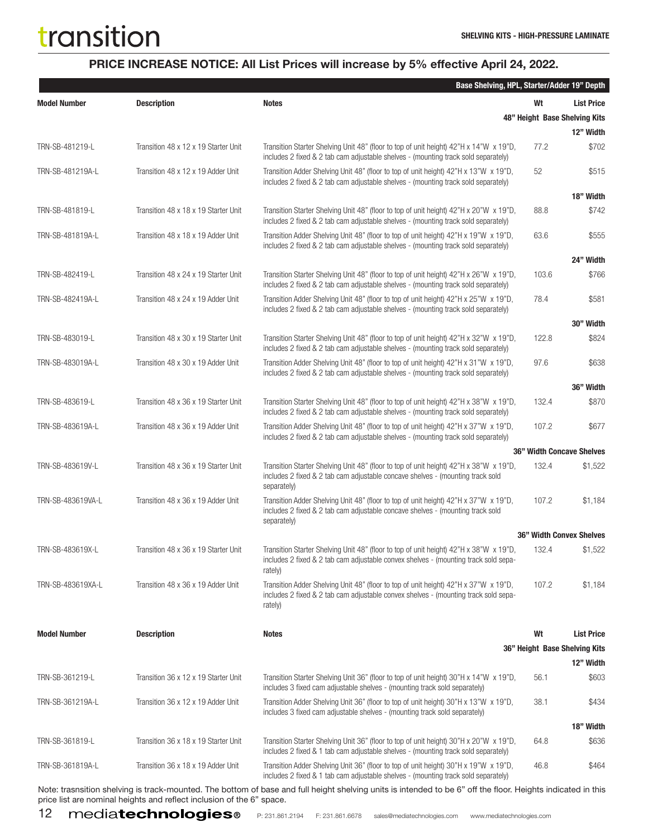### PRICE INCREASE NOTICE: All List Prices will increase by 5% effective April 24, 2022.

|                     |                                      | Base Shelving, HPL, Starter/Adder 19" Depth                                                                                                                                              |       |                                  |
|---------------------|--------------------------------------|------------------------------------------------------------------------------------------------------------------------------------------------------------------------------------------|-------|----------------------------------|
| <b>Model Number</b> | <b>Description</b>                   | <b>Notes</b>                                                                                                                                                                             | Wt    | <b>List Price</b>                |
|                     |                                      |                                                                                                                                                                                          |       | 48" Height Base Shelving Kits    |
|                     |                                      |                                                                                                                                                                                          |       | 12" Width                        |
| TRN-SB-481219-L     | Transition 48 x 12 x 19 Starter Unit | Transition Starter Shelving Unit 48" (floor to top of unit height) 42"H x 14"W x 19"D,<br>includes 2 fixed & 2 tab cam adjustable shelves - (mounting track sold separately)             | 77.2  | \$702                            |
| TRN-SB-481219A-L    | Transition 48 x 12 x 19 Adder Unit   | Transition Adder Shelving Unit 48" (floor to top of unit height) 42"H x 13"W x 19"D,<br>includes 2 fixed & 2 tab cam adjustable shelves - (mounting track sold separately)               | 52    | \$515                            |
|                     |                                      |                                                                                                                                                                                          |       | 18" Width                        |
| TRN-SB-481819-L     | Transition 48 x 18 x 19 Starter Unit | Transition Starter Shelving Unit 48" (floor to top of unit height) 42"H x 20"W x 19"D,<br>includes 2 fixed & 2 tab cam adjustable shelves - (mounting track sold separately)             | 88.8  | \$742                            |
| TRN-SB-481819A-L    | Transition 48 x 18 x 19 Adder Unit   | Transition Adder Shelving Unit 48" (floor to top of unit height) 42"H x 19"W x 19"D,<br>includes 2 fixed & 2 tab cam adjustable shelves - (mounting track sold separately)               | 63.6  | \$555                            |
|                     |                                      |                                                                                                                                                                                          |       | 24" Width                        |
| TRN-SB-482419-L     | Transition 48 x 24 x 19 Starter Unit | Transition Starter Shelving Unit 48" (floor to top of unit height) 42"H x 26"W x 19"D,<br>includes 2 fixed & 2 tab cam adjustable shelves - (mounting track sold separately)             | 103.6 | \$766                            |
| TRN-SB-482419A-L    | Transition 48 x 24 x 19 Adder Unit   | Transition Adder Shelving Unit 48" (floor to top of unit height) 42"H x 25"W x 19"D,<br>includes 2 fixed & 2 tab cam adjustable shelves - (mounting track sold separately)               | 78.4  | \$581                            |
|                     |                                      |                                                                                                                                                                                          |       | 30" Width                        |
| TRN-SB-483019-L     | Transition 48 x 30 x 19 Starter Unit | Transition Starter Shelving Unit 48" (floor to top of unit height) 42"H x 32"W x 19"D,<br>includes 2 fixed & 2 tab cam adjustable shelves - (mounting track sold separately)             | 122.8 | \$824                            |
| TRN-SB-483019A-L    | Transition 48 x 30 x 19 Adder Unit   | Transition Adder Shelving Unit 48" (floor to top of unit height) 42"H x 31"W x 19"D,<br>includes 2 fixed & 2 tab cam adjustable shelves - (mounting track sold separately)               | 97.6  | \$638                            |
|                     |                                      |                                                                                                                                                                                          |       | 36" Width                        |
| TRN-SB-483619-L     | Transition 48 x 36 x 19 Starter Unit | Transition Starter Shelving Unit 48" (floor to top of unit height) 42"H x 38"W x 19"D,<br>includes 2 fixed & 2 tab cam adjustable shelves - (mounting track sold separately)             | 132.4 | \$870                            |
| TRN-SB-483619A-L    | Transition 48 x 36 x 19 Adder Unit   | Transition Adder Shelving Unit 48" (floor to top of unit height) 42"H x 37"W x 19"D,<br>includes 2 fixed & 2 tab cam adjustable shelves - (mounting track sold separately)               | 107.2 | \$677                            |
|                     |                                      |                                                                                                                                                                                          |       | <b>36" Width Concave Shelves</b> |
| TRN-SB-483619V-L    | Transition 48 x 36 x 19 Starter Unit | Transition Starter Shelving Unit 48" (floor to top of unit height) 42"H x 38"W x 19"D,<br>includes 2 fixed & 2 tab cam adjustable concave shelves - (mounting track sold<br>separately)  | 132.4 | \$1,522                          |
| TRN-SB-483619VA-L   | Transition 48 x 36 x 19 Adder Unit   | Transition Adder Shelving Unit 48" (floor to top of unit height) 42"H x 37"W x 19"D,<br>includes 2 fixed & 2 tab cam adjustable concave shelves - (mounting track sold<br>separately)    | 107.2 | \$1,184                          |
|                     |                                      |                                                                                                                                                                                          |       | <b>36" Width Convex Shelves</b>  |
| TRN-SB-483619X-L    | Transition 48 x 36 x 19 Starter Unit | Transition Starter Shelving Unit 48" (floor to top of unit height) 42"H x 38"W x 19"D,<br>includes 2 fixed & 2 tab cam adjustable convex shelves - (mounting track sold sepa-<br>rately) | 132.4 | \$1,522                          |
| TRN-SB-483619XA-L   | Transition 48 x 36 x 19 Adder Unit   | Transition Adder Shelving Unit 48" (floor to top of unit height) 42"H x 37"W x 19"D,<br>includes 2 fixed & 2 tab cam adjustable convex shelves - (mounting track sold sepa-<br>rately)   | 107.2 | \$1,184                          |
| <b>Model Number</b> | <b>Description</b>                   | <b>Notes</b>                                                                                                                                                                             | Wt    | <b>List Price</b>                |
|                     |                                      |                                                                                                                                                                                          |       | 36" Height Base Shelving Kits    |
|                     |                                      |                                                                                                                                                                                          |       | 12" Width                        |
| TRN-SB-361219-L     | Transition 36 x 12 x 19 Starter Unit | Transition Starter Shelving Unit 36" (floor to top of unit height) 30"H x 14"W x 19"D,<br>includes 3 fixed cam adjustable shelves - (mounting track sold separately)                     | 56.1  | \$603                            |
| TRN-SB-361219A-L    | Transition 36 x 12 x 19 Adder Unit   | Transition Adder Shelving Unit 36" (floor to top of unit height) 30"H x 13"W x 19"D,<br>includes 3 fixed cam adjustable shelves - (mounting track sold separately)                       | 38.1  | \$434                            |
|                     |                                      |                                                                                                                                                                                          |       | 18" Width                        |
| TRN-SB-361819-L     | Transition 36 x 18 x 19 Starter Unit | Transition Starter Shelving Unit 36" (floor to top of unit height) 30"H x 20"W x 19"D,<br>includes 2 fixed & 1 tab cam adjustable shelves - (mounting track sold separately)             | 64.8  | \$636                            |
| TRN-SB-361819A-L    | Transition 36 x 18 x 19 Adder Unit   | Transition Adder Shelving Unit 36" (floor to top of unit height) 30"H x 19"W x 19"D,<br>includes 2 fixed & 1 tab cam adjustable shelves - (mounting track sold separately)               | 46.8  | \$464                            |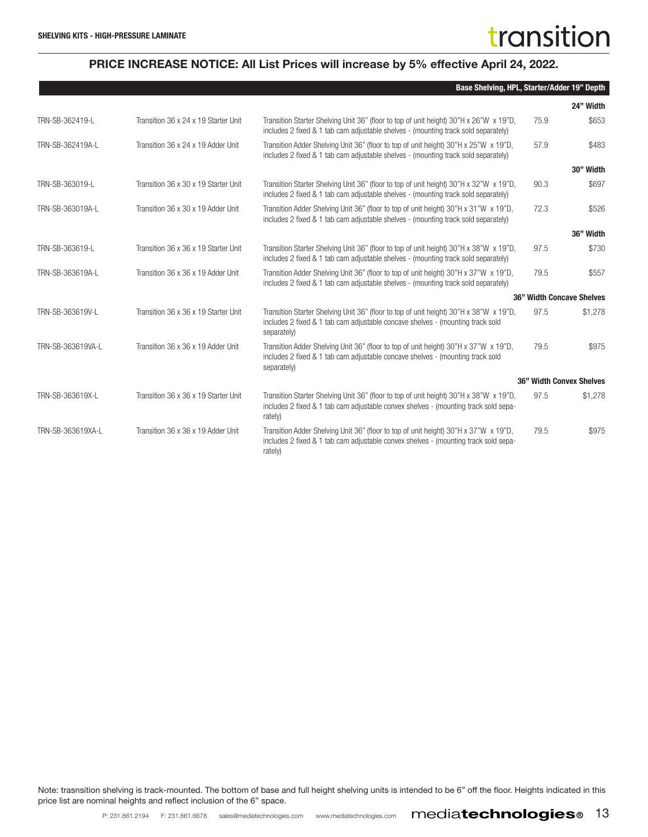#### PRICE INCREASE NOTICE: All List Prices will increase by 5% effective April 24, 2022.

|                   |                                      | Base Shelving, HPL, Starter/Adder 19" Depth                                                                                                                                              |      |                           |
|-------------------|--------------------------------------|------------------------------------------------------------------------------------------------------------------------------------------------------------------------------------------|------|---------------------------|
|                   |                                      |                                                                                                                                                                                          |      | 24" Width                 |
| TRN-SB-362419-L   | Transition 36 x 24 x 19 Starter Unit | Transition Starter Shelving Unit 36" (floor to top of unit height) 30"H x 26"W x 19"D,<br>includes 2 fixed & 1 tab cam adjustable shelves - (mounting track sold separately)             | 75.9 | \$653                     |
| TRN-SB-362419A-L  | Transition 36 x 24 x 19 Adder Unit   | Transition Adder Shelving Unit 36" (floor to top of unit height) 30"H x 25"W x 19"D,<br>includes 2 fixed & 1 tab cam adjustable shelves - (mounting track sold separately)               | 57.9 | \$483                     |
|                   |                                      |                                                                                                                                                                                          |      | 30" Width                 |
| TRN-SB-363019-L   | Transition 36 x 30 x 19 Starter Unit | Transition Starter Shelving Unit 36" (floor to top of unit height) 30"H x 32"W x 19"D,<br>includes 2 fixed & 1 tab cam adjustable shelves - (mounting track sold separately)             | 90.3 | \$697                     |
| TRN-SB-363019A-L  | Transition 36 x 30 x 19 Adder Unit   | Transition Adder Shelving Unit 36" (floor to top of unit height) 30"H x 31"W x 19"D,<br>includes 2 fixed & 1 tab cam adjustable shelves - (mounting track sold separately)               | 72.3 | \$526                     |
|                   |                                      |                                                                                                                                                                                          |      | 36" Width                 |
| TRN-SB-363619-L   | Transition 36 x 36 x 19 Starter Unit | Transition Starter Shelving Unit 36" (floor to top of unit height) 30"H x 38"W x 19"D,<br>includes 2 fixed & 1 tab cam adjustable shelves - (mounting track sold separately)             | 97.5 | \$730                     |
| TRN-SB-363619A-L  | Transition 36 x 36 x 19 Adder Unit   | Transition Adder Shelving Unit 36" (floor to top of unit height) 30"H x 37"W x 19"D,<br>includes 2 fixed & 1 tab cam adjustable shelves - (mounting track sold separately)               | 79.5 | \$557                     |
|                   |                                      |                                                                                                                                                                                          |      | 36" Width Concave Shelves |
| TRN-SB-363619V-L  | Transition 36 x 36 x 19 Starter Unit | Transition Starter Shelving Unit 36" (floor to top of unit height) 30"H x 38"W x 19"D,<br>includes 2 fixed & 1 tab cam adjustable concave shelves - (mounting track sold<br>separately)  | 97.5 | \$1,278                   |
| TRN-SB-363619VA-L | Transition 36 x 36 x 19 Adder Unit   | Transition Adder Shelving Unit 36" (floor to top of unit height) 30"H x 37"W x 19"D,<br>includes 2 fixed & 1 tab cam adjustable concave shelves - (mounting track sold<br>separately)    | 79.5 | \$975                     |
|                   |                                      |                                                                                                                                                                                          |      | 36" Width Convex Shelves  |
| TRN-SB-363619X-L  | Transition 36 x 36 x 19 Starter Unit | Transition Starter Shelving Unit 36" (floor to top of unit height) 30"H x 38"W x 19"D,<br>includes 2 fixed & 1 tab cam adjustable convex shelves - (mounting track sold sepa-<br>rately) | 97.5 | \$1,278                   |
| TRN-SB-363619XA-L | Transition 36 x 36 x 19 Adder Unit   | Transition Adder Shelving Unit 36" (floor to top of unit height) 30"H x 37"W x 19"D,<br>includes 2 fixed & 1 tab cam adjustable convex shelves - (mounting track sold sepa-<br>rately)   | 79.5 | \$975                     |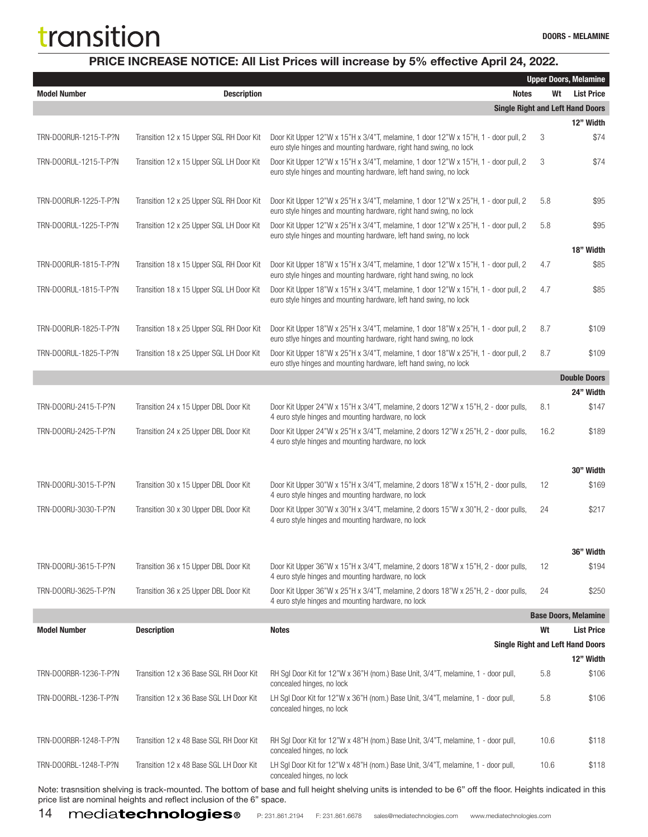### PRICE INCREASE NOTICE: All List Prices will increase by 5% effective April 24, 2022.

|                       |                                          |                                                                                                                                                          |      | <b>Upper Doors, Melamine</b> |
|-----------------------|------------------------------------------|----------------------------------------------------------------------------------------------------------------------------------------------------------|------|------------------------------|
| <b>Model Number</b>   | <b>Description</b>                       | <b>Notes</b>                                                                                                                                             | Wt   | <b>List Price</b>            |
|                       |                                          | <b>Single Right and Left Hand Doors</b>                                                                                                                  |      |                              |
|                       |                                          |                                                                                                                                                          |      | 12" Width                    |
| TRN-DOORUR-1215-T-P?N | Transition 12 x 15 Upper SGL RH Door Kit | Door Kit Upper 12"W x 15"H x 3/4"T, melamine, 1 door 12"W x 15"H, 1 - door pull, 2<br>euro style hinges and mounting hardware, right hand swing, no lock | 3    | \$74                         |
| TRN-DOORUL-1215-T-P?N | Transition 12 x 15 Upper SGL LH Door Kit | Door Kit Upper 12"W x 15"H x 3/4"T, melamine, 1 door 12"W x 15"H, 1 - door pull, 2<br>euro style hinges and mounting hardware, left hand swing, no lock  | 3    | \$74                         |
| TRN-DOORUR-1225-T-P?N | Transition 12 x 25 Upper SGL RH Door Kit | Door Kit Upper 12"W x 25"H x 3/4"T, melamine, 1 door 12"W x 25"H, 1 - door pull, 2<br>euro style hinges and mounting hardware, right hand swing, no lock | 5.8  | \$95                         |
| TRN-DOORUL-1225-T-P?N | Transition 12 x 25 Upper SGL LH Door Kit | Door Kit Upper 12"W x 25"H x 3/4"T, melamine, 1 door 12"W x 25"H, 1 - door pull, 2<br>euro style hinges and mounting hardware, left hand swing, no lock  | 5.8  | \$95                         |
|                       |                                          |                                                                                                                                                          |      | 18" Width                    |
| TRN-DOORUR-1815-T-P?N | Transition 18 x 15 Upper SGL RH Door Kit | Door Kit Upper 18"W x 15"H x 3/4"T, melamine, 1 door 12"W x 15"H, 1 - door pull, 2<br>euro style hinges and mounting hardware, right hand swing, no lock | 4.7  | \$85                         |
| TRN-DOORUL-1815-T-P?N | Transition 18 x 15 Upper SGL LH Door Kit | Door Kit Upper 18"W x 15"H x 3/4"T, melamine, 1 door 12"W x 15"H, 1 - door pull, 2<br>euro style hinges and mounting hardware, left hand swing, no lock  | 4.7  | \$85                         |
| TRN-DOORUR-1825-T-P?N | Transition 18 x 25 Upper SGL RH Door Kit | Door Kit Upper 18"W x 25"H x 3/4"T, melamine, 1 door 18"W x 25"H, 1 - door pull, 2<br>euro stlye hinges and mounting hardware, right hand swing, no lock | 8.7  | \$109                        |
| TRN-DOORUL-1825-T-P?N | Transition 18 x 25 Upper SGL LH Door Kit | Door Kit Upper 18"W x 25"H x 3/4"T, melamine, 1 door 18"W x 25"H, 1 - door pull, 2<br>euro stlye hinges and mounting hardware, left hand swing, no lock  | 8.7  | \$109                        |
|                       |                                          |                                                                                                                                                          |      | <b>Double Doors</b>          |
|                       |                                          |                                                                                                                                                          |      | 24" Width                    |
| TRN-DOORU-2415-T-P?N  | Transition 24 x 15 Upper DBL Door Kit    | Door Kit Upper 24"W x 15"H x 3/4"T, melamine, 2 doors 12"W x 15"H, 2 - door pulls,<br>4 euro style hinges and mounting hardware, no lock                 | 8.1  | \$147                        |
| TRN-DOORU-2425-T-P?N  | Transition 24 x 25 Upper DBL Door Kit    | Door Kit Upper 24"W x 25"H x 3/4"T, melamine, 2 doors 12"W x 25"H, 2 - door pulls,<br>4 euro style hinges and mounting hardware, no lock                 | 16.2 | \$189                        |
|                       |                                          |                                                                                                                                                          |      |                              |
|                       |                                          |                                                                                                                                                          |      | 30" Width                    |
| TRN-DOORU-3015-T-P?N  | Transition 30 x 15 Upper DBL Door Kit    | Door Kit Upper 30"W x 15"H x 3/4"T, melamine, 2 doors 18"W x 15"H, 2 - door pulls,<br>4 euro style hinges and mounting hardware, no lock                 | 12   | \$169                        |
| TRN-DOORU-3030-T-P?N  | Transition 30 x 30 Upper DBL Door Kit    | Door Kit Upper 30"W x 30"H x 3/4"T, melamine, 2 doors 15"W x 30"H, 2 - door pulls,<br>4 euro style hinges and mounting hardware, no lock                 | 24   | \$217                        |
|                       |                                          |                                                                                                                                                          |      |                              |
| TRN-DOORU-3615-T-P?N  | Transition 36 x 15 Upper DBL Door Kit    | Door Kit Upper 36"W x 15"H x 3/4"T, melamine, 2 doors 18"W x 15"H, 2 - door pulls,                                                                       | 12   | 36" Width<br>\$194           |
| TRN-DOORU-3625-T-P?N  | Transition 36 x 25 Upper DBL Door Kit    | 4 euro style hinges and mounting hardware, no lock<br>Door Kit Upper 36"W x 25"H x 3/4"T, melamine, 2 doors 18"W x 25"H, 2 - door pulls,                 | 24   | \$250                        |
|                       |                                          | 4 euro style hinges and mounting hardware, no lock                                                                                                       |      | <b>Base Doors, Melamine</b>  |
| <b>Model Number</b>   |                                          |                                                                                                                                                          | Wt   |                              |
|                       | <b>Description</b>                       | <b>Notes</b>                                                                                                                                             |      | <b>List Price</b>            |
|                       |                                          | <b>Single Right and Left Hand Doors</b>                                                                                                                  |      |                              |
|                       |                                          |                                                                                                                                                          |      | 12" Width                    |
| TRN-DOORBR-1236-T-P?N | Transition 12 x 36 Base SGL RH Door Kit  | RH Sgl Door Kit for 12"W x 36"H (nom.) Base Unit, 3/4"T, melamine, 1 - door pull,<br>concealed hinges, no lock                                           | 5.8  | \$106                        |
| TRN-DOORBL-1236-T-P?N | Transition 12 x 36 Base SGL LH Door Kit  | LH Sgl Door Kit for 12"W x 36"H (nom.) Base Unit, 3/4"T, melamine, 1 - door pull,<br>concealed hinges, no lock                                           | 5.8  | \$106                        |
| TRN-DOORBR-1248-T-P?N | Transition 12 x 48 Base SGL RH Door Kit  | RH Sgl Door Kit for 12"W x 48"H (nom.) Base Unit, 3/4"T, melamine, 1 - door pull,<br>concealed hinges, no lock                                           | 10.6 | \$118                        |
| TRN-DOORBL-1248-T-P?N | Transition 12 x 48 Base SGL LH Door Kit  | LH Sgl Door Kit for 12"W x 48"H (nom.) Base Unit, 3/4"T, melamine, 1 - door pull,<br>concealed hinges, no lock                                           | 10.6 | \$118                        |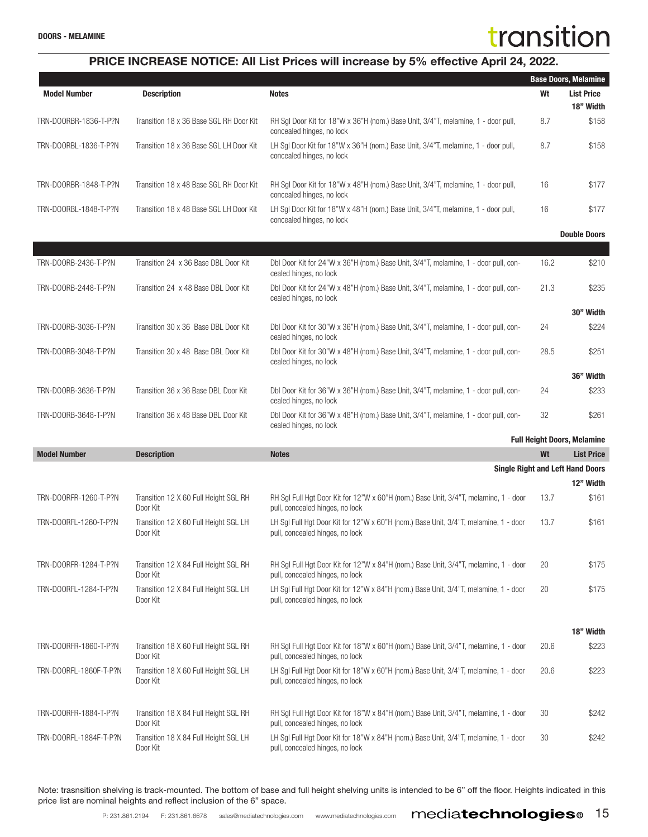### PRICE INCREASE NOTICE: All List Prices will increase by 5% effective April 24, 2022.

|                        |                                                   |                                                                                                                         |      | <b>Base Doors, Melamine</b>                          |
|------------------------|---------------------------------------------------|-------------------------------------------------------------------------------------------------------------------------|------|------------------------------------------------------|
| <b>Model Number</b>    | <b>Description</b>                                | <b>Notes</b>                                                                                                            | Wt   | <b>List Price</b><br>18" Width                       |
| TRN-DOORBR-1836-T-P?N  | Transition 18 x 36 Base SGL RH Door Kit           | RH Sgl Door Kit for 18"W x 36"H (nom.) Base Unit, 3/4"T, melamine, 1 - door pull,<br>concealed hinges, no lock          | 8.7  | \$158                                                |
| TRN-DOORBL-1836-T-P?N  | Transition 18 x 36 Base SGL LH Door Kit           | LH Sgl Door Kit for 18"W x 36"H (nom.) Base Unit, 3/4"T, melamine, 1 - door pull,<br>concealed hinges, no lock          | 8.7  | \$158                                                |
| TRN-DOORBR-1848-T-P?N  | Transition 18 x 48 Base SGL RH Door Kit           | RH Sgl Door Kit for 18"W x 48"H (nom.) Base Unit, 3/4"T, melamine, 1 - door pull,<br>concealed hinges, no lock          | 16   | \$177                                                |
| TRN-DOORBL-1848-T-P?N  | Transition 18 x 48 Base SGL LH Door Kit           | LH Sgl Door Kit for 18"W x 48"H (nom.) Base Unit, 3/4"T, melamine, 1 - door pull,<br>concealed hinges, no lock          | 16   | \$177                                                |
|                        |                                                   |                                                                                                                         |      | <b>Double Doors</b>                                  |
| TRN-DOORB-2436-T-P?N   | Transition 24 x 36 Base DBL Door Kit              | Dbl Door Kit for 24"W x 36"H (nom.) Base Unit, 3/4"T, melamine, 1 - door pull, con-<br>cealed hinges, no lock           | 16.2 | \$210                                                |
| TRN-DOORB-2448-T-P?N   | Transition 24 x 48 Base DBL Door Kit              | Dbl Door Kit for 24"W x 48"H (nom.) Base Unit, 3/4"T, melamine, 1 - door pull, con-<br>cealed hinges, no lock           | 21.3 | \$235                                                |
|                        |                                                   |                                                                                                                         |      | 30" Width                                            |
| TRN-DOORB-3036-T-P?N   | Transition 30 x 36 Base DBL Door Kit              | Dbl Door Kit for 30"W x 36"H (nom.) Base Unit, 3/4"T, melamine, 1 - door pull, con-<br>cealed hinges, no lock           | 24   | \$224                                                |
| TRN-DOORB-3048-T-P?N   | Transition 30 x 48 Base DBL Door Kit              | Dbl Door Kit for 30"W x 48"H (nom.) Base Unit, 3/4"T, melamine, 1 - door pull, con-<br>cealed hinges, no lock           | 28.5 | \$251                                                |
|                        |                                                   |                                                                                                                         |      | 36" Width                                            |
| TRN-DOORB-3636-T-P?N   | Transition 36 x 36 Base DBL Door Kit              | Dbl Door Kit for 36"W x 36"H (nom.) Base Unit, 3/4"T, melamine, 1 - door pull, con-<br>cealed hinges, no lock           | 24   | \$233                                                |
| TRN-DOORB-3648-T-P?N   | Transition 36 x 48 Base DBL Door Kit              | Dbl Door Kit for 36"W x 48"H (nom.) Base Unit, 3/4"T, melamine, 1 - door pull, con-<br>cealed hinges, no lock           | 32   | \$261                                                |
|                        |                                                   |                                                                                                                         |      | <b>Full Height Doors, Melamine</b>                   |
| <b>Model Number</b>    | <b>Description</b>                                | <b>Notes</b>                                                                                                            | Wt   | <b>List Price</b>                                    |
|                        |                                                   |                                                                                                                         |      | <b>Single Right and Left Hand Doors</b><br>12" Width |
| TRN-DOORFR-1260-T-P?N  | Transition 12 X 60 Full Height SGL RH<br>Door Kit | RH SgI Full Hgt Door Kit for 12"W x 60"H (nom.) Base Unit, 3/4"T, melamine, 1 - door<br>pull, concealed hinges, no lock | 13.7 | \$161                                                |
| TRN-DOORFL-1260-T-P?N  | Transition 12 X 60 Full Height SGL LH<br>Door Kit | LH Sgl Full Hgt Door Kit for 12"W x 60"H (nom.) Base Unit, 3/4"T, melamine, 1 - door<br>pull, concealed hinges, no lock | 13.7 | \$161                                                |
| TRN-DOORFR-1284-T-P?N  | Transition 12 X 84 Full Height SGL RH<br>Door Kit | RH SgI Full Hgt Door Kit for 12"W x 84"H (nom.) Base Unit, 3/4"T, melamine, 1 - door<br>pull, concealed hinges, no lock | 20   | \$175                                                |
| TRN-DOORFL-1284-T-P?N  | Transition 12 X 84 Full Height SGL LH<br>Door Kit | LH SgI Full Hgt Door Kit for 12"W x 84"H (nom.) Base Unit, 3/4"T, melamine, 1 - door<br>pull, concealed hinges, no lock | 20   | \$175                                                |
|                        |                                                   |                                                                                                                         |      |                                                      |
| TRN-DOORFR-1860-T-P?N  | Transition 18 X 60 Full Height SGL RH<br>Door Kit | RH Sgl Full Hgt Door Kit for 18"W x 60"H (nom.) Base Unit, 3/4"T, melamine, 1 - door<br>pull, concealed hinges, no lock | 20.6 | 18" Width<br>\$223                                   |
| TRN-DOORFL-1860F-T-P?N | Transition 18 X 60 Full Height SGL LH<br>Door Kit | LH SgI Full Hgt Door Kit for 18"W x 60"H (nom.) Base Unit, 3/4"T, melamine, 1 - door<br>pull, concealed hinges, no lock | 20.6 | \$223                                                |
|                        |                                                   |                                                                                                                         |      |                                                      |
| TRN-DOORFR-1884-T-P?N  | Transition 18 X 84 Full Height SGL RH<br>Door Kit | RH SgI Full Hgt Door Kit for 18"W x 84"H (nom.) Base Unit, 3/4"T, melamine, 1 - door<br>pull, concealed hinges, no lock | 30   | \$242                                                |
| TRN-DOORFL-1884F-T-P?N | Transition 18 X 84 Full Height SGL LH<br>Door Kit | LH Sgl Full Hgt Door Kit for 18"W x 84"H (nom.) Base Unit, 3/4"T, melamine, 1 - door<br>pull, concealed hinges, no lock | 30   | \$242                                                |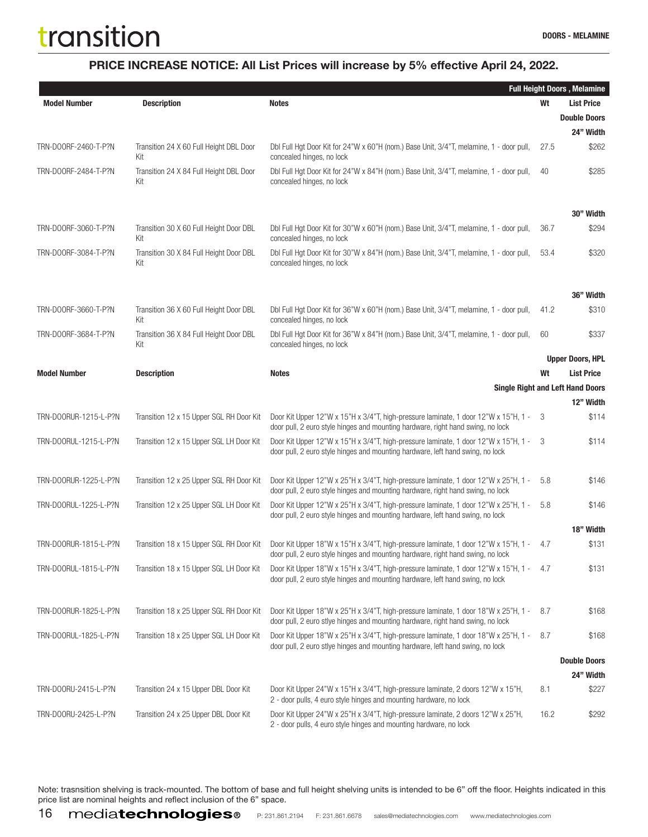### PRICE INCREASE NOTICE: All List Prices will increase by 5% effective April 24, 2022.

|                       |                                                |                                                                                                                                                                           |      | <b>Full Height Doors, Melamine</b>      |
|-----------------------|------------------------------------------------|---------------------------------------------------------------------------------------------------------------------------------------------------------------------------|------|-----------------------------------------|
| <b>Model Number</b>   | <b>Description</b>                             | <b>Notes</b>                                                                                                                                                              | Wt   | <b>List Price</b>                       |
|                       |                                                |                                                                                                                                                                           |      | <b>Double Doors</b>                     |
|                       |                                                |                                                                                                                                                                           |      | 24" Width                               |
| TRN-DOORF-2460-T-P?N  | Transition 24 X 60 Full Height DBL Door<br>Kit | Dbl Full Hgt Door Kit for 24"W x 60"H (nom.) Base Unit, 3/4"T, melamine, 1 - door pull,<br>concealed hinges, no lock                                                      | 27.5 | \$262                                   |
| TRN-DOORF-2484-T-P?N  | Transition 24 X 84 Full Height DBL Door<br>Kit | Dbl Full Hgt Door Kit for 24"W x 84"H (nom.) Base Unit, 3/4"T, melamine, 1 - door pull,<br>concealed hinges, no lock                                                      | 40   | \$285                                   |
|                       |                                                |                                                                                                                                                                           |      | 30" Width                               |
| TRN-DOORF-3060-T-P?N  | Transition 30 X 60 Full Height Door DBL<br>Kit | Dbl Full Hgt Door Kit for 30"W x 60"H (nom.) Base Unit, 3/4"T, melamine, 1 - door pull,<br>concealed hinges, no lock                                                      | 36.7 | \$294                                   |
| TRN-DOORF-3084-T-P?N  | Transition 30 X 84 Full Height Door DBL<br>Kit | Dbl Full Hgt Door Kit for 30"W x 84"H (nom.) Base Unit, 3/4"T, melamine, 1 - door pull,<br>concealed hinges, no lock                                                      | 53.4 | \$320                                   |
|                       |                                                |                                                                                                                                                                           |      | 36" Width                               |
| TRN-DOORF-3660-T-P?N  | Transition 36 X 60 Full Height Door DBL<br>Kit | Dbl Full Hgt Door Kit for 36"W x 60"H (nom.) Base Unit, 3/4"T, melamine, 1 - door pull,<br>concealed hinges, no lock                                                      | 41.2 | \$310                                   |
| TRN-DOORF-3684-T-P?N  | Transition 36 X 84 Full Height Door DBL<br>Kit | Dbl Full Hgt Door Kit for 36"W x 84"H (nom.) Base Unit, 3/4"T, melamine, 1 - door pull,<br>concealed hinges, no lock                                                      | 60   | \$337                                   |
|                       |                                                |                                                                                                                                                                           |      | <b>Upper Doors, HPL</b>                 |
| <b>Model Number</b>   | <b>Description</b>                             | <b>Notes</b>                                                                                                                                                              | Wt   | <b>List Price</b>                       |
|                       |                                                |                                                                                                                                                                           |      | <b>Single Right and Left Hand Doors</b> |
|                       |                                                |                                                                                                                                                                           |      | 12" Width                               |
| TRN-DOORUR-1215-L-P?N | Transition 12 x 15 Upper SGL RH Door Kit       | Door Kit Upper 12"W x 15"H x 3/4"T, high-pressure laminate, 1 door 12"W x 15"H, 1 -<br>door pull, 2 euro style hinges and mounting hardware, right hand swing, no lock    | -3   | \$114                                   |
| TRN-DOORUL-1215-L-P?N | Transition 12 x 15 Upper SGL LH Door Kit       | Door Kit Upper 12"W x 15"H x 3/4"T, high-pressure laminate, 1 door 12"W x 15"H, 1 -<br>door pull, 2 euro style hinges and mounting hardware, left hand swing, no lock     | 3    | \$114                                   |
| TRN-DOORUR-1225-L-P?N | Transition 12 x 25 Upper SGL RH Door Kit       | Door Kit Upper 12"W x 25"H x 3/4"T, high-pressure laminate, 1 door 12"W x 25"H, 1 -<br>door pull, 2 euro style hinges and mounting hardware, right hand swing, no lock    | 5.8  | \$146                                   |
| TRN-DOORUL-1225-L-P?N | Transition 12 x 25 Upper SGL LH Door Kit       | Door Kit Upper 12"W x 25"H x 3/4"T, high-pressure laminate, 1 door 12"W x 25"H, 1 -<br>door pull, 2 euro style hinges and mounting hardware, left hand swing, no lock     | 5.8  | \$146                                   |
|                       |                                                |                                                                                                                                                                           |      | 18" Width                               |
| TRN-DOORUR-1815-L-P?N | Transition 18 x 15 Upper SGL RH Door Kit       | Door Kit Upper 18"W x 15"H x 3/4"T, high-pressure laminate, 1 door 12"W x 15"H, 1 -<br>door pull, 2 euro style hinges and mounting hardware, right hand swing, no lock    | 4.7  | \$131                                   |
| TRN-DOORUL-1815-L-P?N | Transition 18 x 15 Upper SGL LH Door Kit       | Door Kit Upper 18"W x 15"H x 3/4"T, high-pressure laminate, 1 door 12"W x 15"H, 1 - 4.7<br>door pull, 2 euro style hinges and mounting hardware, left hand swing, no lock |      | \$131                                   |
| TRN-DOORUR-1825-L-P?N | Transition 18 x 25 Upper SGL RH Door Kit       | Door Kit Upper 18"W x 25"H x 3/4"T, high-pressure laminate, 1 door 18"W x 25"H, 1 -<br>door pull, 2 euro stiye hinges and mounting hardware, right hand swing, no lock    | 8.7  | \$168                                   |
| TRN-DOORUL-1825-L-P?N | Transition 18 x 25 Upper SGL LH Door Kit       | Door Kit Upper 18"W x 25"H x 3/4"T, high-pressure laminate, 1 door 18"W x 25"H, 1 -<br>door pull, 2 euro stiye hinges and mounting hardware, left hand swing, no lock     | 8.7  | \$168                                   |
|                       |                                                |                                                                                                                                                                           |      | <b>Double Doors</b><br>24" Width        |
| TRN-DOORU-2415-L-P?N  | Transition 24 x 15 Upper DBL Door Kit          | Door Kit Upper 24"W x 15"H x 3/4"T, high-pressure laminate, 2 doors 12"W x 15"H,<br>2 - door pulls, 4 euro style hinges and mounting hardware, no lock                    | 8.1  | \$227                                   |
| TRN-DOORU-2425-L-P?N  | Transition 24 x 25 Upper DBL Door Kit          | Door Kit Upper 24"W x 25"H x 3/4"T, high-pressure laminate, 2 doors 12"W x 25"H,<br>2 - door pulls, 4 euro style hinges and mounting hardware, no lock                    | 16.2 | \$292                                   |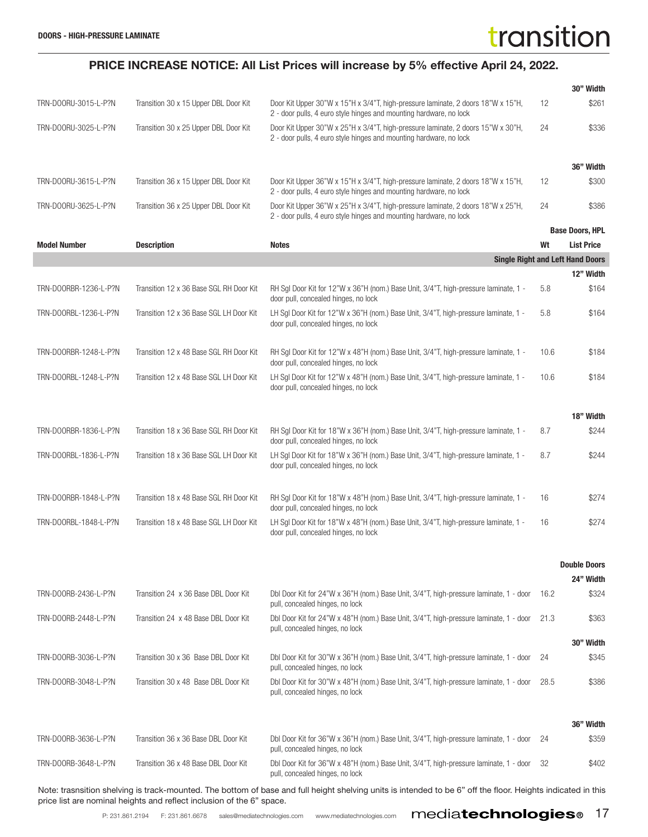|                                                                                                                                                              |                                         |                                                                                                                                                        |      | 30" Width                               |
|--------------------------------------------------------------------------------------------------------------------------------------------------------------|-----------------------------------------|--------------------------------------------------------------------------------------------------------------------------------------------------------|------|-----------------------------------------|
| TRN-DOORU-3015-L-P?N                                                                                                                                         | Transition 30 x 15 Upper DBL Door Kit   | Door Kit Upper 30"W x 15"H x 3/4"T, high-pressure laminate, 2 doors 18"W x 15"H,<br>2 - door pulls, 4 euro style hinges and mounting hardware, no lock | 12   | \$261                                   |
| TRN-DOORU-3025-L-P?N                                                                                                                                         | Transition 30 x 25 Upper DBL Door Kit   | Door Kit Upper 30"W x 25"H x 3/4"T, high-pressure laminate, 2 doors 15"W x 30"H,<br>2 - door pulls, 4 euro style hinges and mounting hardware, no lock | 24   | \$336                                   |
|                                                                                                                                                              |                                         |                                                                                                                                                        |      | 36" Width                               |
| TRN-DOORU-3615-L-P?N                                                                                                                                         | Transition 36 x 15 Upper DBL Door Kit   | Door Kit Upper 36"W x 15"H x 3/4"T, high-pressure laminate, 2 doors 18"W x 15"H,<br>2 - door pulls, 4 euro style hinges and mounting hardware, no lock | 12   | \$300                                   |
| TRN-DOORU-3625-L-P?N                                                                                                                                         | Transition 36 x 25 Upper DBL Door Kit   | Door Kit Upper 36"W x 25"H x 3/4"T, high-pressure laminate, 2 doors 18"W x 25"H,<br>2 - door pulls, 4 euro style hinges and mounting hardware, no lock | 24   | \$386                                   |
|                                                                                                                                                              |                                         |                                                                                                                                                        |      | <b>Base Doors, HPL</b>                  |
| <b>Model Number</b>                                                                                                                                          | <b>Description</b>                      | <b>Notes</b>                                                                                                                                           | Wt   | <b>List Price</b>                       |
|                                                                                                                                                              |                                         |                                                                                                                                                        |      | <b>Single Right and Left Hand Doors</b> |
|                                                                                                                                                              |                                         |                                                                                                                                                        |      | 12" Width                               |
| TRN-DOORBR-1236-L-P?N                                                                                                                                        | Transition 12 x 36 Base SGL RH Door Kit | RH Sgl Door Kit for 12"W x 36"H (nom.) Base Unit, 3/4"T, high-pressure laminate, 1 -<br>door pull, concealed hinges, no lock                           | 5.8  | \$164                                   |
| TRN-DOORBL-1236-L-P?N                                                                                                                                        | Transition 12 x 36 Base SGL LH Door Kit | LH Sgl Door Kit for 12"W x 36"H (nom.) Base Unit, 3/4"T, high-pressure laminate, 1 -<br>door pull, concealed hinges, no lock                           | 5.8  | \$164                                   |
| TRN-DOORBR-1248-L-P?N                                                                                                                                        | Transition 12 x 48 Base SGL RH Door Kit | RH Sgl Door Kit for 12"W x 48"H (nom.) Base Unit, 3/4"T, high-pressure laminate, 1 -<br>door pull, concealed hinges, no lock                           | 10.6 | \$184                                   |
| TRN-DOORBL-1248-L-P?N                                                                                                                                        | Transition 12 x 48 Base SGL LH Door Kit | LH Sgl Door Kit for 12"W x 48"H (nom.) Base Unit, 3/4"T, high-pressure laminate, 1 -<br>door pull, concealed hinges, no lock                           | 10.6 | \$184                                   |
|                                                                                                                                                              |                                         |                                                                                                                                                        |      |                                         |
|                                                                                                                                                              |                                         |                                                                                                                                                        |      | 18" Width                               |
| TRN-DOORBR-1836-L-P?N                                                                                                                                        | Transition 18 x 36 Base SGL RH Door Kit | RH Sgl Door Kit for 18"W x 36"H (nom.) Base Unit, 3/4"T, high-pressure laminate, 1 -<br>door pull, concealed hinges, no lock                           | 8.7  | \$244                                   |
| TRN-DOORBL-1836-L-P?N                                                                                                                                        | Transition 18 x 36 Base SGL LH Door Kit | LH Sgl Door Kit for 18"W x 36"H (nom.) Base Unit, 3/4"T, high-pressure laminate, 1 -<br>door pull, concealed hinges, no lock                           | 8.7  | \$244                                   |
| TRN-DOORBR-1848-L-P?N                                                                                                                                        | Transition 18 x 48 Base SGL RH Door Kit | RH Sgl Door Kit for 18"W x 48"H (nom.) Base Unit, 3/4"T, high-pressure laminate, 1 -<br>door pull, concealed hinges, no lock                           | 16   | \$274                                   |
| TRN-DOORBL-1848-L-P?N                                                                                                                                        | Transition 18 x 48 Base SGL LH Door Kit | LH Sgl Door Kit for 18"W x 48"H (nom.) Base Unit, 3/4"T, high-pressure laminate, 1 -<br>door pull, concealed hinges, no lock                           | 16   | \$274                                   |
|                                                                                                                                                              |                                         |                                                                                                                                                        |      |                                         |
|                                                                                                                                                              |                                         |                                                                                                                                                        |      | <b>Double Doors</b>                     |
|                                                                                                                                                              |                                         |                                                                                                                                                        |      | 24" Width                               |
| TRN-DOORB-2436-L-P?N                                                                                                                                         | Transition 24 x 36 Base DBL Door Kit    | Dbl Door Kit for 24"W x 36"H (nom.) Base Unit, 3/4"T, high-pressure laminate, 1 - door<br>pull, concealed hinges, no lock                              | 16.2 | \$324                                   |
| TRN-DOORB-2448-L-P?N                                                                                                                                         | Transition 24 x 48 Base DBL Door Kit    | Dbl Door Kit for 24"W x 48"H (nom.) Base Unit, 3/4"T, high-pressure laminate, 1 - door<br>pull, concealed hinges, no lock                              | 21.3 | \$363                                   |
|                                                                                                                                                              |                                         |                                                                                                                                                        |      | 30" Width                               |
| TRN-DOORB-3036-L-P?N                                                                                                                                         | Transition 30 x 36 Base DBL Door Kit    | Dbl Door Kit for 30"W x 36"H (nom.) Base Unit, 3/4"T, high-pressure laminate, 1 - door<br>pull, concealed hinges, no lock                              | 24   | \$345                                   |
| TRN-DOORB-3048-L-P?N                                                                                                                                         | Transition 30 x 48 Base DBL Door Kit    | Dbl Door Kit for 30"W x 48"H (nom.) Base Unit, 3/4"T, high-pressure laminate, 1 - door<br>pull, concealed hinges, no lock                              | 28.5 | \$386                                   |
|                                                                                                                                                              |                                         |                                                                                                                                                        |      | 36" Width                               |
|                                                                                                                                                              |                                         |                                                                                                                                                        |      |                                         |
| TRN-DOORB-3636-L-P?N                                                                                                                                         | Transition 36 x 36 Base DBL Door Kit    | Dbl Door Kit for 36"W x 36"H (nom.) Base Unit, 3/4"T, high-pressure laminate, 1 - door<br>pull, concealed hinges, no lock                              | 24   | \$359                                   |
| TRN-DOORB-3648-L-P?N                                                                                                                                         | Transition 36 x 48 Base DBL Door Kit    | Dbl Door Kit for 36"W x 48"H (nom.) Base Unit, 3/4"T, high-pressure laminate, 1 - door<br>pull, concealed hinges, no lock                              | 32   | \$402                                   |
| Note: trasnsition shelving is track-mounted. The bottom of base and full height shelving units is intended to be 6" off the floor. Heights indicated in this |                                         |                                                                                                                                                        |      |                                         |

P: 231.861.2194 F: 231.861.6678 sales@mediatechnologies.com www.mediatechnologies.com mediatechnologies.com 17

price list are nominal heights and reflect inclusion of the 6" space.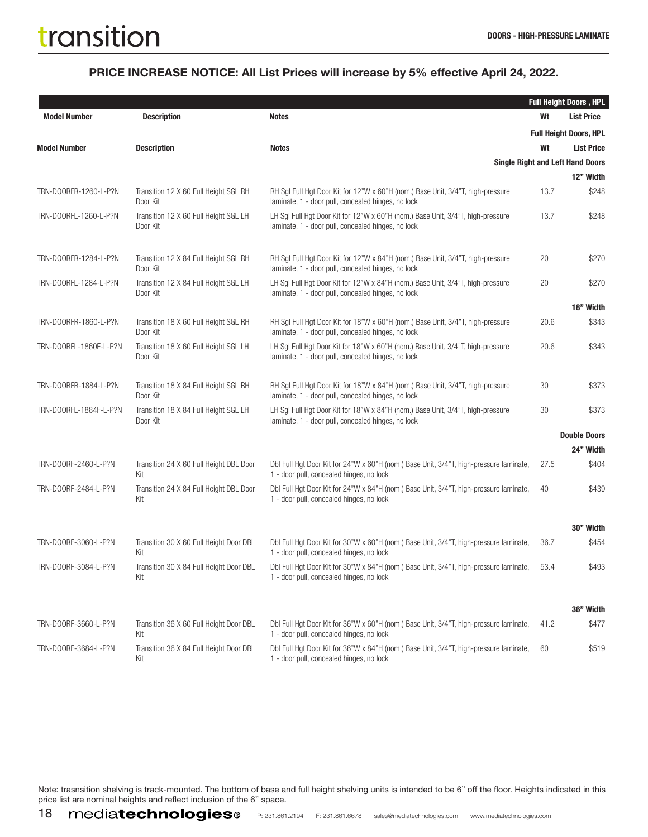#### PRICE INCREASE NOTICE: All List Prices will increase by 5% effective April 24, 2022.

|                        |                                                   |                                                                                                                                         |      | <b>Full Height Doors, HPL</b>                        |
|------------------------|---------------------------------------------------|-----------------------------------------------------------------------------------------------------------------------------------------|------|------------------------------------------------------|
| <b>Model Number</b>    | <b>Description</b>                                | <b>Notes</b>                                                                                                                            | Wt   | <b>List Price</b>                                    |
|                        |                                                   |                                                                                                                                         |      | <b>Full Height Doors, HPL</b>                        |
| <b>Model Number</b>    | <b>Description</b>                                | <b>Notes</b>                                                                                                                            | Wt   | <b>List Price</b>                                    |
|                        |                                                   |                                                                                                                                         |      | <b>Single Right and Left Hand Doors</b><br>12" Width |
| TRN-DOORFR-1260-L-P?N  | Transition 12 X 60 Full Height SGL RH<br>Door Kit | RH Sgl Full Hgt Door Kit for 12"W x 60"H (nom.) Base Unit, 3/4"T, high-pressure<br>laminate, 1 - door pull, concealed hinges, no lock   | 13.7 | \$248                                                |
| TRN-DOORFL-1260-L-P?N  | Transition 12 X 60 Full Height SGL LH<br>Door Kit | LH SgI Full Hgt Door Kit for 12"W x 60"H (nom.) Base Unit, 3/4"T, high-pressure<br>laminate, 1 - door pull, concealed hinges, no lock   | 13.7 | \$248                                                |
| TRN-DOORFR-1284-L-P?N  | Transition 12 X 84 Full Height SGL RH<br>Door Kit | RH SgI Full Hgt Door Kit for 12"W x 84"H (nom.) Base Unit, 3/4"T, high-pressure<br>laminate, 1 - door pull, concealed hinges, no lock   | 20   | \$270                                                |
| TRN-DOORFL-1284-L-P?N  | Transition 12 X 84 Full Height SGL LH<br>Door Kit | LH SgI Full Hgt Door Kit for 12"W x 84"H (nom.) Base Unit, 3/4"T, high-pressure<br>laminate, 1 - door pull, concealed hinges, no lock   | 20   | \$270                                                |
|                        |                                                   |                                                                                                                                         |      | 18" Width                                            |
| TRN-DOORFR-1860-L-P?N  | Transition 18 X 60 Full Height SGL RH<br>Door Kit | RH Sgl Full Hgt Door Kit for 18"W x 60"H (nom.) Base Unit, 3/4"T, high-pressure<br>laminate, 1 - door pull, concealed hinges, no lock   | 20.6 | \$343                                                |
| TRN-DOORFL-1860F-L-P?N | Transition 18 X 60 Full Height SGL LH<br>Door Kit | LH SgI Full Hgt Door Kit for 18"W x 60"H (nom.) Base Unit, 3/4"T, high-pressure<br>laminate, 1 - door pull, concealed hinges, no lock   | 20.6 | \$343                                                |
| TRN-DOORFR-1884-L-P?N  | Transition 18 X 84 Full Height SGL RH<br>Door Kit | RH Sql Full Hqt Door Kit for 18"W x 84"H (nom.) Base Unit, 3/4"T, high-pressure<br>laminate, 1 - door pull, concealed hinges, no lock   | 30   | \$373                                                |
| TRN-DOORFL-1884F-L-P?N | Transition 18 X 84 Full Height SGL LH<br>Door Kit | LH SgI Full Hgt Door Kit for 18"W x 84"H (nom.) Base Unit, 3/4"T, high-pressure<br>laminate, 1 - door pull, concealed hinges, no lock   | 30   | \$373                                                |
|                        |                                                   |                                                                                                                                         |      | <b>Double Doors</b>                                  |
| TRN-DOORF-2460-L-P?N   | Transition 24 X 60 Full Height DBL Door           | Dbl Full Hgt Door Kit for 24"W x 60"H (nom.) Base Unit, 3/4"T, high-pressure laminate,                                                  | 27.5 | 24" Width<br>\$404                                   |
|                        | Kit                                               | 1 - door pull, concealed hinges, no lock                                                                                                |      |                                                      |
| TRN-DOORF-2484-L-P?N   | Transition 24 X 84 Full Height DBL Door<br>Kit    | Dbl Full Hgt Door Kit for 24"W x 84"H (nom.) Base Unit, 3/4"T, high-pressure laminate,<br>1 - door pull, concealed hinges, no lock      | 40   | \$439                                                |
|                        |                                                   |                                                                                                                                         |      | 30" Width                                            |
| TRN-DOORF-3060-L-P?N   | Transition 30 X 60 Full Height Door DBL<br>Kit    | Dbl Full Hgt Door Kit for 30"W x 60"H (nom.) Base Unit, 3/4"T, high-pressure laminate,<br>1 - door pull, concealed hinges, no lock      | 36.7 | \$454                                                |
| TRN-DOORF-3084-L-P?N   | Transition 30 X 84 Full Height Door DBL<br>Kit    | Dbl Full Hgt Door Kit for 30"W x 84"H (nom.) Base Unit, 3/4"T, high-pressure laminate, 53.4<br>1 - door pull, concealed hinges, no lock |      | \$493                                                |
|                        |                                                   |                                                                                                                                         |      | 36" Width                                            |
| TRN-DOORF-3660-L-P?N   | Transition 36 X 60 Full Height Door DBL<br>Kit    | Dbl Full Hgt Door Kit for 36"W x 60"H (nom.) Base Unit, 3/4"T, high-pressure laminate,<br>1 - door pull, concealed hinges, no lock      | 41.2 | \$477                                                |
| TRN-DOORF-3684-L-P?N   | Transition 36 X 84 Full Height Door DBL<br>Kit    | Dbl Full Hgt Door Kit for 36"W x 84"H (nom.) Base Unit, 3/4"T, high-pressure laminate,<br>1 - door pull, concealed hinges, no lock      | 60   | \$519                                                |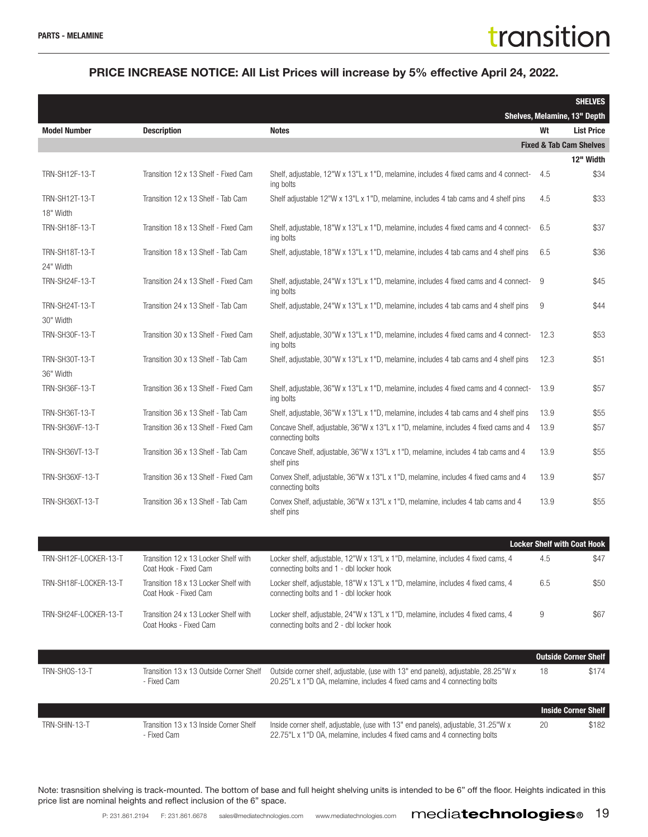#### PRICE INCREASE NOTICE: All List Prices will increase by 5% effective April 24, 2022.

|                                    |                                                                |                                                                                                                                                                |      | <b>SHELVES</b>                                    |
|------------------------------------|----------------------------------------------------------------|----------------------------------------------------------------------------------------------------------------------------------------------------------------|------|---------------------------------------------------|
| <b>Model Number</b>                | <b>Description</b>                                             | <b>Notes</b>                                                                                                                                                   | Wt   | Shelves, Melamine, 13" Depth<br><b>List Price</b> |
|                                    |                                                                |                                                                                                                                                                |      | <b>Fixed &amp; Tab Cam Shelves</b>                |
|                                    |                                                                |                                                                                                                                                                |      | 12" Width                                         |
| TRN-SH12F-13-T                     | Transition 12 x 13 Shelf - Fixed Cam                           | Shelf, adjustable, 12"W x 13"L x 1"D, melamine, includes 4 fixed cams and 4 connect-<br>ing bolts                                                              | 4.5  | \$34                                              |
| TRN-SH12T-13-T<br>18" Width        | Transition 12 x 13 Shelf - Tab Cam                             | Shelf adjustable 12"W x 13"L x 1"D, melamine, includes 4 tab cams and 4 shelf pins                                                                             | 4.5  | \$33                                              |
| TRN-SH18F-13-T                     | Transition 18 x 13 Shelf - Fixed Cam                           | Shelf, adjustable, 18"W x 13"L x 1"D, melamine, includes 4 fixed cams and 4 connect-<br>ing bolts                                                              | 6.5  | \$37                                              |
| <b>TRN-SH18T-13-T</b><br>24" Width | Transition 18 x 13 Shelf - Tab Cam                             | Shelf, adjustable, 18"W x 13"L x 1"D, melamine, includes 4 tab cams and 4 shelf pins                                                                           | 6.5  | \$36                                              |
| TRN-SH24F-13-T                     | Transition 24 x 13 Shelf - Fixed Cam                           | Shelf, adjustable, 24"W x 13"L x 1"D, melamine, includes 4 fixed cams and 4 connect-<br>ing bolts                                                              | -9   | \$45                                              |
| <b>TRN-SH24T-13-T</b><br>30" Width | Transition 24 x 13 Shelf - Tab Cam                             | Shelf, adjustable, 24"W x 13"L x 1"D, melamine, includes 4 tab cams and 4 shelf pins                                                                           | 9    | \$44                                              |
| <b>TRN-SH30F-13-T</b>              | Transition 30 x 13 Shelf - Fixed Cam                           | Shelf, adjustable, 30"W x 13"L x 1"D, melamine, includes 4 fixed cams and 4 connect-<br>ing bolts                                                              | 12.3 | \$53                                              |
| <b>TRN-SH30T-13-T</b><br>36" Width | Transition 30 x 13 Shelf - Tab Cam                             | Shelf, adjustable, 30"W x 13"L x 1"D, melamine, includes 4 tab cams and 4 shelf pins                                                                           | 12.3 | \$51                                              |
| <b>TRN-SH36F-13-T</b>              | Transition 36 x 13 Shelf - Fixed Cam                           | Shelf, adjustable, 36"W x 13"L x 1"D, melamine, includes 4 fixed cams and 4 connect-<br>ing bolts                                                              | 13.9 | \$57                                              |
| <b>TRN-SH36T-13-T</b>              | Transition 36 x 13 Shelf - Tab Cam                             | Shelf, adjustable, 36"W x 13"L x 1"D, melamine, includes 4 tab cams and 4 shelf pins                                                                           | 13.9 | \$55                                              |
| <b>TRN-SH36VF-13-T</b>             | Transition 36 x 13 Shelf - Fixed Cam                           | Concave Shelf, adjustable, 36"W x 13"L x 1"D, melamine, includes 4 fixed cams and 4<br>connecting bolts                                                        | 13.9 | \$57                                              |
| <b>TRN-SH36VT-13-T</b>             | Transition 36 x 13 Shelf - Tab Cam                             | Concave Shelf, adjustable, 36"W x 13"L x 1"D, melamine, includes 4 tab cams and 4<br>shelf pins                                                                | 13.9 | \$55                                              |
| <b>TRN-SH36XF-13-T</b>             | Transition 36 x 13 Shelf - Fixed Cam                           | Convex Shelf, adjustable, 36"W x 13"L x 1"D, melamine, includes 4 fixed cams and 4<br>connecting bolts                                                         | 13.9 | \$57                                              |
| <b>TRN-SH36XT-13-T</b>             | Transition 36 x 13 Shelf - Tab Cam                             | Convex Shelf, adjustable, 36"W x 13"L x 1"D, melamine, includes 4 tab cams and 4<br>shelf pins                                                                 | 13.9 | \$55                                              |
|                                    |                                                                |                                                                                                                                                                |      |                                                   |
|                                    |                                                                |                                                                                                                                                                |      | <b>Locker Shelf with Coat Hook</b>                |
| TRN-SH12F-LOCKER-13-T              | Transition 12 x 13 Locker Shelf with<br>Coat Hook - Fixed Cam  | Locker shelf, adjustable, 12"W x 13"L x 1"D, melamine, includes 4 fixed cams, 4<br>connecting bolts and 1 - dbl locker hook                                    | 4.5  | \$47                                              |
| TRN-SH18F-LOCKER-13-T              | Transition 18 x 13 Locker Shelf with<br>Coat Hook - Fixed Cam  | Locker shelf, adjustable, 18"W x 13"L x 1"D, melamine, includes 4 fixed cams, 4<br>connecting bolts and 1 - dbl locker hook                                    | 6.5  | \$50                                              |
| TRN-SH24F-LOCKER-13-T              | Transition 24 x 13 Locker Shelf with<br>Coat Hooks - Fixed Cam | Locker shelf, adjustable, 24"W x 13"L x 1"D, melamine, includes 4 fixed cams, 4<br>connecting bolts and 2 - dbl locker hook                                    | 9    | \$67                                              |
|                                    |                                                                |                                                                                                                                                                |      | <b>Outside Corner Shelf</b>                       |
| TRN-SHOS-13-T                      | Transition 13 x 13 Outside Corner Shelf<br>- Fixed Cam         | Outside corner shelf, adjustable, (use with 13" end panels), adjustable, 28.25"W x<br>20.25"L x 1"D OA, melamine, includes 4 fixed cams and 4 connecting bolts | 18   | \$174                                             |
|                                    |                                                                |                                                                                                                                                                |      | <b>Inside Corner Shelf</b>                        |
| TRN-SHIN-13-T                      | Transition 13 x 13 Inside Corner Shelf<br>- Fixed Cam          | Inside corner shelf, adjustable, (use with 13" end panels), adjustable, 31.25"W x<br>22.75" x 1"D 0A, melamine, includes 4 fixed cams and 4 connecting bolts   | 20   | \$182                                             |

22.75"L x 1"D OA, melamine, includes 4 fixed cams and 4 connecting bolts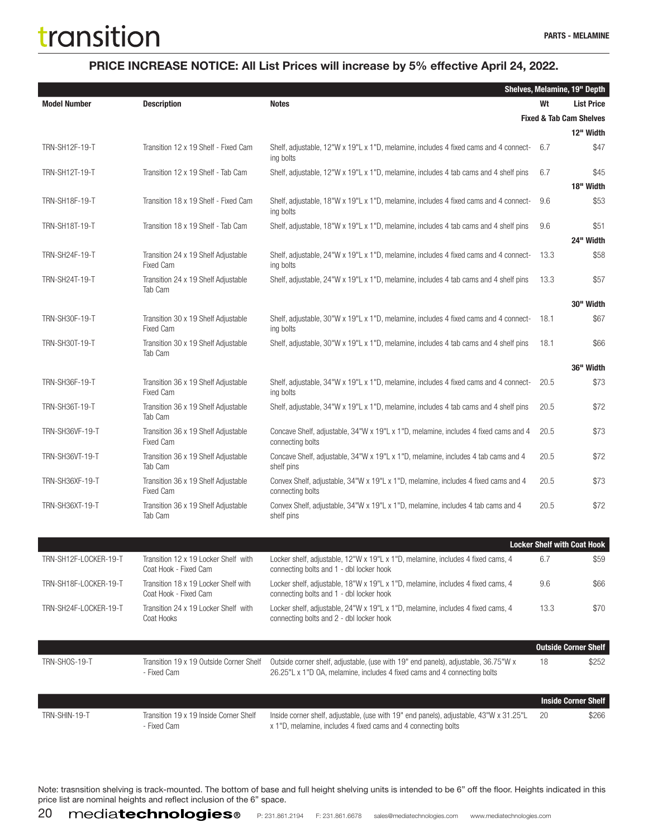#### PRICE INCREASE NOTICE: All List Prices will increase by 5% effective April 24, 2022.

|                        |                                                               |                                                                                                                                                                |      | Shelves, Melamine, 19" Depth       |
|------------------------|---------------------------------------------------------------|----------------------------------------------------------------------------------------------------------------------------------------------------------------|------|------------------------------------|
| <b>Model Number</b>    | <b>Description</b>                                            | <b>Notes</b>                                                                                                                                                   | Wt   | <b>List Price</b>                  |
|                        |                                                               |                                                                                                                                                                |      | <b>Fixed &amp; Tab Cam Shelves</b> |
|                        |                                                               |                                                                                                                                                                |      | 12" Width                          |
| TRN-SH12F-19-T         | Transition 12 x 19 Shelf - Fixed Cam                          | Shelf, adjustable, 12"W x 19"L x 1"D, melamine, includes 4 fixed cams and 4 connect-<br>ing bolts                                                              | 6.7  | \$47                               |
| TRN-SH12T-19-T         | Transition 12 x 19 Shelf - Tab Cam                            | Shelf, adjustable, 12"W x 19"L x 1"D, melamine, includes 4 tab cams and 4 shelf pins                                                                           | 6.7  | \$45<br>18" Width                  |
| <b>TRN-SH18F-19-T</b>  | Transition 18 x 19 Shelf - Fixed Cam                          | Shelf, adjustable, 18"W x 19"L x 1"D, melamine, includes 4 fixed cams and 4 connect-<br>ing bolts                                                              | 9.6  | \$53                               |
| TRN-SH18T-19-T         | Transition 18 x 19 Shelf - Tab Cam                            | Shelf, adjustable, 18"W x 19"L x 1"D, melamine, includes 4 tab cams and 4 shelf pins                                                                           | 9.6  | \$51<br>24" Width                  |
| TRN-SH24F-19-T         | Transition 24 x 19 Shelf Adjustable<br><b>Fixed Cam</b>       | Shelf, adjustable, 24"W x 19"L x 1"D, melamine, includes 4 fixed cams and 4 connect-<br>ing bolts                                                              | 13.3 | \$58                               |
| <b>TRN-SH24T-19-T</b>  | Transition 24 x 19 Shelf Adjustable<br>Tab Cam                | Shelf, adjustable, 24"W x 19"L x 1"D, melamine, includes 4 tab cams and 4 shelf pins                                                                           | 13.3 | \$57                               |
|                        |                                                               |                                                                                                                                                                |      | 30" Width                          |
| TRN-SH30F-19-T         | Transition 30 x 19 Shelf Adjustable<br><b>Fixed Cam</b>       | Shelf, adjustable, 30"W x 19"L x 1"D, melamine, includes 4 fixed cams and 4 connect-<br>ing bolts                                                              | 18.1 | \$67                               |
| <b>TRN-SH30T-19-T</b>  | Transition 30 x 19 Shelf Adjustable<br>Tab Cam                | Shelf, adjustable, 30"W x 19"L x 1"D, melamine, includes 4 tab cams and 4 shelf pins                                                                           | 18.1 | \$66                               |
|                        |                                                               |                                                                                                                                                                |      | 36" Width                          |
| <b>TRN-SH36F-19-T</b>  | Transition 36 x 19 Shelf Adjustable<br><b>Fixed Cam</b>       | Shelf, adjustable, 34"W x 19"L x 1"D, melamine, includes 4 fixed cams and 4 connect-<br>ing bolts                                                              | 20.5 | \$73                               |
| TRN-SH36T-19-T         | Transition 36 x 19 Shelf Adjustable<br>Tab Cam                | Shelf, adjustable, 34"W x 19"L x 1"D, melamine, includes 4 tab cams and 4 shelf pins                                                                           | 20.5 | \$72                               |
| <b>TRN-SH36VF-19-T</b> | Transition 36 x 19 Shelf Adjustable<br><b>Fixed Cam</b>       | Concave Shelf, adjustable, 34"W x 19"L x 1"D, melamine, includes 4 fixed cams and 4<br>connecting bolts                                                        | 20.5 | \$73                               |
| <b>TRN-SH36VT-19-T</b> | Transition 36 x 19 Shelf Adjustable<br>Tab Cam                | Concave Shelf, adjustable, 34"W x 19"L x 1"D, melamine, includes 4 tab cams and 4<br>shelf pins                                                                | 20.5 | \$72                               |
| <b>TRN-SH36XF-19-T</b> | Transition 36 x 19 Shelf Adjustable<br><b>Fixed Cam</b>       | Convex Shelf, adjustable, 34"W x 19"L x 1"D, melamine, includes 4 fixed cams and 4<br>connecting bolts                                                         | 20.5 | \$73                               |
| <b>TRN-SH36XT-19-T</b> | Transition 36 x 19 Shelf Adjustable<br>Tab Cam                | Convex Shelf, adjustable, 34"W x 19"L x 1"D, melamine, includes 4 tab cams and 4<br>shelf pins                                                                 | 20.5 | \$72                               |
|                        |                                                               |                                                                                                                                                                |      |                                    |
|                        |                                                               |                                                                                                                                                                |      | <b>Locker Shelf with Coat Hook</b> |
| TRN-SH12F-LOCKER-19-T  | Transition 12 x 19 Locker Shelf with<br>Coat Hook - Fixed Cam | Locker shelf, adjustable, 12"W x 19"L x 1"D, melamine, includes 4 fixed cams, 4<br>connecting bolts and 1 - dbl locker hook                                    | 6.7  | \$59                               |
| TRN-SH18F-LOCKER-19-T  | Transition 18 x 19 Locker Shelf with<br>Coat Hook - Fixed Cam | Locker shelf, adjustable, 18"W x 19"L x 1"D, melamine, includes 4 fixed cams, 4<br>connecting bolts and 1 - dbl locker hook                                    | 9.6  | \$66                               |
| TRN-SH24F-LOCKER-19-T  | Transition 24 x 19 Locker Shelf with<br>Coat Hooks            | Locker shelf, adjustable, 24"W x 19"L x 1"D, melamine, includes 4 fixed cams, 4<br>connecting bolts and 2 - dbl locker hook                                    | 13.3 | \$70                               |
|                        |                                                               |                                                                                                                                                                |      | <b>Outside Corner Shelf</b>        |
| TRN-SHOS-19-T          | Transition 19 x 19 Outside Corner Shelf<br>- Fixed Cam        | Outside corner shelf, adjustable, (use with 19" end panels), adjustable, 36.75"W x<br>26.25"L x 1"D OA, melamine, includes 4 fixed cams and 4 connecting bolts | 18   | \$252                              |
|                        |                                                               |                                                                                                                                                                |      |                                    |
|                        |                                                               |                                                                                                                                                                |      | <b>Inside Corner Shelf</b>         |
| TRN-SHIN-19-T          | Transition 19 x 19 Inside Corner Shelf<br>- Fixed Cam         | Inside corner shelf, adjustable, (use with 19" end panels), adjustable, 43"W x 31.25"L<br>x 1"D, melamine, includes 4 fixed cams and 4 connecting bolts        | 20   | \$266                              |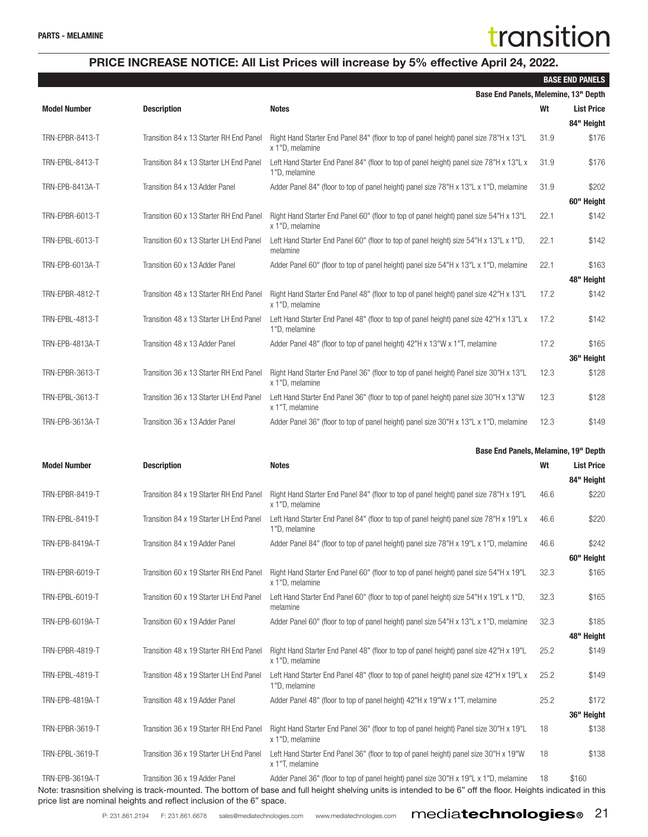|                     |                                         | Base End Panels, Melemine, 13" Depth                                                                      |      |                     |
|---------------------|-----------------------------------------|-----------------------------------------------------------------------------------------------------------|------|---------------------|
| <b>Model Number</b> | <b>Description</b>                      | <b>Notes</b>                                                                                              | Wt   | <b>List Price</b>   |
| TRN-EPBR-8413-T     | Transition 84 x 13 Starter RH End Panel | Right Hand Starter End Panel 84" (floor to top of panel height) panel size 78"H x 13"L<br>x 1"D, melamine | 31.9 | 84" Height<br>\$176 |
| TRN-EPBL-8413-T     | Transition 84 x 13 Starter LH End Panel | Left Hand Starter End Panel 84" (floor to top of panel height) panel size 78"H x 13"L x<br>1"D, melamine  | 31.9 | \$176               |
| TRN-EPB-8413A-T     | Transition 84 x 13 Adder Panel          | Adder Panel 84" (floor to top of panel height) panel size 78"H x 13"L x 1"D, melamine                     | 31.9 | \$202               |
|                     |                                         |                                                                                                           |      | 60" Height          |
| TRN-EPBR-6013-T     | Transition 60 x 13 Starter RH End Panel | Right Hand Starter End Panel 60" (floor to top of panel height) panel size 54"H x 13"L<br>x 1"D, melamine | 22.1 | \$142               |
| TRN-EPBL-6013-T     | Transition 60 x 13 Starter LH End Panel | Left Hand Starter End Panel 60" (floor to top of panel height) size 54"H x 13"L x 1"D,<br>melamine        | 22.1 | \$142               |
| TRN-EPB-6013A-T     | Transition 60 x 13 Adder Panel          | Adder Panel 60" (floor to top of panel height) panel size 54"H x 13"L x 1"D, melamine                     | 22.1 | \$163<br>48" Height |
| TRN-EPBR-4812-T     | Transition 48 x 13 Starter RH End Panel | Right Hand Starter End Panel 48" (floor to top of panel height) panel size 42"H x 13"L<br>x 1"D, melamine | 17.2 | \$142               |
| TRN-EPBL-4813-T     | Transition 48 x 13 Starter LH End Panel | Left Hand Starter End Panel 48" (floor to top of panel height) panel size 42"H x 13"L x<br>1"D, melamine  | 17.2 | \$142               |
| TRN-EPB-4813A-T     | Transition 48 x 13 Adder Panel          | Adder Panel 48" (floor to top of panel height) 42"H x 13"W x 1"T, melamine                                | 17.2 | \$165               |
|                     |                                         |                                                                                                           |      | 36" Height          |
| TRN-EPBR-3613-T     | Transition 36 x 13 Starter RH End Panel | Right Hand Starter End Panel 36" (floor to top of panel height) Panel size 30"H x 13"L<br>x 1"D, melamine | 12.3 | \$128               |
| TRN-EPBL-3613-T     | Transition 36 x 13 Starter LH End Panel | Left Hand Starter End Panel 36" (floor to top of panel height) panel size 30"H x 13"W<br>x 1"T, melamine  | 12.3 | \$128               |
| TRN-EPB-3613A-T     | Transition 36 x 13 Adder Panel          | Adder Panel 36" (floor to top of panel height) panel size 30"H x 13"L x 1"D, melamine                     | 12.3 | \$149               |
|                     |                                         |                                                                                                           |      |                     |
|                     |                                         |                                                                                                           |      |                     |
| <b>Model Number</b> | <b>Description</b>                      | Base End Panels, Melamine, 19" Depth<br><b>Notes</b>                                                      | Wt   | <b>List Price</b>   |
| TRN-EPBR-8419-T     | Transition 84 x 19 Starter RH End Panel | Right Hand Starter End Panel 84" (floor to top of panel height) panel size 78"H x 19"L<br>x 1"D, melamine | 46.6 | 84" Height<br>\$220 |
| TRN-EPBL-8419-T     | Transition 84 x 19 Starter LH End Panel | Left Hand Starter End Panel 84" (floor to top of panel height) panel size 78"H x 19"L x<br>1"D, melamine  | 46.6 | \$220               |
| TRN-EPB-8419A-T     | Transition 84 x 19 Adder Panel          | Adder Panel 84" (floor to top of panel height) panel size 78"H x 19"L x 1"D, melamine                     | 46.6 | \$242               |
| TRN-EPBR-6019-T     | Transition 60 x 19 Starter RH End Panel | Right Hand Starter End Panel 60" (floor to top of panel height) panel size 54"H x 19"L                    | 32.3 | 60" Height<br>\$165 |
| TRN-EPBL-6019-T     | Transition 60 x 19 Starter LH End Panel | x 1"D, melamine<br>Left Hand Starter End Panel 60" (floor to top of panel height) size 54"H x 19"L x 1"D, | 32.3 | \$165               |
| TRN-EPB-6019A-T     | Transition 60 x 19 Adder Panel          | melamine<br>Adder Panel 60" (floor to top of panel height) panel size 54"H x 13"L x 1"D, melamine         | 32.3 | \$185               |
|                     |                                         |                                                                                                           |      | 48" Height          |
| TRN-EPBR-4819-T     | Transition 48 x 19 Starter RH End Panel | Right Hand Starter End Panel 48" (floor to top of panel height) panel size 42"H x 19"L<br>x 1"D, melamine | 25.2 | \$149               |
| TRN-EPBL-4819-T     | Transition 48 x 19 Starter LH End Panel | Left Hand Starter End Panel 48" (floor to top of panel height) panel size 42"H x 19"L x<br>1"D, melamine  | 25.2 | \$149               |
| TRN-EPB-4819A-T     | Transition 48 x 19 Adder Panel          | Adder Panel 48" (floor to top of panel height) 42"H x 19"W x 1"T, melamine                                | 25.2 | \$172               |
|                     |                                         |                                                                                                           |      | 36" Height          |
| TRN-EPBR-3619-T     | Transition 36 x 19 Starter RH End Panel | Right Hand Starter End Panel 36" (floor to top of panel height) Panel size 30"H x 19"L<br>x 1"D, melamine | 18   | \$138               |
| TRN-EPBL-3619-T     | Transition 36 x 19 Starter LH End Panel | Left Hand Starter End Panel 36" (floor to top of panel height) panel size 30"H x 19"W<br>x 1"T, melamine  | 18   | \$138               |

P: 231.861.2194 F: 231.861.6678 sales@mediatechnologies.com www.mediatechnologies.com **mediateDinologieS®** 21

price list are nominal heights and reflect inclusion of the 6" space.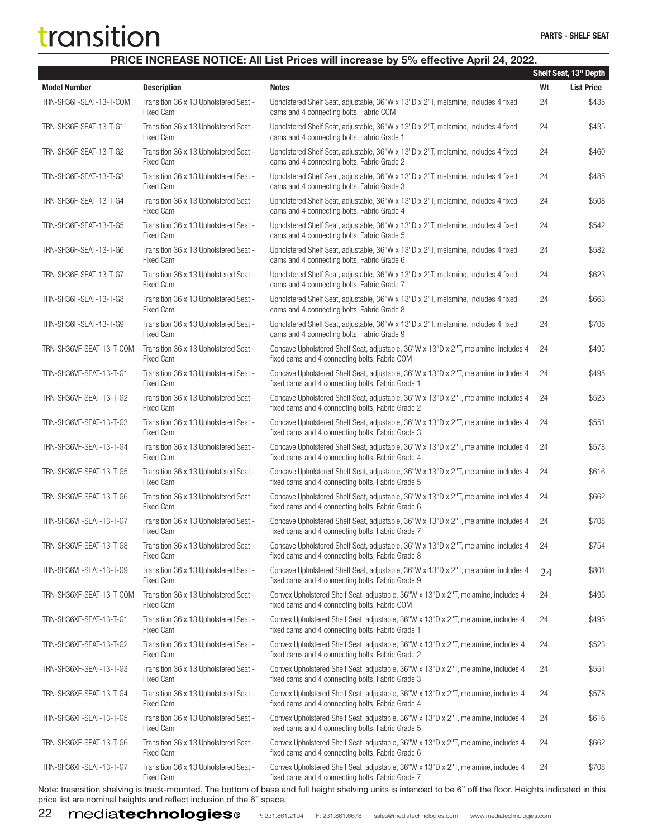#### PRICE INCREASE NOTICE: All List Prices will increase by 5% effective April 24, 2022.

|                          |                                                                                |                                                                                                                                                                                                                                         |    | Shelf Seat, 13" Depth |
|--------------------------|--------------------------------------------------------------------------------|-----------------------------------------------------------------------------------------------------------------------------------------------------------------------------------------------------------------------------------------|----|-----------------------|
| <b>Model Number</b>      | <b>Description</b>                                                             | <b>Notes</b>                                                                                                                                                                                                                            | Wt | <b>List Price</b>     |
| TRN-SH36F-SEAT-13-T-COM  | Transition 36 x 13 Upholstered Seat -<br><b>Fixed Cam</b>                      | Upholstered Shelf Seat, adjustable, 36"W x 13"D x 2"T, melamine, includes 4 fixed<br>cams and 4 connecting bolts, Fabric COM                                                                                                            | 24 | \$435                 |
| TRN-SH36F-SEAT-13-T-G1   | Transition 36 x 13 Upholstered Seat -<br><b>Fixed Cam</b>                      | Upholstered Shelf Seat, adjustable, 36"W x 13"D x 2"T, melamine, includes 4 fixed<br>cams and 4 connecting bolts, Fabric Grade 1                                                                                                        | 24 | \$435                 |
| TRN-SH36F-SEAT-13-T-G2   | Transition 36 x 13 Upholstered Seat -<br><b>Fixed Cam</b>                      | Upholstered Shelf Seat, adjustable, 36"W x 13"D x 2"T, melamine, includes 4 fixed<br>cams and 4 connecting bolts, Fabric Grade 2                                                                                                        | 24 | \$460                 |
| TRN-SH36F-SEAT-13-T-G3   | Transition 36 x 13 Upholstered Seat -<br><b>Fixed Cam</b>                      | Upholstered Shelf Seat, adjustable, 36"W x 13"D x 2"T, melamine, includes 4 fixed<br>cams and 4 connecting bolts, Fabric Grade 3                                                                                                        | 24 | \$485                 |
| TRN-SH36F-SEAT-13-T-G4   | Transition 36 x 13 Upholstered Seat -<br><b>Fixed Cam</b>                      | Upholstered Shelf Seat, adjustable, 36"W x 13"D x 2"T, melamine, includes 4 fixed<br>cams and 4 connecting bolts, Fabric Grade 4                                                                                                        | 24 | \$508                 |
| TRN-SH36F-SEAT-13-T-G5   | Transition 36 x 13 Upholstered Seat -<br><b>Fixed Cam</b>                      | Upholstered Shelf Seat, adjustable, 36"W x 13"D x 2"T, melamine, includes 4 fixed<br>cams and 4 connecting bolts, Fabric Grade 5                                                                                                        | 24 | \$542                 |
| TRN-SH36F-SEAT-13-T-G6   | Transition 36 x 13 Upholstered Seat -<br><b>Fixed Cam</b>                      | Upholstered Shelf Seat, adjustable, 36"W x 13"D x 2"T, melamine, includes 4 fixed<br>cams and 4 connecting bolts, Fabric Grade 6                                                                                                        | 24 | \$582                 |
| TRN-SH36F-SEAT-13-T-G7   | Transition 36 x 13 Upholstered Seat -<br><b>Fixed Cam</b>                      | Upholstered Shelf Seat, adjustable, 36"W x 13"D x 2"T, melamine, includes 4 fixed<br>cams and 4 connecting bolts, Fabric Grade 7                                                                                                        | 24 | \$623                 |
| TRN-SH36F-SEAT-13-T-G8   | Transition 36 x 13 Upholstered Seat -<br><b>Fixed Cam</b>                      | Upholstered Shelf Seat, adjustable, 36"W x 13"D x 2"T, melamine, includes 4 fixed<br>cams and 4 connecting bolts, Fabric Grade 8                                                                                                        | 24 | \$663                 |
| TRN-SH36F-SEAT-13-T-G9   | Transition 36 x 13 Upholstered Seat -<br><b>Fixed Cam</b>                      | Upholstered Shelf Seat, adjustable, 36"W x 13"D x 2"T, melamine, includes 4 fixed<br>cams and 4 connecting bolts, Fabric Grade 9                                                                                                        | 24 | \$705                 |
| TRN-SH36VF-SEAT-13-T-COM | Transition 36 x 13 Upholstered Seat -<br><b>Fixed Cam</b>                      | Concave Upholstered Shelf Seat, adjustable, 36"W x 13"D x 2"T, melamine, includes 4<br>fixed cams and 4 connecting bolts, Fabric COM                                                                                                    | 24 | \$495                 |
| TRN-SH36VF-SEAT-13-T-G1  | Transition 36 x 13 Upholstered Seat -<br><b>Fixed Cam</b>                      | Concave Upholstered Shelf Seat, adjustable, 36"W x 13"D x 2"T, melamine, includes 4<br>fixed cams and 4 connecting bolts, Fabric Grade 1                                                                                                | 24 | \$495                 |
| TRN-SH36VF-SEAT-13-T-G2  | Transition 36 x 13 Upholstered Seat -<br><b>Fixed Cam</b>                      | Concave Upholstered Shelf Seat, adjustable, 36"W x 13"D x 2"T, melamine, includes 4<br>fixed cams and 4 connecting bolts, Fabric Grade 2                                                                                                | 24 | \$523                 |
| TRN-SH36VF-SEAT-13-T-G3  | Transition 36 x 13 Upholstered Seat -<br><b>Fixed Cam</b>                      | Concave Upholstered Shelf Seat, adjustable, 36"W x 13"D x 2"T, melamine, includes 4<br>fixed cams and 4 connecting bolts, Fabric Grade 3                                                                                                | 24 | \$551                 |
| TRN-SH36VF-SEAT-13-T-G4  | Transition 36 x 13 Upholstered Seat -<br><b>Fixed Cam</b>                      | Concave Upholstered Shelf Seat, adjustable, 36"W x 13"D x 2"T, melamine, includes 4<br>fixed cams and 4 connecting bolts, Fabric Grade 4                                                                                                | 24 | \$578                 |
| TRN-SH36VF-SEAT-13-T-G5  | Transition 36 x 13 Upholstered Seat -<br><b>Fixed Cam</b>                      | Concave Upholstered Shelf Seat, adjustable, 36"W x 13"D x 2"T, melamine, includes 4<br>fixed cams and 4 connecting bolts, Fabric Grade 5                                                                                                | 24 | \$616                 |
| TRN-SH36VF-SEAT-13-T-G6  | Transition 36 x 13 Upholstered Seat -<br><b>Fixed Cam</b>                      | Concave Upholstered Shelf Seat, adjustable, 36"W x 13"D x 2"T, melamine, includes 4<br>fixed cams and 4 connecting bolts, Fabric Grade 6                                                                                                | 24 | \$662                 |
| TRN-SH36VF-SEAT-13-T-G7  | Transition 36 x 13 Upholstered Seat -<br><b>Fixed Cam</b>                      | Concave Upholstered Shelf Seat, adjustable, 36"W x 13"D x 2"T, melamine, includes 4<br>fixed cams and 4 connecting bolts, Fabric Grade 7                                                                                                | 24 | \$708                 |
| TRN-SH36VF-SEAT-13-T-G8  | Transition 36 x 13 Upholstered Seat -<br><b>Fixed Cam</b>                      | Concave Upholstered Shelf Seat, adjustable, 36"W x 13"D x 2"T, melamine, includes 4<br>fixed cams and 4 connecting bolts, Fabric Grade 8                                                                                                | 24 | \$754                 |
| TRN-SH36VF-SEAT-13-T-G9  | Transition 36 x 13 Upholstered Seat -<br><b>Fixed Cam</b>                      | Concave Upholstered Shelf Seat, adjustable, 36"W x 13"D x 2"T, melamine, includes 4<br>fixed cams and 4 connecting bolts, Fabric Grade 9                                                                                                | 24 | \$801                 |
| TRN-SH36XF-SEAT-13-T-COM | Transition 36 x 13 Upholstered Seat -<br><b>Fixed Cam</b>                      | Convex Upholstered Shelf Seat, adjustable, 36"W x 13"D x 2"T, melamine, includes 4<br>fixed cams and 4 connecting bolts, Fabric COM                                                                                                     | 24 | \$495                 |
| TRN-SH36XF-SEAT-13-T-G1  | Transition 36 x 13 Upholstered Seat -<br><b>Fixed Cam</b>                      | Convex Upholstered Shelf Seat, adjustable, 36"W x 13"D x 2"T, melamine, includes 4<br>fixed cams and 4 connecting bolts, Fabric Grade 1                                                                                                 | 24 | \$495                 |
| TRN-SH36XF-SEAT-13-T-G2  | Transition 36 x 13 Upholstered Seat -<br><b>Fixed Cam</b>                      | Convex Upholstered Shelf Seat, adjustable, 36"W x 13"D x 2"T, melamine, includes 4<br>fixed cams and 4 connecting bolts, Fabric Grade 2                                                                                                 | 24 | \$523                 |
| TRN-SH36XF-SEAT-13-T-G3  | Transition 36 x 13 Upholstered Seat -<br><b>Fixed Cam</b>                      | Convex Upholstered Shelf Seat, adjustable, 36"W x 13"D x 2"T, melamine, includes 4<br>fixed cams and 4 connecting bolts, Fabric Grade 3                                                                                                 | 24 | \$551                 |
| TRN-SH36XF-SEAT-13-T-G4  | Transition 36 x 13 Upholstered Seat -<br><b>Fixed Cam</b>                      | Convex Upholstered Shelf Seat, adjustable, 36"W x 13"D x 2"T, melamine, includes 4<br>fixed cams and 4 connecting bolts, Fabric Grade 4                                                                                                 | 24 | \$578                 |
| TRN-SH36XF-SEAT-13-T-G5  | Transition 36 x 13 Upholstered Seat -<br><b>Fixed Cam</b>                      | Convex Upholstered Shelf Seat, adjustable, 36"W x 13"D x 2"T, melamine, includes 4<br>fixed cams and 4 connecting bolts, Fabric Grade 5                                                                                                 | 24 | \$616                 |
| TRN-SH36XF-SEAT-13-T-G6  | Transition 36 x 13 Upholstered Seat -<br><b>Fixed Cam</b>                      | Convex Upholstered Shelf Seat, adjustable, 36"W x 13"D x 2"T, melamine, includes 4<br>fixed cams and 4 connecting bolts, Fabric Grade 6                                                                                                 | 24 | \$662                 |
| TRN-SH36XF-SEAT-13-T-G7  | Transition 36 x 13 Upholstered Seat -<br><b>Fixed Cam</b><br>aughed The hottom | Convex Upholstered Shelf Seat, adjustable, 36"W x 13"D x 2"T, melamine, includes 4<br>fixed cams and 4 connecting bolts, Fabric Grade 7<br>of boos and full beight obelising units in intended to be C" off the floor. Leighte indicate | 24 | \$708                 |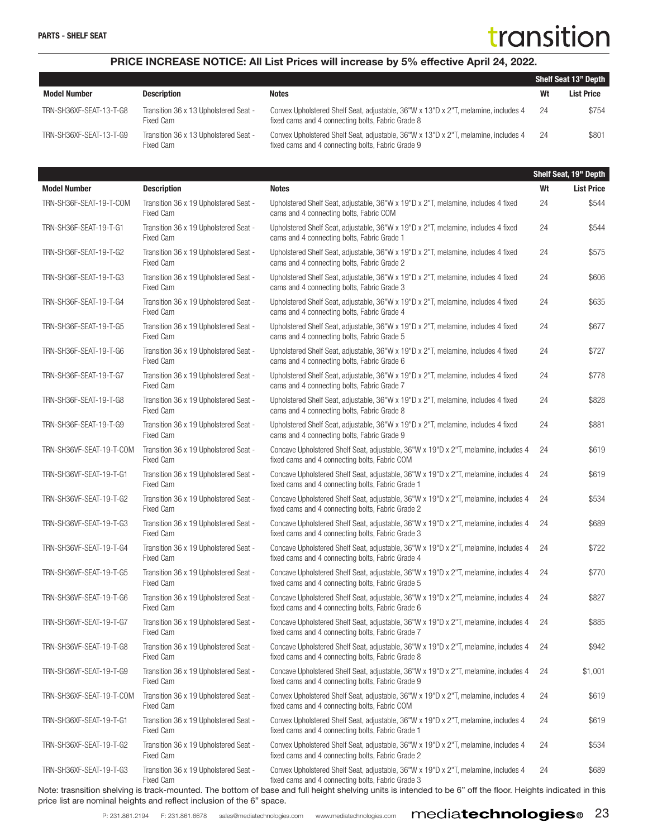#### PRICE INCREASE NOTICE: All List Prices will increase by 5% effective April 24, 2022.

|                         |                                                    |                                                                                                                                         |     | <b>Shelf Seat 13" Depth</b> |
|-------------------------|----------------------------------------------------|-----------------------------------------------------------------------------------------------------------------------------------------|-----|-----------------------------|
| <b>Model Number</b>     | <b>Description</b>                                 | Notes                                                                                                                                   | Wt  | <b>List Price</b>           |
| TRN-SH36XF-SEAT-13-T-G8 | Transition 36 x 13 Upholstered Seat -<br>Fixed Cam | Convex Upholstered Shelf Seat, adjustable, 36"W x 13"D x 2"T, melamine, includes 4<br>fixed cams and 4 connecting bolts, Fabric Grade 8 | -24 | \$754                       |
| TRN-SH36XF-SEAT-13-T-G9 | Transition 36 x 13 Upholstered Seat -<br>Fixed Cam | Convex Upholstered Shelf Seat, adjustable, 36"W x 13"D x 2"T, melamine, includes 4<br>fixed cams and 4 connecting bolts, Fabric Grade 9 | 24  | \$801                       |

|                          |                                                           |                                                                                                                                                              |    | Shelf Seat, 19" Depth |
|--------------------------|-----------------------------------------------------------|--------------------------------------------------------------------------------------------------------------------------------------------------------------|----|-----------------------|
| <b>Model Number</b>      | <b>Description</b>                                        | <b>Notes</b>                                                                                                                                                 | Wt | <b>List Price</b>     |
| TRN-SH36F-SEAT-19-T-COM  | Transition 36 x 19 Upholstered Seat -<br><b>Fixed Cam</b> | Upholstered Shelf Seat, adjustable, 36"W x 19"D x 2"T, melamine, includes 4 fixed<br>cams and 4 connecting bolts, Fabric COM                                 | 24 | \$544                 |
| TRN-SH36F-SEAT-19-T-G1   | Transition 36 x 19 Upholstered Seat -<br><b>Fixed Cam</b> | Upholstered Shelf Seat, adjustable, 36"W x 19"D x 2"T, melamine, includes 4 fixed<br>cams and 4 connecting bolts, Fabric Grade 1                             | 24 | \$544                 |
| TRN-SH36F-SEAT-19-T-G2   | Transition 36 x 19 Upholstered Seat -<br><b>Fixed Cam</b> | Upholstered Shelf Seat, adjustable, 36"W x 19"D x 2"T, melamine, includes 4 fixed<br>cams and 4 connecting bolts, Fabric Grade 2                             | 24 | \$575                 |
| TRN-SH36F-SEAT-19-T-G3   | Transition 36 x 19 Upholstered Seat -<br>Fixed Cam        | Upholstered Shelf Seat, adjustable, 36"W x 19"D x 2"T, melamine, includes 4 fixed<br>cams and 4 connecting bolts, Fabric Grade 3                             | 24 | \$606                 |
| TRN-SH36F-SEAT-19-T-G4   | Transition 36 x 19 Upholstered Seat -<br><b>Fixed Cam</b> | Upholstered Shelf Seat, adjustable, 36"W x 19"D x 2"T, melamine, includes 4 fixed<br>cams and 4 connecting bolts, Fabric Grade 4                             | 24 | \$635                 |
| TRN-SH36F-SEAT-19-T-G5   | Transition 36 x 19 Upholstered Seat -<br><b>Fixed Cam</b> | Upholstered Shelf Seat, adjustable, 36"W x 19"D x 2"T, melamine, includes 4 fixed<br>cams and 4 connecting bolts, Fabric Grade 5                             | 24 | \$677                 |
| TRN-SH36F-SEAT-19-T-G6   | Transition 36 x 19 Upholstered Seat -<br><b>Fixed Cam</b> | Upholstered Shelf Seat, adjustable, 36"W x 19"D x 2"T, melamine, includes 4 fixed<br>cams and 4 connecting bolts, Fabric Grade 6                             | 24 | \$727                 |
| TRN-SH36F-SEAT-19-T-G7   | Transition 36 x 19 Upholstered Seat -<br><b>Fixed Cam</b> | Upholstered Shelf Seat, adjustable, 36"W x 19"D x 2"T, melamine, includes 4 fixed<br>cams and 4 connecting bolts, Fabric Grade 7                             | 24 | \$778                 |
| TRN-SH36F-SEAT-19-T-G8   | Transition 36 x 19 Upholstered Seat -<br><b>Fixed Cam</b> | Upholstered Shelf Seat, adjustable, 36"W x 19"D x 2"T, melamine, includes 4 fixed<br>cams and 4 connecting bolts, Fabric Grade 8                             | 24 | \$828                 |
| TRN-SH36F-SEAT-19-T-G9   | Transition 36 x 19 Upholstered Seat -<br><b>Fixed Cam</b> | Upholstered Shelf Seat, adjustable, 36"W x 19"D x 2"T, melamine, includes 4 fixed<br>cams and 4 connecting bolts, Fabric Grade 9                             | 24 | \$881                 |
| TRN-SH36VF-SEAT-19-T-COM | Transition 36 x 19 Upholstered Seat -<br><b>Fixed Cam</b> | Concave Upholstered Shelf Seat, adjustable, 36"W x 19"D x 2"T, melamine, includes 4<br>fixed cams and 4 connecting bolts, Fabric COM                         | 24 | \$619                 |
| TRN-SH36VF-SEAT-19-T-G1  | Transition 36 x 19 Upholstered Seat -<br><b>Fixed Cam</b> | Concave Upholstered Shelf Seat, adjustable, 36"W x 19"D x 2"T, melamine, includes 4<br>fixed cams and 4 connecting bolts, Fabric Grade 1                     | 24 | \$619                 |
| TRN-SH36VF-SEAT-19-T-G2  | Transition 36 x 19 Upholstered Seat -<br><b>Fixed Cam</b> | Concave Upholstered Shelf Seat, adjustable, 36"W x 19"D x 2"T, melamine, includes 4<br>fixed cams and 4 connecting bolts, Fabric Grade 2                     | 24 | \$534                 |
| TRN-SH36VF-SEAT-19-T-G3  | Transition 36 x 19 Upholstered Seat -<br><b>Fixed Cam</b> | Concave Upholstered Shelf Seat, adjustable, 36"W x 19"D x 2"T, melamine, includes 4<br>fixed cams and 4 connecting bolts, Fabric Grade 3                     | 24 | \$689                 |
| TRN-SH36VF-SEAT-19-T-G4  | Transition 36 x 19 Upholstered Seat -<br><b>Fixed Cam</b> | Concave Upholstered Shelf Seat, adjustable, 36"W x 19"D x 2"T, melamine, includes 4<br>fixed cams and 4 connecting bolts, Fabric Grade 4                     | 24 | \$722                 |
| TRN-SH36VF-SEAT-19-T-G5  | Transition 36 x 19 Upholstered Seat -<br><b>Fixed Cam</b> | Concave Upholstered Shelf Seat, adjustable, 36"W x 19"D x 2"T, melamine, includes 4<br>fixed cams and 4 connecting bolts, Fabric Grade 5                     | 24 | \$770                 |
| TRN-SH36VF-SEAT-19-T-G6  | Transition 36 x 19 Upholstered Seat -<br>Fixed Cam        | Concave Upholstered Shelf Seat, adjustable, 36"W x 19"D x 2"T, melamine, includes 4<br>fixed cams and 4 connecting bolts, Fabric Grade 6                     | 24 | \$827                 |
| TRN-SH36VF-SEAT-19-T-G7  | Transition 36 x 19 Upholstered Seat -<br><b>Fixed Cam</b> | Concave Upholstered Shelf Seat, adjustable, 36"W x 19"D x 2"T, melamine, includes 4<br>fixed cams and 4 connecting bolts, Fabric Grade 7                     | 24 | \$885                 |
| TRN-SH36VF-SEAT-19-T-G8  | Transition 36 x 19 Upholstered Seat -<br><b>Fixed Cam</b> | Concave Upholstered Shelf Seat, adjustable, 36"W x 19"D x 2"T, melamine, includes 4 24<br>fixed cams and 4 connecting bolts, Fabric Grade 8                  |    | \$942                 |
| TRN-SH36VF-SEAT-19-T-G9  | Transition 36 x 19 Upholstered Seat -<br><b>Fixed Cam</b> | Concave Upholstered Shelf Seat, adjustable, 36"W x 19"D x 2"T, melamine, includes 4<br>fixed cams and 4 connecting bolts, Fabric Grade 9                     | 24 | \$1,001               |
| TRN-SH36XF-SEAT-19-T-COM | Transition 36 x 19 Upholstered Seat -<br><b>Fixed Cam</b> | Convex Upholstered Shelf Seat, adjustable, 36"W x 19"D x 2"T, melamine, includes 4<br>fixed cams and 4 connecting bolts, Fabric COM                          | 24 | \$619                 |
| TRN-SH36XF-SEAT-19-T-G1  | Transition 36 x 19 Upholstered Seat -<br><b>Fixed Cam</b> | Convex Upholstered Shelf Seat, adjustable, 36"W x 19"D x 2"T, melamine, includes 4<br>fixed cams and 4 connecting bolts, Fabric Grade 1                      | 24 | \$619                 |
| TRN-SH36XF-SEAT-19-T-G2  | Transition 36 x 19 Upholstered Seat -<br><b>Fixed Cam</b> | Convex Upholstered Shelf Seat, adjustable, 36"W x 19"D x 2"T, melamine, includes 4<br>fixed cams and 4 connecting bolts, Fabric Grade 2                      | 24 | \$534                 |
| TRN-SH36XF-SEAT-19-T-G3  | Transition 36 x 19 Upholstered Seat -<br><b>Fixed Cam</b> | Convex Upholstered Shelf Seat, adjustable, 36"W x 19"D x 2"T, melamine, includes 4<br>fixed cams and 4 connecting bolts, Fabric Grade 3                      | 24 | \$689                 |
|                          |                                                           | Note: trasnsition shelving is track-mounted. The bottom of base and full height shelving units is intended to be 6" off the floor. Heights indicated in this |    |                       |

price list are nominal heights and reflect inclusion of the 6" space.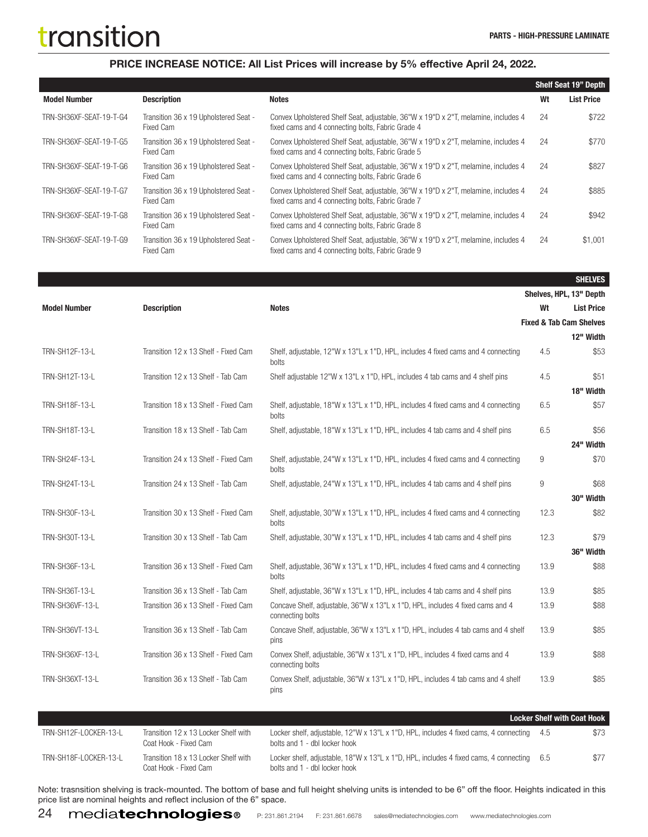SHELVES

#### PRICE INCREASE NOTICE: All List Prices will increase by 5% effective April 24, 2022.

|                         |                                                    |                                                                                                                                         |    | <b>Shelf Seat 19" Depth</b> |
|-------------------------|----------------------------------------------------|-----------------------------------------------------------------------------------------------------------------------------------------|----|-----------------------------|
| <b>Model Number</b>     | <b>Description</b>                                 | <b>Notes</b>                                                                                                                            | Wt | <b>List Price</b>           |
| TRN-SH36XF-SEAT-19-T-G4 | Transition 36 x 19 Upholstered Seat -<br>Fixed Cam | Convex Upholstered Shelf Seat, adjustable, 36"W x 19"D x 2"T, melamine, includes 4<br>fixed cams and 4 connecting bolts, Fabric Grade 4 | 24 | \$722                       |
| TRN-SH36XF-SEAT-19-T-G5 | Transition 36 x 19 Upholstered Seat -<br>Fixed Cam | Convex Upholstered Shelf Seat, adjustable, 36"W x 19"D x 2"T, melamine, includes 4<br>fixed cams and 4 connecting bolts. Fabric Grade 5 | 24 | \$770                       |
| TRN-SH36XF-SEAT-19-T-G6 | Transition 36 x 19 Upholstered Seat -<br>Fixed Cam | Convex Upholstered Shelf Seat, adjustable, 36"W x 19"D x 2"T, melamine, includes 4<br>fixed cams and 4 connecting bolts, Fabric Grade 6 | 24 | \$827                       |
| TRN-SH36XF-SEAT-19-T-G7 | Transition 36 x 19 Upholstered Seat -<br>Fixed Cam | Convex Upholstered Shelf Seat, adjustable, 36"W x 19"D x 2"T, melamine, includes 4<br>fixed cams and 4 connecting bolts, Fabric Grade 7 | 24 | \$885                       |
| TRN-SH36XF-SEAT-19-T-G8 | Transition 36 x 19 Upholstered Seat -<br>Fixed Cam | Convex Upholstered Shelf Seat, adjustable, 36"W x 19"D x 2"T, melamine, includes 4<br>fixed cams and 4 connecting bolts, Fabric Grade 8 | 24 | \$942                       |
| TRN-SH36XF-SEAT-19-T-G9 | Transition 36 x 19 Upholstered Seat -<br>Fixed Cam | Convex Upholstered Shelf Seat, adjustable, 36"W x 19"D x 2"T, melamine, includes 4<br>fixed cams and 4 connecting bolts, Fabric Grade 9 | 24 | \$1,001                     |

Shelves, HPL, 13" Depth Model Number Description Notes Wt List Price Fixed & Tab Cam Shelves 12" Width TRN-SH12F-13-L Transition 12 x 13 Shelf - Fixed Cam Shelf, adjustable, 12"W x 13"L x 1"D, HPL, includes 4 fixed cams and 4 connecting bolts 4.5 \$53 TRN-SH12T-13-L Transition 12 x 13 Shelf - Tab Cam Shelf adjustable 12"W x 13"L x 1"D, HPL, includes 4 tab cams and 4 shelf pins 4.5 \$51 18" Width TRN-SH18F-13-L Transition 18 x 13 Shelf - Fixed Cam Shelf, adjustable, 18"W x 13"L x 1"D, HPL, includes 4 fixed cams and 4 connecting bolts 6.5 \$57 TRN-SH18T-13-L Transition 18 x 13 Shelf - Tab Cam Shelf, adjustable, 18"W x 13"L x 1"D, HPL, includes 4 tab cams and 4 shelf pins 6.5 \$56 24" Width TRN-SH24F-13-L Transition 24 x 13 Shelf - Fixed Cam Shelf, adjustable, 24"W x 13"L x 1"D, HPL, includes 4 fixed cams and 4 connecting bolts 9 \$70 TRN-SH24T-13-L Transition 24 x 13 Shelf - Tab Cam Shelf, adjustable, 24"W x 13"L x 1"D, HPL, includes 4 tab cams and 4 shelf pins 9 \$68 30" Width TRN-SH30F-13-L Transition 30 x 13 Shelf - Fixed Cam Shelf, adjustable, 30"W x 13"L x 1"D, HPL, includes 4 fixed cams and 4 connecting bolts 12.3 \$82 TRN-SH30T-13-L Transition 30 x 13 Shelf - Tab Cam Shelf, adjustable, 30"W x 13"L x 1"D, HPL, includes 4 tab cams and 4 shelf pins 12.3 \$79 36" Width TRN-SH36F-13-L Transition 36 x 13 Shelf - Fixed Cam Shelf, adjustable, 36"W x 13"L x 1"D, HPL, includes 4 fixed cams and 4 connecting bolts 13.9 \$88 TRN-SH36T-13-L Transition 36 x 13 Shelf - Tab Cam Shelf, adjustable, 36"W x 13"L x 1"D, HPL, includes 4 tab cams and 4 shelf pins 13.9 \$85 TRN-SH36VF-13-L Transition 36 x 13 Shelf - Fixed Cam Concave Shelf, adjustable, 36"W x 13"L x 1"D, HPL, includes 4 fixed cams and 4 connecting bolts 13.9 \$88 TRN-SH36VT-13-L Transition 36 x 13 Shelf - Tab Cam Concave Shelf, adjustable, 36"W x 13"L x 1"D, HPL, includes 4 tab cams and 4 shelf pins 13.9 \$85 TRN-SH36XF-13-L Transition 36 x 13 Shelf - Fixed Cam Convex Shelf, adjustable, 36"W x 13"L x 1"D, HPL, includes 4 fixed cams and 4 connecting bolts 13.9 \$88 TRN-SH36XT-13-L Transition 36 x 13 Shelf - Tab Cam Convex Shelf, adjustable, 36"W x 13"L x 1"D, HPL, includes 4 tab cams and 4 shelf pins 13.9 \$85

|                       |                                                               |                                                                                                                            | <b>Locker Shelf with Coat Hook</b> |      |
|-----------------------|---------------------------------------------------------------|----------------------------------------------------------------------------------------------------------------------------|------------------------------------|------|
| TRN-SH12F-LOCKER-13-L | Transition 12 x 13 Locker Shelf with<br>Coat Hook - Fixed Cam | Locker shelf, adjustable, 12"W x 13"L x 1"D, HPL, includes 4 fixed cams, 4 connecting 4.5<br>bolts and 1 - dbl locker hook |                                    | \$73 |
| TRN-SH18F-LOCKER-13-L | Transition 18 x 13 Locker Shelf with<br>Coat Hook - Fixed Cam | Locker shelf, adjustable, 18"W x 13"L x 1"D, HPL, includes 4 fixed cams, 4 connecting 6.5<br>bolts and 1 - dbl locker hook |                                    | \$77 |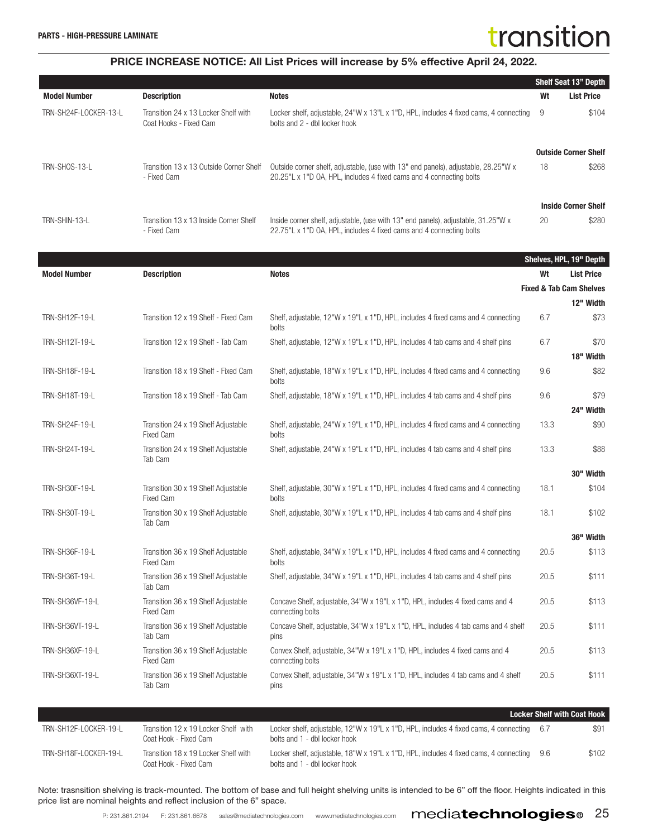#### PRICE INCREASE NOTICE: All List Prices will increase by 5% effective April 24, 2022.

|                       |                                                                |                                                                                                                                                           |    | <b>Shelf Seat 13" Depth</b> |
|-----------------------|----------------------------------------------------------------|-----------------------------------------------------------------------------------------------------------------------------------------------------------|----|-----------------------------|
| <b>Model Number</b>   | <b>Description</b>                                             | <b>Notes</b>                                                                                                                                              | Wt | <b>List Price</b>           |
| TRN-SH24F-LOCKER-13-L | Transition 24 x 13 Locker Shelf with<br>Coat Hooks - Fixed Cam | Locker shelf, adjustable, 24"W x 13"L x 1"D, HPL, includes 4 fixed cams, 4 connecting<br>bolts and 2 - dbl locker hook                                    | 9  | \$104                       |
|                       |                                                                |                                                                                                                                                           |    | <b>Outside Corner Shelf</b> |
| TRN-SHOS-13-L         | Transition 13 x 13 Outside Corner Shelf<br>- Fixed Cam         | Outside corner shelf, adjustable, (use with 13" end panels), adjustable, 28.25"W x<br>20.25"L x 1"D OA, HPL, includes 4 fixed cams and 4 connecting bolts | 18 | \$268                       |
|                       |                                                                |                                                                                                                                                           |    | <b>Inside Corner Shelf</b>  |
| TRN-SHIN-13-L         | Transition 13 x 13 Inside Corner Shelf<br>- Fixed Cam          | Inside corner shelf, adjustable, (use with 13" end panels), adjustable, 31.25"W x<br>22.75"L x 1"D OA, HPL, includes 4 fixed cams and 4 connecting bolts  | 20 | \$280                       |

|                       |                                                         |                                                                                                    |      | Shelves, HPL, 19" Depth            |
|-----------------------|---------------------------------------------------------|----------------------------------------------------------------------------------------------------|------|------------------------------------|
| <b>Model Number</b>   | <b>Description</b>                                      | <b>Notes</b>                                                                                       | Wt   | <b>List Price</b>                  |
|                       |                                                         |                                                                                                    |      | <b>Fixed &amp; Tab Cam Shelves</b> |
|                       |                                                         |                                                                                                    |      | 12" Width                          |
| TRN-SH12F-19-L        | Transition 12 x 19 Shelf - Fixed Cam                    | Shelf, adjustable, 12"W x 19"L x 1"D, HPL, includes 4 fixed cams and 4 connecting<br>bolts         | 6.7  | \$73                               |
| TRN-SH12T-19-L        | Transition 12 x 19 Shelf - Tab Cam                      | Shelf, adjustable, 12"W x 19"L x 1"D, HPL, includes 4 tab cams and 4 shelf pins                    | 6.7  | \$70                               |
|                       |                                                         |                                                                                                    |      | 18" Width                          |
| TRN-SH18F-19-L        | Transition 18 x 19 Shelf - Fixed Cam                    | Shelf, adjustable, 18"W x 19"L x 1"D, HPL, includes 4 fixed cams and 4 connecting<br>bolts         | 9.6  | \$82                               |
| TRN-SH18T-19-L        | Transition 18 x 19 Shelf - Tab Cam                      | Shelf, adjustable, 18"W x 19"L x 1"D, HPL, includes 4 tab cams and 4 shelf pins                    | 9.6  | \$79                               |
|                       |                                                         |                                                                                                    |      | 24" Width                          |
| TRN-SH24F-19-L        | Transition 24 x 19 Shelf Adjustable<br><b>Fixed Cam</b> | Shelf, adjustable, 24"W x 19"L x 1"D, HPL, includes 4 fixed cams and 4 connecting<br>bolts         | 13.3 | \$90                               |
| TRN-SH24T-19-L        | Transition 24 x 19 Shelf Adjustable<br>Tab Cam          | Shelf, adjustable, 24"W x 19"L x 1"D, HPL, includes 4 tab cams and 4 shelf pins                    | 13.3 | \$88                               |
|                       |                                                         |                                                                                                    |      | 30" Width                          |
| TRN-SH30F-19-L        | Transition 30 x 19 Shelf Adjustable<br>Fixed Cam        | Shelf, adjustable, 30"W x 19"L x 1"D, HPL, includes 4 fixed cams and 4 connecting<br>bolts         | 18.1 | \$104                              |
| <b>TRN-SH30T-19-L</b> | Transition 30 x 19 Shelf Adjustable<br>Tab Cam          | Shelf, adjustable, 30"W x 19"L x 1"D, HPL, includes 4 tab cams and 4 shelf pins                    | 18.1 | \$102                              |
|                       |                                                         |                                                                                                    |      | 36" Width                          |
| TRN-SH36F-19-L        | Transition 36 x 19 Shelf Adjustable<br><b>Fixed Cam</b> | Shelf, adjustable, 34"W x 19"L x 1"D, HPL, includes 4 fixed cams and 4 connecting<br>bolts         | 20.5 | \$113                              |
| TRN-SH36T-19-L        | Transition 36 x 19 Shelf Adjustable<br>Tab Cam          | Shelf, adjustable, 34"W x 19"L x 1"D, HPL, includes 4 tab cams and 4 shelf pins                    | 20.5 | \$111                              |
| TRN-SH36VF-19-L       | Transition 36 x 19 Shelf Adjustable<br><b>Fixed Cam</b> | Concave Shelf, adjustable, 34"W x 19"L x 1"D, HPL, includes 4 fixed cams and 4<br>connecting bolts | 20.5 | \$113                              |
| TRN-SH36VT-19-L       | Transition 36 x 19 Shelf Adjustable<br>Tab Cam          | Concave Shelf, adjustable, 34"W x 19"L x 1"D, HPL, includes 4 tab cams and 4 shelf<br>pins         | 20.5 | \$111                              |
| TRN-SH36XF-19-L       | Transition 36 x 19 Shelf Adjustable<br>Fixed Cam        | Convex Shelf, adjustable, 34"W x 19"L x 1"D, HPL, includes 4 fixed cams and 4<br>connecting bolts  | 20.5 | \$113                              |
| TRN-SH36XT-19-L       | Transition 36 x 19 Shelf Adjustable<br>Tab Cam          | Convex Shelf, adjustable, 34"W x 19"L x 1"D, HPL, includes 4 tab cams and 4 shelf<br>pins          | 20.5 | \$111                              |

|                       |                                                               |                                                                                                                            | <b>Locker Shelf with Coat Hook</b> |       |
|-----------------------|---------------------------------------------------------------|----------------------------------------------------------------------------------------------------------------------------|------------------------------------|-------|
| TRN-SH12F-LOCKER-19-L | Transition 12 x 19 Locker Shelf with<br>Coat Hook - Fixed Cam | Locker shelf, adjustable, 12"W x 19"L x 1"D, HPL, includes 4 fixed cams, 4 connecting 6.7<br>bolts and 1 - dbl locker hook |                                    | \$91  |
| TRN-SH18F-LOCKER-19-L | Transition 18 x 19 Locker Shelf with<br>Coat Hook - Fixed Cam | Locker shelf, adjustable, 18"W x 19"L x 1"D, HPL, includes 4 fixed cams, 4 connecting 9.6<br>bolts and 1 - dbl locker hook |                                    | \$102 |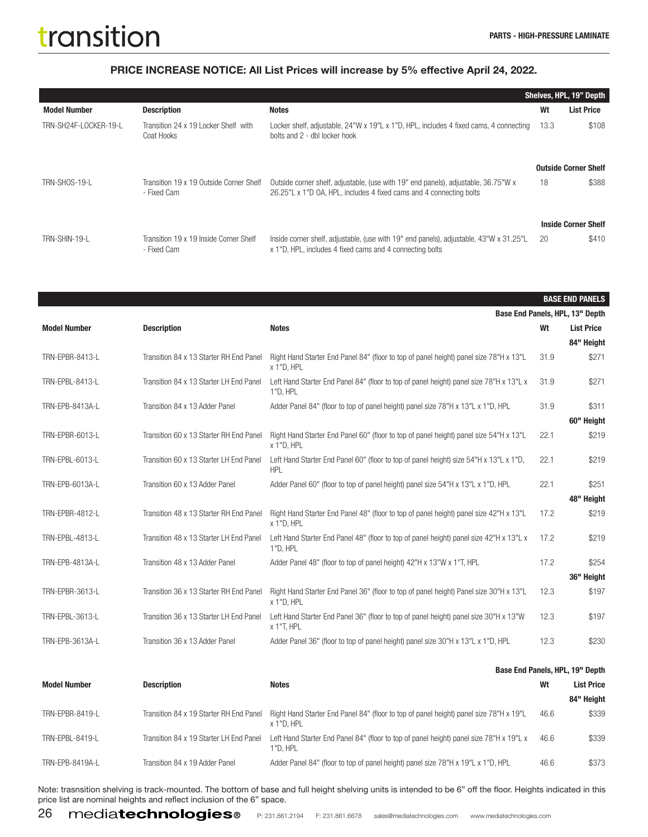|                       |                                                        |                                                                                                                                                           |      | <b>Shelves, HPL, 19" Depth</b> |
|-----------------------|--------------------------------------------------------|-----------------------------------------------------------------------------------------------------------------------------------------------------------|------|--------------------------------|
| <b>Model Number</b>   | <b>Description</b>                                     | <b>Notes</b>                                                                                                                                              | Wt   | <b>List Price</b>              |
| TRN-SH24F-LOCKER-19-L | Transition 24 x 19 Locker Shelf with<br>Coat Hooks     | Locker shelf, adjustable, 24"W x 19"L x 1"D, HPL, includes 4 fixed cams, 4 connecting<br>bolts and 2 - dbl locker hook                                    | 13.3 | \$108                          |
|                       |                                                        |                                                                                                                                                           |      | <b>Outside Corner Shelf</b>    |
| TRN-SHOS-19-L         | Transition 19 x 19 Outside Corner Shelf<br>- Fixed Cam | Outside corner shelf, adjustable, (use with 19" end panels), adjustable, 36.75"W x<br>26.25"L x 1"D OA, HPL, includes 4 fixed cams and 4 connecting bolts | 18   | \$388                          |
|                       |                                                        |                                                                                                                                                           |      | <b>Inside Corner Shelf</b>     |
| TRN-SHIN-19-L         | Transition 19 x 19 Inside Corner Shelf<br>- Fixed Cam  | lnside corner shelf, adjustable, (use with 19" end panels), adjustable, 43"W x 31.25"L<br>x 1"D, HPL, includes 4 fixed cams and 4 connecting bolts        | 20   | \$410                          |

|                     |                                         |                                                                                                      |      | <b>BASE END PANELS</b>          |
|---------------------|-----------------------------------------|------------------------------------------------------------------------------------------------------|------|---------------------------------|
|                     |                                         |                                                                                                      |      | Base End Panels, HPL, 13" Depth |
| <b>Model Number</b> | <b>Description</b>                      | <b>Notes</b>                                                                                         | Wt   | <b>List Price</b>               |
|                     |                                         |                                                                                                      |      | 84" Height                      |
| TRN-EPBR-8413-L     | Transition 84 x 13 Starter RH End Panel | Right Hand Starter End Panel 84" (floor to top of panel height) panel size 78"H x 13"L<br>x 1"D, HPL | 31.9 | \$271                           |
| TRN-EPBL-8413-L     | Transition 84 x 13 Starter LH End Panel | Left Hand Starter End Panel 84" (floor to top of panel height) panel size 78"H x 13"L x<br>1"D, HPL  | 31.9 | \$271                           |
| TRN-EPB-8413A-L     | Transition 84 x 13 Adder Panel          | Adder Panel 84" (floor to top of panel height) panel size 78"H x 13"L x 1"D, HPL                     | 31.9 | \$311                           |
|                     |                                         |                                                                                                      |      | 60" Height                      |
| TRN-EPBR-6013-L     | Transition 60 x 13 Starter RH End Panel | Right Hand Starter End Panel 60" (floor to top of panel height) panel size 54"H x 13"L<br>x 1"D, HPL | 22.1 | \$219                           |
| TRN-EPBL-6013-L     | Transition 60 x 13 Starter LH End Panel | Left Hand Starter End Panel 60" (floor to top of panel height) size 54"H x 13"L x 1"D,<br><b>HPL</b> | 22.1 | \$219                           |
| TRN-EPB-6013A-L     | Transition 60 x 13 Adder Panel          | Adder Panel 60" (floor to top of panel height) panel size 54"H x 13"L x 1"D, HPL                     | 22.1 | \$251                           |
|                     |                                         |                                                                                                      |      | 48" Height                      |
| TRN-EPBR-4812-L     | Transition 48 x 13 Starter RH End Panel | Right Hand Starter End Panel 48" (floor to top of panel height) panel size 42"H x 13"L<br>x 1"D, HPL | 17.2 | \$219                           |
| TRN-EPBL-4813-L     | Transition 48 x 13 Starter LH End Panel | Left Hand Starter End Panel 48" (floor to top of panel height) panel size 42"H x 13"L x<br>1"D, HPL  | 17.2 | \$219                           |
| TRN-EPB-4813A-L     | Transition 48 x 13 Adder Panel          | Adder Panel 48" (floor to top of panel height) 42"H x 13"W x 1"T, HPL                                | 17.2 | \$254                           |
|                     |                                         |                                                                                                      |      | 36" Height                      |
| TRN-EPBR-3613-L     | Transition 36 x 13 Starter RH End Panel | Right Hand Starter End Panel 36" (floor to top of panel height) Panel size 30"H x 13"L<br>x 1"D, HPL | 12.3 | \$197                           |
| TRN-EPBL-3613-L     | Transition 36 x 13 Starter LH End Panel | Left Hand Starter End Panel 36" (floor to top of panel height) panel size 30"H x 13"W<br>x 1"T, HPL  | 12.3 | \$197                           |
| TRN-EPB-3613A-L     | Transition 36 x 13 Adder Panel          | Adder Panel 36" (floor to top of panel height) panel size 30"H x 13"L x 1"D, HPL                     | 12.3 | \$230                           |
|                     |                                         |                                                                                                      |      |                                 |

|                     |                                         |                                                                                                      |      | Base End Panels, HPL, 19" Depth |
|---------------------|-----------------------------------------|------------------------------------------------------------------------------------------------------|------|---------------------------------|
| <b>Model Number</b> | <b>Description</b>                      | <b>Notes</b>                                                                                         | Wt   | <b>List Price</b>               |
|                     |                                         |                                                                                                      |      | 84" Height                      |
| TRN-EPBR-8419-L     | Transition 84 x 19 Starter RH End Panel | Right Hand Starter End Panel 84" (floor to top of panel height) panel size 78"H x 19"L<br>x 1"D. HPL | 46.6 | \$339                           |
| TRN-EPBL-8419-L     | Transition 84 x 19 Starter LH End Panel | Left Hand Starter End Panel 84" (floor to top of panel height) panel size 78"H x 19"L x<br>1"D. HPL  | 46.6 | \$339                           |
| TRN-EPB-8419A-L     | Transition 84 x 19 Adder Panel          | Adder Panel 84" (floor to top of panel height) panel size 78"H x 19"L x 1"D, HPL                     | 46.6 | \$373                           |

Note: trasnsition shelving is track-mounted. The bottom of base and full height shelving units is intended to be 6" off the floor. Heights indicated in this price list are nominal heights and reflect inclusion of the 6" space.

26 mediatechnologies.com